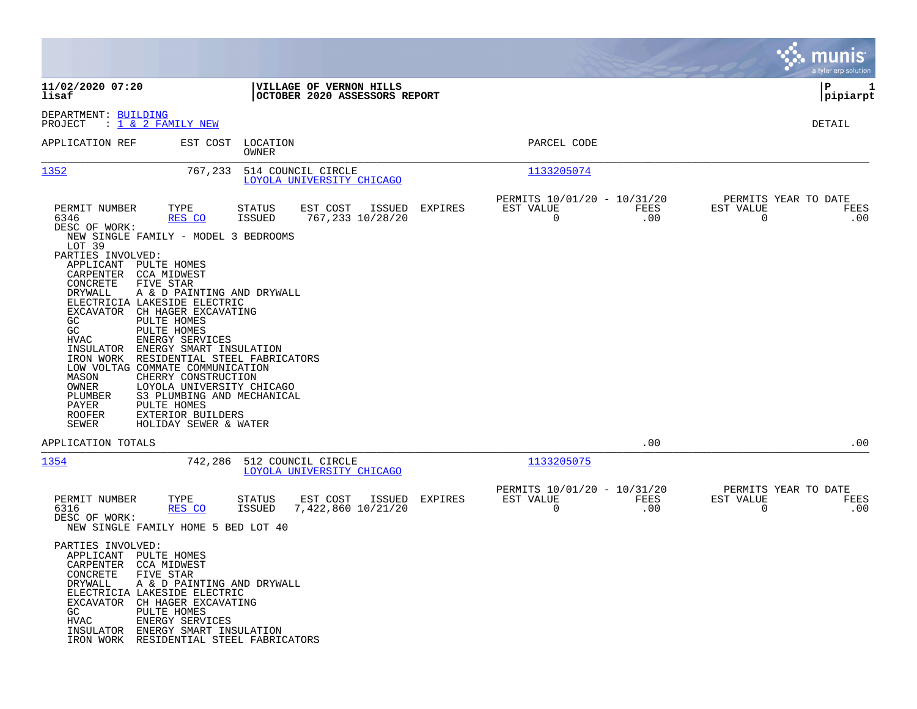|                                                                                                                                                                                                                                                                                                                                                                            |                                                                                                                                                                                                                                                                                                                                                                      |                         |                                                          |        |         |                                               |             |                                                     | munis<br>a tyler erp solution |
|----------------------------------------------------------------------------------------------------------------------------------------------------------------------------------------------------------------------------------------------------------------------------------------------------------------------------------------------------------------------------|----------------------------------------------------------------------------------------------------------------------------------------------------------------------------------------------------------------------------------------------------------------------------------------------------------------------------------------------------------------------|-------------------------|----------------------------------------------------------|--------|---------|-----------------------------------------------|-------------|-----------------------------------------------------|-------------------------------|
| 11/02/2020 07:20<br>lisaf                                                                                                                                                                                                                                                                                                                                                  |                                                                                                                                                                                                                                                                                                                                                                      |                         | VILLAGE OF VERNON HILLS<br>OCTOBER 2020 ASSESSORS REPORT |        |         |                                               |             |                                                     | ΙP<br>1<br> pipiarpt          |
| DEPARTMENT: BUILDING<br>: 1 & 2 FAMILY NEW<br>PROJECT                                                                                                                                                                                                                                                                                                                      |                                                                                                                                                                                                                                                                                                                                                                      |                         |                                                          |        |         |                                               |             |                                                     | DETAIL                        |
| APPLICATION REF                                                                                                                                                                                                                                                                                                                                                            | EST COST                                                                                                                                                                                                                                                                                                                                                             | LOCATION<br>OWNER       |                                                          |        |         | PARCEL CODE                                   |             |                                                     |                               |
| 1352                                                                                                                                                                                                                                                                                                                                                                       | 767,233                                                                                                                                                                                                                                                                                                                                                              | 514 COUNCIL CIRCLE      | LOYOLA UNIVERSITY CHICAGO                                |        |         | 1133205074                                    |             |                                                     |                               |
| PERMIT NUMBER<br>6346<br>DESC OF WORK:<br>NEW SINGLE FAMILY - MODEL 3 BEDROOMS<br>LOT 39<br>PARTIES INVOLVED:<br>APPLICANT<br>CARPENTER<br>CONCRETE<br>FIVE STAR<br>DRYWALL<br>ELECTRICIA LAKESIDE ELECTRIC<br>EXCAVATOR<br>GC<br>GC<br>HVAC<br>INSULATOR<br>IRON WORK<br>LOW VOLTAG COMMATE COMMUNICATION<br>MASON<br>OWNER<br>PLUMBER<br>PAYER<br><b>ROOFER</b><br>SEWER | TYPE<br><u>RES CO</u><br>PULTE HOMES<br>CCA MIDWEST<br>A & D PAINTING AND DRYWALL<br>CH HAGER EXCAVATING<br>PULTE HOMES<br>PULTE HOMES<br>ENERGY SERVICES<br>ENERGY SMART INSULATION<br>RESIDENTIAL STEEL FABRICATORS<br>CHERRY CONSTRUCTION<br>LOYOLA UNIVERSITY CHICAGO<br>S3 PLUMBING AND MECHANICAL<br>PULTE HOMES<br>EXTERIOR BUILDERS<br>HOLIDAY SEWER & WATER | STATUS<br><b>ISSUED</b> | EST COST<br>767,233 10/28/20                             | ISSUED | EXPIRES | PERMITS 10/01/20 - 10/31/20<br>EST VALUE<br>0 | FEES<br>.00 | PERMITS YEAR TO DATE<br>EST VALUE<br>$\overline{0}$ | FEES<br>.00                   |
| APPLICATION TOTALS                                                                                                                                                                                                                                                                                                                                                         |                                                                                                                                                                                                                                                                                                                                                                      |                         |                                                          |        |         |                                               | .00         |                                                     | .00                           |
| 1354                                                                                                                                                                                                                                                                                                                                                                       | 742,286                                                                                                                                                                                                                                                                                                                                                              | 512 COUNCIL CIRCLE      | LOYOLA UNIVERSITY CHICAGO                                |        |         | 1133205075                                    |             |                                                     |                               |
| PERMIT NUMBER<br>6316<br>DESC OF WORK:<br>NEW SINGLE FAMILY HOME 5 BED LOT 40                                                                                                                                                                                                                                                                                              | TYPE<br>RES CO                                                                                                                                                                                                                                                                                                                                                       | STATUS<br>ISSUED        | EST COST<br>7,422,860 10/21/20                           | ISSUED | EXPIRES | PERMITS 10/01/20 - 10/31/20<br>EST VALUE<br>0 | FEES<br>.00 | PERMITS YEAR TO DATE<br>EST VALUE<br>0              | FEES<br>.00                   |
| PARTIES INVOLVED:<br>APPLICANT PULTE HOMES<br>CARPENTER CCA MIDWEST<br>CONCRETE<br>FIVE STAR<br>DRYWALL<br>ELECTRICIA LAKESIDE ELECTRIC<br>EXCAVATOR CH HAGER EXCAVATING<br>GC<br>${\tt HVAC}$<br>INSULATOR ENERGY SMART INSULATION<br>IRON WORK RESIDENTIAL STEEL FABRICATORS                                                                                             | A & D PAINTING AND DRYWALL<br>PULTE HOMES<br>ENERGY SERVICES                                                                                                                                                                                                                                                                                                         |                         |                                                          |        |         |                                               |             |                                                     |                               |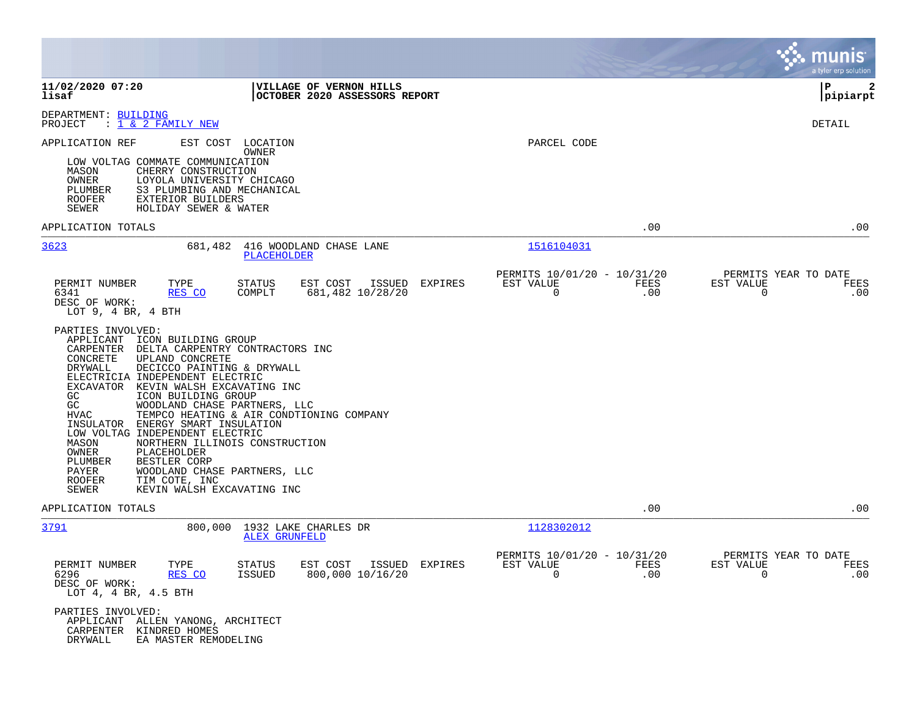|                                                                                                                                                                                                                                                                                                                                                                                                                                                                                                                                                                                                     |                                                                             |                                                                             | munis<br>a tyler erp solution                                     |
|-----------------------------------------------------------------------------------------------------------------------------------------------------------------------------------------------------------------------------------------------------------------------------------------------------------------------------------------------------------------------------------------------------------------------------------------------------------------------------------------------------------------------------------------------------------------------------------------------------|-----------------------------------------------------------------------------|-----------------------------------------------------------------------------|-------------------------------------------------------------------|
| 11/02/2020 07:20<br>lisaf                                                                                                                                                                                                                                                                                                                                                                                                                                                                                                                                                                           | VILLAGE OF VERNON HILLS<br>OCTOBER 2020 ASSESSORS REPORT                    |                                                                             | l P<br> pipiarpt                                                  |
| DEPARTMENT: BUILDING<br>PROJECT<br>: 1 & 2 FAMILY NEW                                                                                                                                                                                                                                                                                                                                                                                                                                                                                                                                               |                                                                             |                                                                             | DETAIL                                                            |
| APPLICATION REF<br>EST COST<br>LOW VOLTAG COMMATE COMMUNICATION<br>MASON<br>CHERRY CONSTRUCTION<br>OWNER<br>LOYOLA UNIVERSITY CHICAGO<br>PLUMBER<br>S3 PLUMBING AND MECHANICAL<br>ROOFER<br>EXTERIOR BUILDERS<br>SEWER<br>HOLIDAY SEWER & WATER                                                                                                                                                                                                                                                                                                                                                     | LOCATION<br>OWNER                                                           | PARCEL CODE                                                                 |                                                                   |
| APPLICATION TOTALS                                                                                                                                                                                                                                                                                                                                                                                                                                                                                                                                                                                  |                                                                             | .00                                                                         | .00                                                               |
| 3623<br>681,482                                                                                                                                                                                                                                                                                                                                                                                                                                                                                                                                                                                     | 416 WOODLAND CHASE LANE<br>PLACEHOLDER                                      | 1516104031                                                                  |                                                                   |
| PERMIT NUMBER<br>TYPE<br>6341<br>RES CO<br>DESC OF WORK:<br>LOT $9, 4$ BR, $4$ BTH                                                                                                                                                                                                                                                                                                                                                                                                                                                                                                                  | STATUS<br>EST COST<br>ISSUED<br>EXPIRES<br>COMPLT<br>681,482 10/28/20       | PERMITS 10/01/20 - 10/31/20<br>FEES<br>EST VALUE<br>$\mathbf 0$<br>$.00 \,$ | PERMITS YEAR TO DATE<br>EST VALUE<br>FEES<br>0<br>.00             |
| PARTIES INVOLVED:<br>APPLICANT<br>ICON BUILDING GROUP<br>CARPENTER<br>CONCRETE<br>UPLAND CONCRETE<br>DRYWALL<br>DECICCO PAINTING & DRYWALL<br>ELECTRICIA INDEPENDENT ELECTRIC<br>EXCAVATOR KEVIN WALSH EXCAVATING INC<br>GC.<br>ICON BUILDING GROUP<br>GC<br>WOODLAND CHASE PARTNERS, LLC<br><b>HVAC</b><br>INSULATOR<br>ENERGY SMART INSULATION<br>LOW VOLTAG INDEPENDENT ELECTRIC<br>MASON<br>NORTHERN ILLINOIS CONSTRUCTION<br>OWNER<br>PLACEHOLDER<br>PLUMBER<br>BESTLER CORP<br>PAYER<br>WOODLAND CHASE PARTNERS, LLC<br><b>ROOFER</b><br>TIM COTE, INC<br>KEVIN WALSH EXCAVATING INC<br>SEWER | DELTA CARPENTRY CONTRACTORS INC<br>TEMPCO HEATING & AIR CONDTIONING COMPANY |                                                                             |                                                                   |
| APPLICATION TOTALS                                                                                                                                                                                                                                                                                                                                                                                                                                                                                                                                                                                  |                                                                             | .00                                                                         | .00                                                               |
| <u>3791</u><br>800,000                                                                                                                                                                                                                                                                                                                                                                                                                                                                                                                                                                              | 1932 LAKE CHARLES DR<br><b>ALEX GRUNFELD</b>                                | 1128302012                                                                  |                                                                   |
| PERMIT NUMBER<br>TYPE<br>6296<br>RES CO<br>DESC OF WORK:<br>LOT 4, 4 BR, 4.5 BTH                                                                                                                                                                                                                                                                                                                                                                                                                                                                                                                    | <b>STATUS</b><br>EST COST ISSUED EXPIRES<br>800,000 10/16/20<br>ISSUED      | PERMITS 10/01/20 - 10/31/20<br>FEES<br>EST VALUE<br>$\Omega$<br>$.00 \,$    | PERMITS YEAR TO DATE<br>EST VALUE<br>FEES<br>$\Omega$<br>$.00 \,$ |
| PARTIES INVOLVED:<br>APPLICANT ALLEN YANONG, ARCHITECT<br>CARPENTER KINDRED HOMES<br>DRYWALL<br>EA MASTER REMODELING                                                                                                                                                                                                                                                                                                                                                                                                                                                                                |                                                                             |                                                                             |                                                                   |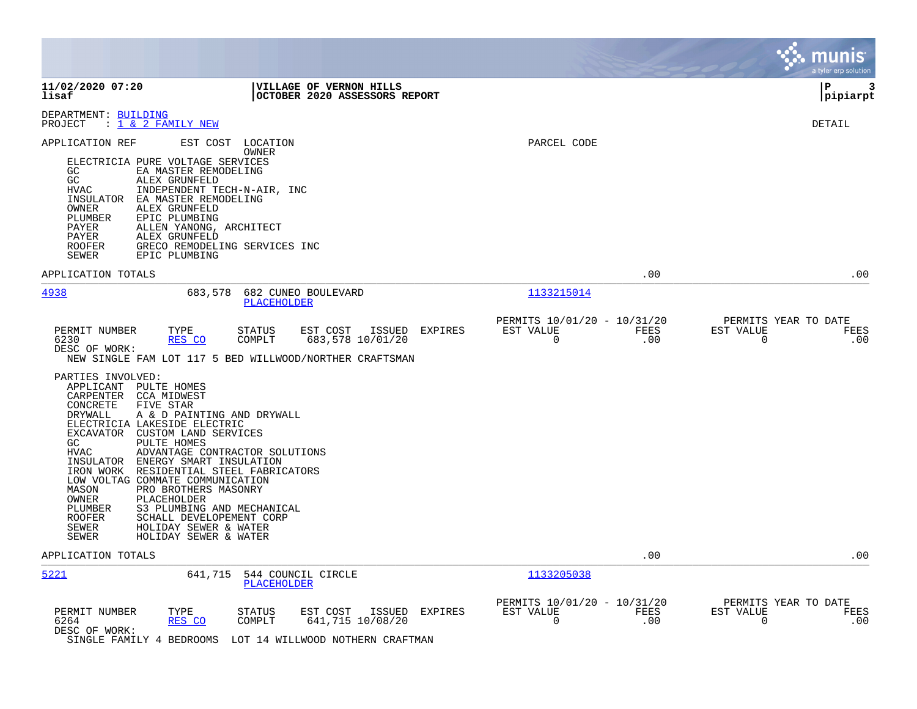|                                                                                                                                                                                                                                                                                                                                                                                                                                                                                                                                                                                                                         |                                                                                                                  |                                                                        | munis<br>a tyler erp solution                                   |
|-------------------------------------------------------------------------------------------------------------------------------------------------------------------------------------------------------------------------------------------------------------------------------------------------------------------------------------------------------------------------------------------------------------------------------------------------------------------------------------------------------------------------------------------------------------------------------------------------------------------------|------------------------------------------------------------------------------------------------------------------|------------------------------------------------------------------------|-----------------------------------------------------------------|
| 11/02/2020 07:20<br>lisaf                                                                                                                                                                                                                                                                                                                                                                                                                                                                                                                                                                                               | VILLAGE OF VERNON HILLS<br>OCTOBER 2020 ASSESSORS REPORT                                                         |                                                                        | 3<br>ΙP<br> pipiarpt                                            |
| DEPARTMENT: BUILDING<br>: <u>1 &amp; 2 FAMILY NEW</u><br>PROJECT                                                                                                                                                                                                                                                                                                                                                                                                                                                                                                                                                        |                                                                                                                  |                                                                        | DETAIL                                                          |
| APPLICATION REF<br>EST COST<br>ELECTRICIA PURE VOLTAGE SERVICES<br>EA MASTER REMODELING<br>GC.<br>GC<br>ALEX GRUNFELD<br><b>HVAC</b><br>INDEPENDENT TECH-N-AIR, INC<br>EA MASTER REMODELING<br>INSULATOR<br>ALEX GRUNFELD<br>OWNER<br>PLUMBER<br>EPIC PLUMBING<br>ALLEN YANONG, ARCHITECT<br>PAYER<br>PAYER<br>ALEX GRUNFELD<br><b>ROOFER</b><br>GRECO REMODELING SERVICES INC<br>SEWER<br>EPIC PLUMBING                                                                                                                                                                                                                | LOCATION<br>OWNER                                                                                                | PARCEL CODE                                                            |                                                                 |
| APPLICATION TOTALS                                                                                                                                                                                                                                                                                                                                                                                                                                                                                                                                                                                                      |                                                                                                                  | .00                                                                    | .00                                                             |
| 4938<br>683,578                                                                                                                                                                                                                                                                                                                                                                                                                                                                                                                                                                                                         | 682 CUNEO BOULEVARD<br>PLACEHOLDER                                                                               | 1133215014                                                             |                                                                 |
| PERMIT NUMBER<br>TYPE<br>6230<br>RES CO<br>DESC OF WORK:<br>NEW SINGLE FAM LOT 117 5 BED WILLWOOD/NORTHER CRAFTSMAN                                                                                                                                                                                                                                                                                                                                                                                                                                                                                                     | <b>STATUS</b><br>EST COST<br>ISSUED<br>EXPIRES<br>COMPLT<br>683,578 10/01/20                                     | PERMITS 10/01/20 - 10/31/20<br>EST VALUE<br>FEES<br>.00<br>$\mathbf 0$ | PERMITS YEAR TO DATE<br>EST VALUE<br>FEES<br>$\mathbf 0$<br>.00 |
| PARTIES INVOLVED:<br>APPLICANT PULTE HOMES<br>CARPENTER<br><b>CCA MIDWEST</b><br>CONCRETE<br>FIVE STAR<br>DRYWALL<br>A & D PAINTING AND DRYWALL<br>ELECTRICIA LAKESIDE ELECTRIC<br>EXCAVATOR CUSTOM LAND SERVICES<br>PULTE HOMES<br>GC<br><b>HVAC</b><br>ADVANTAGE CONTRACTOR SOLUTIONS<br>INSULATOR ENERGY SMART INSULATION<br>IRON WORK RESIDENTIAL STEEL FABRICATORS<br>LOW VOLTAG COMMATE COMMUNICATION<br>PRO BROTHERS MASONRY<br>MASON<br>OWNER<br>PLACEHOLDER<br>S3 PLUMBING AND MECHANICAL<br>PLUMBER<br>ROOFER<br>SCHALL DEVELOPEMENT CORP<br>SEWER<br>HOLIDAY SEWER & WATER<br>HOLIDAY SEWER & WATER<br>SEWER |                                                                                                                  |                                                                        |                                                                 |
| APPLICATION TOTALS                                                                                                                                                                                                                                                                                                                                                                                                                                                                                                                                                                                                      |                                                                                                                  | .00                                                                    | .00                                                             |
| 5221<br>641,715                                                                                                                                                                                                                                                                                                                                                                                                                                                                                                                                                                                                         | 544 COUNCIL CIRCLE<br>PLACEHOLDER                                                                                | 1133205038                                                             |                                                                 |
| PERMIT NUMBER<br>TYPE<br>6264<br>RES CO<br>DESC OF WORK:<br>SINGLE FAMILY 4 BEDROOMS                                                                                                                                                                                                                                                                                                                                                                                                                                                                                                                                    | <b>STATUS</b><br>EST COST<br>ISSUED<br>EXPIRES<br>641,715 10/08/20<br>COMPLT<br>LOT 14 WILLWOOD NOTHERN CRAFTMAN | PERMITS 10/01/20 - 10/31/20<br>EST VALUE<br>FEES<br>$\mathbf 0$<br>.00 | PERMITS YEAR TO DATE<br>EST VALUE<br>FEES<br>$\mathbf 0$<br>.00 |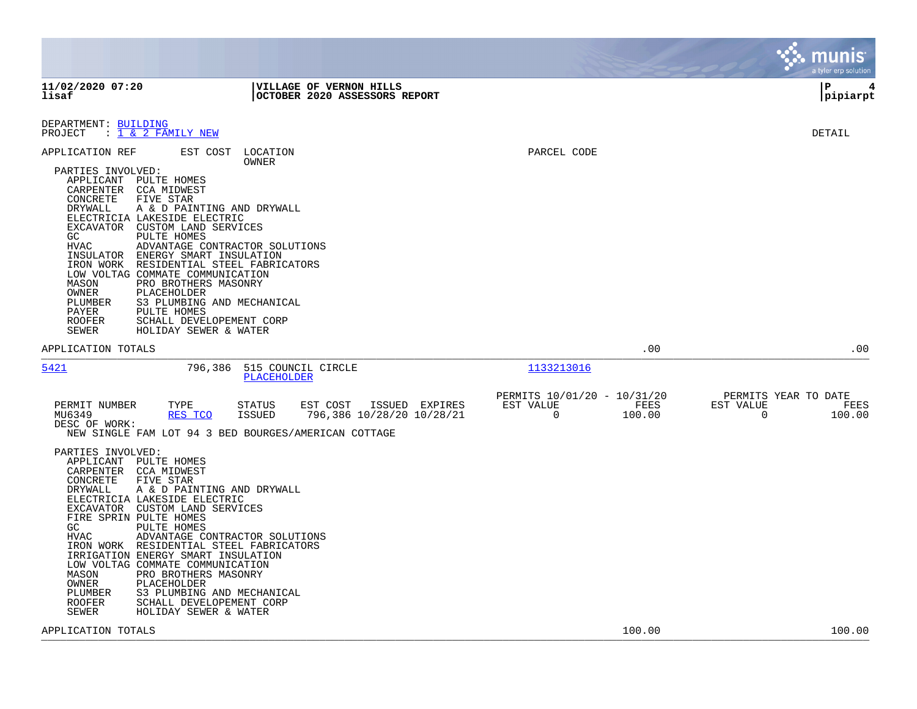|                                                                                                                                                                                                                                                                                                                                                                                                                                                                                                                               |                                                                                                                                                  |                                                                           | munis<br>a tyler erp solution                                      |
|-------------------------------------------------------------------------------------------------------------------------------------------------------------------------------------------------------------------------------------------------------------------------------------------------------------------------------------------------------------------------------------------------------------------------------------------------------------------------------------------------------------------------------|--------------------------------------------------------------------------------------------------------------------------------------------------|---------------------------------------------------------------------------|--------------------------------------------------------------------|
| 11/02/2020 07:20<br>lisaf                                                                                                                                                                                                                                                                                                                                                                                                                                                                                                     | VILLAGE OF VERNON HILLS<br>OCTOBER 2020 ASSESSORS REPORT                                                                                         |                                                                           | l P<br>4<br> pipiarpt                                              |
| DEPARTMENT: BUILDING<br>PROJECT : 1 & 2 FAMILY NEW                                                                                                                                                                                                                                                                                                                                                                                                                                                                            |                                                                                                                                                  |                                                                           | <b>DETAIL</b>                                                      |
| APPLICATION REF<br>EST COST<br>PARTIES INVOLVED:<br>APPLICANT<br>PULTE HOMES<br>CARPENTER<br>CCA MIDWEST<br>CONCRETE<br>FIVE STAR<br>DRYWALL<br>ELECTRICIA LAKESIDE ELECTRIC<br>EXCAVATOR CUSTOM LAND SERVICES<br>GC.<br>PULTE HOMES<br><b>HVAC</b><br>INSULATOR ENERGY SMART INSULATION<br>IRON WORK<br>LOW VOLTAG COMMATE COMMUNICATION<br>MASON<br>PRO BROTHERS MASONRY<br>OWNER<br>PLACEHOLDER<br>PLUMBER<br>PAYER<br>PULTE HOMES<br><b>ROOFER</b><br>SCHALL DEVELOPEMENT CORP<br>SEWER<br>HOLIDAY SEWER & WATER          | LOCATION<br>OWNER<br>A & D PAINTING AND DRYWALL<br>ADVANTAGE CONTRACTOR SOLUTIONS<br>RESIDENTIAL STEEL FABRICATORS<br>S3 PLUMBING AND MECHANICAL | PARCEL CODE                                                               |                                                                    |
| APPLICATION TOTALS                                                                                                                                                                                                                                                                                                                                                                                                                                                                                                            |                                                                                                                                                  | .00                                                                       | .00                                                                |
| 5421<br>796,386                                                                                                                                                                                                                                                                                                                                                                                                                                                                                                               | 515 COUNCIL CIRCLE<br><b>PLACEHOLDER</b>                                                                                                         | 1133213016                                                                |                                                                    |
| PERMIT NUMBER<br>TYPE<br>MU6349<br>RES TCO<br>DESC OF WORK:                                                                                                                                                                                                                                                                                                                                                                                                                                                                   | <b>STATUS</b><br>EST COST<br>ISSUED EXPIRES<br>796,386 10/28/20 10/28/21<br>ISSUED<br>NEW SINGLE FAM LOT 94 3 BED BOURGES/AMERICAN COTTAGE       | PERMITS 10/01/20 - 10/31/20<br>FEES<br>EST VALUE<br>$\mathbf 0$<br>100.00 | PERMITS YEAR TO DATE<br>EST VALUE<br>FEES<br>$\mathbf 0$<br>100.00 |
| PARTIES INVOLVED:<br>APPLICANT PULTE HOMES<br>CARPENTER CCA MIDWEST<br>CONCRETE<br>FIVE STAR<br><b>DRYWALL</b><br>ELECTRICIA LAKESIDE ELECTRIC<br>EXCAVATOR CUSTOM LAND SERVICES<br>FIRE SPRIN PULTE HOMES<br>GC<br>PULTE HOMES<br><b>HVAC</b><br>IRON WORK RESIDENTIAL STEEL FABRICATORS<br>IRRIGATION ENERGY SMART INSULATION<br>LOW VOLTAG COMMATE COMMUNICATION<br>MASON<br>PRO BROTHERS MASONRY<br>OWNER<br>PLACEHOLDER<br>PLUMBER<br><b>ROOFER</b><br>SCHALL DEVELOPEMENT CORP<br><b>SEWER</b><br>HOLIDAY SEWER & WATER | A & D PAINTING AND DRYWALL<br>ADVANTAGE CONTRACTOR SOLUTIONS<br>S3 PLUMBING AND MECHANICAL                                                       |                                                                           |                                                                    |
| APPLICATION TOTALS                                                                                                                                                                                                                                                                                                                                                                                                                                                                                                            |                                                                                                                                                  | 100.00                                                                    | 100.00                                                             |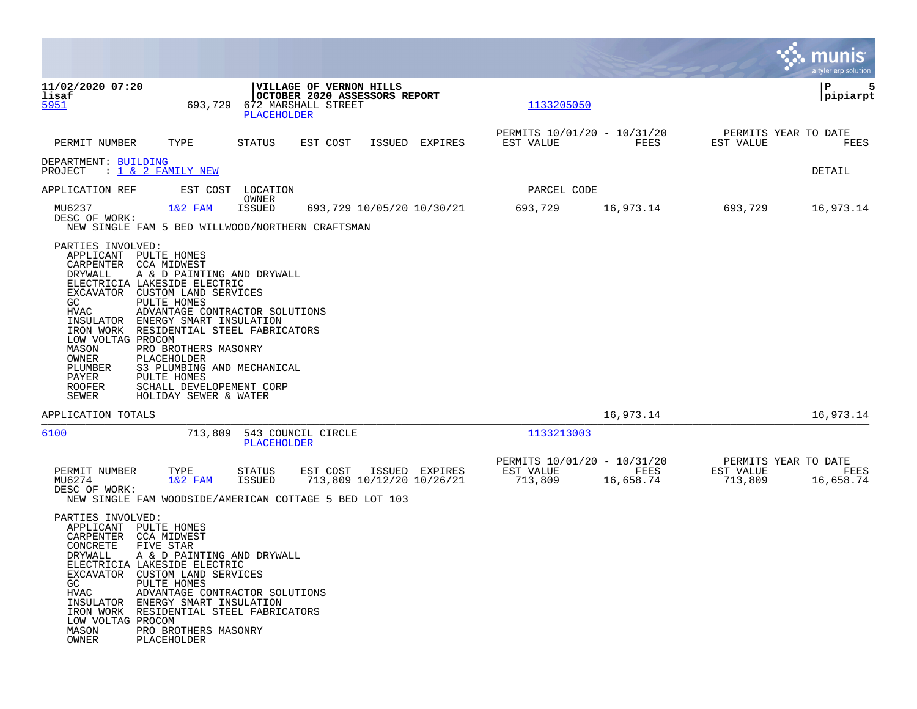|                                                                                                                                                                                     |                                                                                                                                                                                                                                                                                                                                                |                                                                                               |                                                          |                |                                                     |                   |                                              | munis<br>a tyler erp solution |
|-------------------------------------------------------------------------------------------------------------------------------------------------------------------------------------|------------------------------------------------------------------------------------------------------------------------------------------------------------------------------------------------------------------------------------------------------------------------------------------------------------------------------------------------|-----------------------------------------------------------------------------------------------|----------------------------------------------------------|----------------|-----------------------------------------------------|-------------------|----------------------------------------------|-------------------------------|
| 11/02/2020 07:20<br>lisaf<br>5951                                                                                                                                                   | 693,729                                                                                                                                                                                                                                                                                                                                        | 672 MARSHALL STREET<br>PLACEHOLDER                                                            | VILLAGE OF VERNON HILLS<br>OCTOBER 2020 ASSESSORS REPORT |                | 1133205050                                          |                   |                                              | P<br>5<br> pipiarpt           |
| PERMIT NUMBER                                                                                                                                                                       | TYPE                                                                                                                                                                                                                                                                                                                                           | <b>STATUS</b><br>EST COST                                                                     | ISSUED                                                   | EXPIRES        | PERMITS 10/01/20 - 10/31/20<br>EST VALUE            | FEES              | PERMITS YEAR TO DATE<br>EST VALUE            | FEES                          |
| DEPARTMENT: BUILDING<br>PROJECT                                                                                                                                                     | : $\overline{1}$ & 2 FAMILY NEW                                                                                                                                                                                                                                                                                                                |                                                                                               |                                                          |                |                                                     |                   |                                              | DETAIL                        |
| APPLICATION REF                                                                                                                                                                     |                                                                                                                                                                                                                                                                                                                                                | EST COST LOCATION                                                                             |                                                          |                | PARCEL CODE                                         |                   |                                              |                               |
| MU6237<br>DESC OF WORK:                                                                                                                                                             | $1&2$ FAM                                                                                                                                                                                                                                                                                                                                      | OWNER<br><b>ISSUED</b><br>NEW SINGLE FAM 5 BED WILLWOOD/NORTHERN CRAFTSMAN                    | 693,729 10/05/20 10/30/21                                |                | 693,729                                             | 16,973.14         | 693,729                                      | 16,973.14                     |
| PARTIES INVOLVED:<br>APPLICANT<br>CARPENTER<br>DRYWALL<br>EXCAVATOR<br>GC<br>HVAC<br>INSULATOR<br>LOW VOLTAG PROCOM<br>MASON<br>OWNER<br>PLUMBER<br>PAYER<br><b>ROOFER</b><br>SEWER | PULTE HOMES<br>CCA MIDWEST<br>A & D PAINTING AND DRYWALL<br>ELECTRICIA LAKESIDE ELECTRIC<br>CUSTOM LAND SERVICES<br>PULTE HOMES<br>ENERGY SMART INSULATION<br>IRON WORK RESIDENTIAL STEEL FABRICATORS<br>PRO BROTHERS MASONRY<br>PLACEHOLDER<br>S3 PLUMBING AND MECHANICAL<br>PULTE HOMES<br>SCHALL DEVELOPEMENT CORP<br>HOLIDAY SEWER & WATER | ADVANTAGE CONTRACTOR SOLUTIONS                                                                |                                                          |                |                                                     |                   |                                              |                               |
| APPLICATION TOTALS                                                                                                                                                                  |                                                                                                                                                                                                                                                                                                                                                |                                                                                               |                                                          |                |                                                     | 16,973.14         |                                              | 16,973.14                     |
| 6100                                                                                                                                                                                | 713,809                                                                                                                                                                                                                                                                                                                                        | 543 COUNCIL CIRCLE<br>PLACEHOLDER                                                             |                                                          |                | 1133213003                                          |                   |                                              |                               |
| PERMIT NUMBER<br>MU6274<br>DESC OF WORK:                                                                                                                                            | TYPE<br>$1&2$ FAM                                                                                                                                                                                                                                                                                                                              | STATUS<br>EST COST<br><b>ISSUED</b><br>NEW SINGLE FAM WOODSIDE/AMERICAN COTTAGE 5 BED LOT 103 | 713,809 10/12/20 10/26/21                                | ISSUED EXPIRES | PERMITS 10/01/20 - 10/31/20<br>EST VALUE<br>713,809 | FEES<br>16,658.74 | PERMITS YEAR TO DATE<br>EST VALUE<br>713,809 | FEES<br>16,658.74             |
| PARTIES INVOLVED:<br>APPLICANT<br>CARPENTER<br>CONCRETE<br>DRYWALL<br>GC<br>HVAC<br>LOW VOLTAG PROCOM<br>MASON<br>OWNER                                                             | PULTE HOMES<br>CCA MIDWEST<br>FIVE STAR<br>A & D PAINTING AND DRYWALL<br>ELECTRICIA LAKESIDE ELECTRIC<br>EXCAVATOR CUSTOM LAND SERVICES<br>PULTE HOMES<br>INSULATOR ENERGY SMART INSULATION<br>IRON WORK RESIDENTIAL STEEL FABRICATORS<br>PRO BROTHERS MASONRY<br>PLACEHOLDER                                                                  | ADVANTAGE CONTRACTOR SOLUTIONS                                                                |                                                          |                |                                                     |                   |                                              |                               |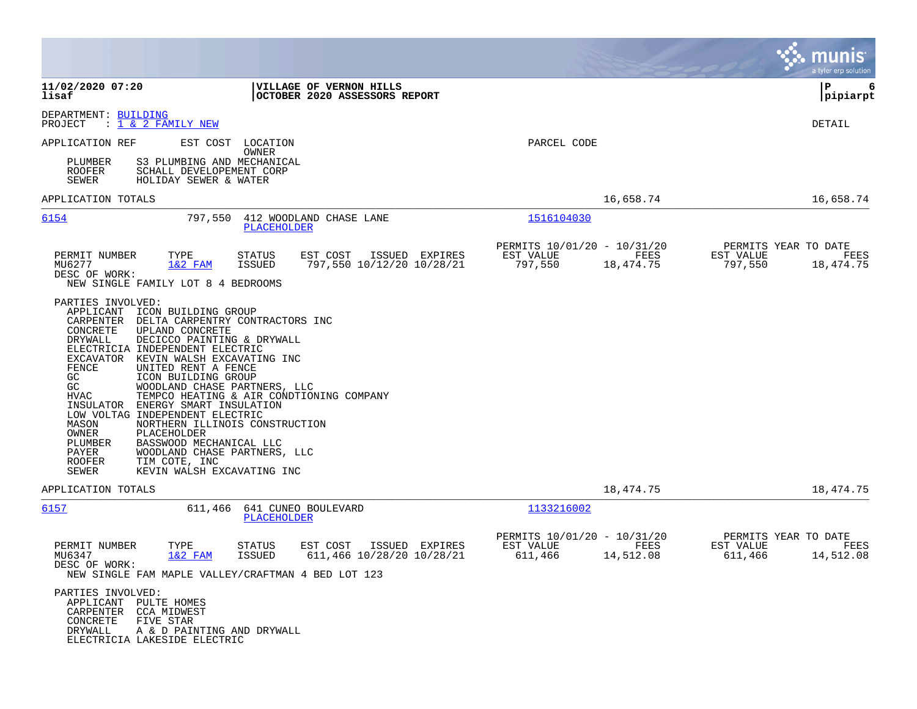|                                                                                                                                                                                                                                                                                                                                                                                                                                                                                                                                                                                                                                                                                                                                     |                                                                          | munis<br>a tyler erp solution                                     |
|-------------------------------------------------------------------------------------------------------------------------------------------------------------------------------------------------------------------------------------------------------------------------------------------------------------------------------------------------------------------------------------------------------------------------------------------------------------------------------------------------------------------------------------------------------------------------------------------------------------------------------------------------------------------------------------------------------------------------------------|--------------------------------------------------------------------------|-------------------------------------------------------------------|
| 11/02/2020 07:20<br>VILLAGE OF VERNON HILLS<br>lisaf<br>OCTOBER 2020 ASSESSORS REPORT                                                                                                                                                                                                                                                                                                                                                                                                                                                                                                                                                                                                                                               |                                                                          | l P<br>6<br> pipiarpt                                             |
| DEPARTMENT: BUILDING<br>PROJECT<br>: <u>1 &amp; 2 FAMILY NEW</u>                                                                                                                                                                                                                                                                                                                                                                                                                                                                                                                                                                                                                                                                    |                                                                          | DETAIL                                                            |
| EST COST<br>APPLICATION REF<br>LOCATION<br>OWNER<br>PLUMBER<br>S3 PLUMBING AND MECHANICAL<br><b>ROOFER</b><br>SCHALL DEVELOPEMENT CORP<br>SEWER<br>HOLIDAY SEWER & WATER                                                                                                                                                                                                                                                                                                                                                                                                                                                                                                                                                            | PARCEL CODE                                                              |                                                                   |
| APPLICATION TOTALS                                                                                                                                                                                                                                                                                                                                                                                                                                                                                                                                                                                                                                                                                                                  | 16,658.74                                                                | 16,658.74                                                         |
| 6154<br>797,550<br>412 WOODLAND CHASE LANE<br>PLACEHOLDER                                                                                                                                                                                                                                                                                                                                                                                                                                                                                                                                                                                                                                                                           | 1516104030                                                               |                                                                   |
| PERMIT NUMBER<br>TYPE<br>STATUS<br>EST COST<br>ISSUED EXPIRES<br>MU6277<br>$1&2$ FAM<br><b>ISSUED</b><br>797,550 10/12/20 10/28/21<br>DESC OF WORK:<br>NEW SINGLE FAMILY LOT 8 4 BEDROOMS                                                                                                                                                                                                                                                                                                                                                                                                                                                                                                                                           | PERMITS 10/01/20 - 10/31/20<br>EST VALUE<br>FEES<br>797,550<br>18,474.75 | PERMITS YEAR TO DATE<br>EST VALUE<br>FEES<br>797,550<br>18,474.75 |
| PARTIES INVOLVED:<br>APPLICANT<br>ICON BUILDING GROUP<br>CARPENTER<br>DELTA CARPENTRY CONTRACTORS INC<br>CONCRETE<br>UPLAND CONCRETE<br><b>DRYWALL</b><br>DECICCO PAINTING & DRYWALL<br>ELECTRICIA INDEPENDENT ELECTRIC<br>EXCAVATOR KEVIN WALSH EXCAVATING INC<br>FENCE<br>UNITED RENT A FENCE<br>GC<br>ICON BUILDING GROUP<br>GC<br>WOODLAND CHASE PARTNERS, LLC<br>TEMPCO HEATING & AIR CONDTIONING COMPANY<br><b>HVAC</b><br>INSULATOR<br>ENERGY SMART INSULATION<br>LOW VOLTAG INDEPENDENT ELECTRIC<br>NORTHERN ILLINOIS CONSTRUCTION<br>MASON<br>OWNER<br>PLACEHOLDER<br>BASSWOOD MECHANICAL LLC<br>PLUMBER<br>WOODLAND CHASE PARTNERS, LLC<br>PAYER<br>TIM COTE, INC<br><b>ROOFER</b><br>KEVIN WALSH EXCAVATING INC<br>SEWER |                                                                          |                                                                   |
| APPLICATION TOTALS                                                                                                                                                                                                                                                                                                                                                                                                                                                                                                                                                                                                                                                                                                                  | 18,474.75                                                                | 18,474.75                                                         |
| 6157<br>641 CUNEO BOULEVARD<br>611,466<br>PLACEHOLDER                                                                                                                                                                                                                                                                                                                                                                                                                                                                                                                                                                                                                                                                               | 1133216002                                                               |                                                                   |
| PERMIT NUMBER<br>TYPE<br><b>STATUS</b><br>EST COST<br>ISSUED EXPIRES<br>MU6347<br>$1&2$ FAM<br><b>ISSUED</b><br>611,466 10/28/20 10/28/21<br>DESC OF WORK:<br>NEW SINGLE FAM MAPLE VALLEY/CRAFTMAN 4 BED LOT 123                                                                                                                                                                                                                                                                                                                                                                                                                                                                                                                    | PERMITS 10/01/20 - 10/31/20<br>EST VALUE<br>FEES<br>611,466<br>14,512.08 | PERMITS YEAR TO DATE<br>EST VALUE<br>FEES<br>611,466<br>14,512.08 |
| PARTIES INVOLVED:<br>APPLICANT PULTE HOMES<br>CCA MIDWEST<br>CARPENTER<br>CONCRETE<br>FIVE STAR<br>DRYWALL<br>A & D PAINTING AND DRYWALL<br>ELECTRICIA LAKESIDE ELECTRIC                                                                                                                                                                                                                                                                                                                                                                                                                                                                                                                                                            |                                                                          |                                                                   |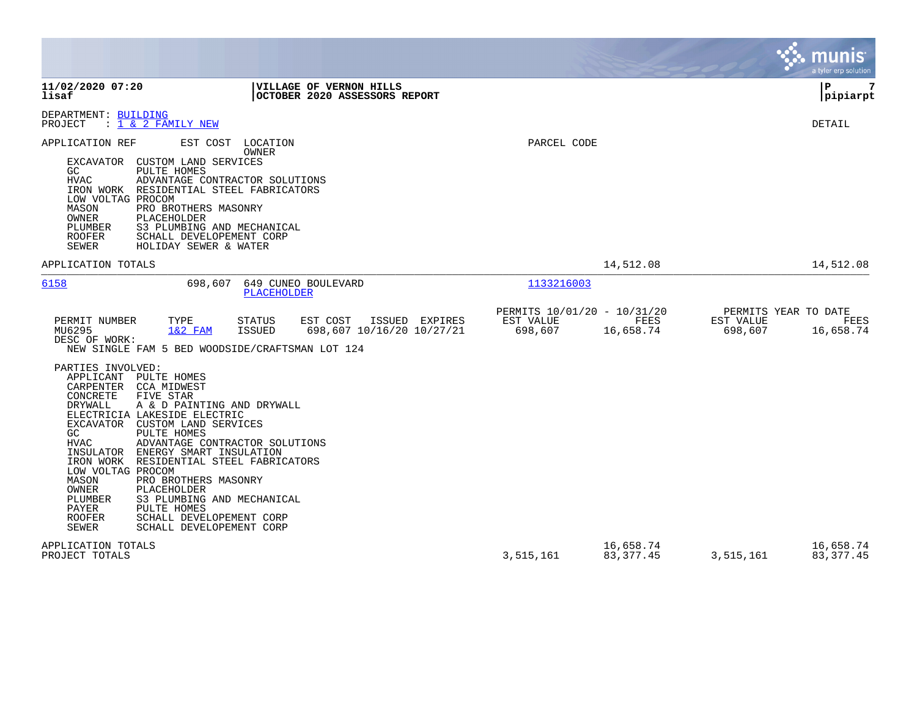|                                                                                                                                                                                                                                                                                                                                                                                                                                                                                                                                                            |                |                                                                   |                          |                                              | munis<br>a tyler erp solution |
|------------------------------------------------------------------------------------------------------------------------------------------------------------------------------------------------------------------------------------------------------------------------------------------------------------------------------------------------------------------------------------------------------------------------------------------------------------------------------------------------------------------------------------------------------------|----------------|-------------------------------------------------------------------|--------------------------|----------------------------------------------|-------------------------------|
| 11/02/2020 07:20<br>VILLAGE OF VERNON HILLS<br>OCTOBER 2020 ASSESSORS REPORT<br>lisaf                                                                                                                                                                                                                                                                                                                                                                                                                                                                      |                |                                                                   |                          |                                              | 7<br>P<br> pipiarpt           |
| DEPARTMENT: BUILDING<br>: 1 & 2 FAMILY NEW<br>PROJECT                                                                                                                                                                                                                                                                                                                                                                                                                                                                                                      |                |                                                                   |                          |                                              | <b>DETAIL</b>                 |
| APPLICATION REF<br>EST COST LOCATION<br><b>OWNER</b><br>CUSTOM LAND SERVICES<br>EXCAVATOR<br>GC<br>PULTE HOMES<br><b>HVAC</b><br>ADVANTAGE CONTRACTOR SOLUTIONS<br>IRON WORK RESIDENTIAL STEEL FABRICATORS<br>LOW VOLTAG PROCOM<br>MASON<br>PRO BROTHERS MASONRY<br><b>OWNER</b><br>PLACEHOLDER<br>PLUMBER<br>S3 PLUMBING AND MECHANICAL<br><b>ROOFER</b><br>SCHALL DEVELOPEMENT CORP<br>SEWER<br>HOLIDAY SEWER & WATER                                                                                                                                    |                | PARCEL CODE                                                       |                          |                                              |                               |
| APPLICATION TOTALS                                                                                                                                                                                                                                                                                                                                                                                                                                                                                                                                         |                |                                                                   | 14,512.08                |                                              | 14,512.08                     |
| 6158<br>649 CUNEO BOULEVARD<br>698,607<br><b>PLACEHOLDER</b><br>PERMIT NUMBER<br>TYPE<br>STATUS<br>EST COST<br>MU6295<br>$1&2$ FAM<br>698,607 10/16/20 10/27/21<br>ISSUED<br>DESC OF WORK:<br>NEW SINGLE FAM 5 BED WOODSIDE/CRAFTSMAN LOT 124<br>PARTIES INVOLVED:<br>APPLICANT PULTE HOMES                                                                                                                                                                                                                                                                | ISSUED EXPIRES | 1133216003<br>PERMITS 10/01/20 - 10/31/20<br>EST VALUE<br>698,607 | FEES<br>16,658.74        | PERMITS YEAR TO DATE<br>EST VALUE<br>698,607 | FEES<br>16,658.74             |
| CARPENTER CCA MIDWEST<br>CONCRETE<br>FIVE STAR<br><b>DRYWALL</b><br>A & D PAINTING AND DRYWALL<br>ELECTRICIA LAKESIDE ELECTRIC<br>EXCAVATOR CUSTOM LAND SERVICES<br>GC<br>PULTE HOMES<br><b>HVAC</b><br>ADVANTAGE CONTRACTOR SOLUTIONS<br>INSULATOR<br>ENERGY SMART INSULATION<br>IRON WORK RESIDENTIAL STEEL FABRICATORS<br>LOW VOLTAG PROCOM<br>MASON<br>PRO BROTHERS MASONRY<br>OWNER<br>PLACEHOLDER<br>PLUMBER<br>S3 PLUMBING AND MECHANICAL<br>PAYER<br>PULTE HOMES<br><b>ROOFER</b><br>SCHALL DEVELOPEMENT CORP<br>SEWER<br>SCHALL DEVELOPEMENT CORP |                |                                                                   |                          |                                              |                               |
| APPLICATION TOTALS<br>PROJECT TOTALS                                                                                                                                                                                                                                                                                                                                                                                                                                                                                                                       |                | 3,515,161                                                         | 16,658.74<br>83, 377. 45 | 3,515,161                                    | 16,658.74<br>83, 377.45       |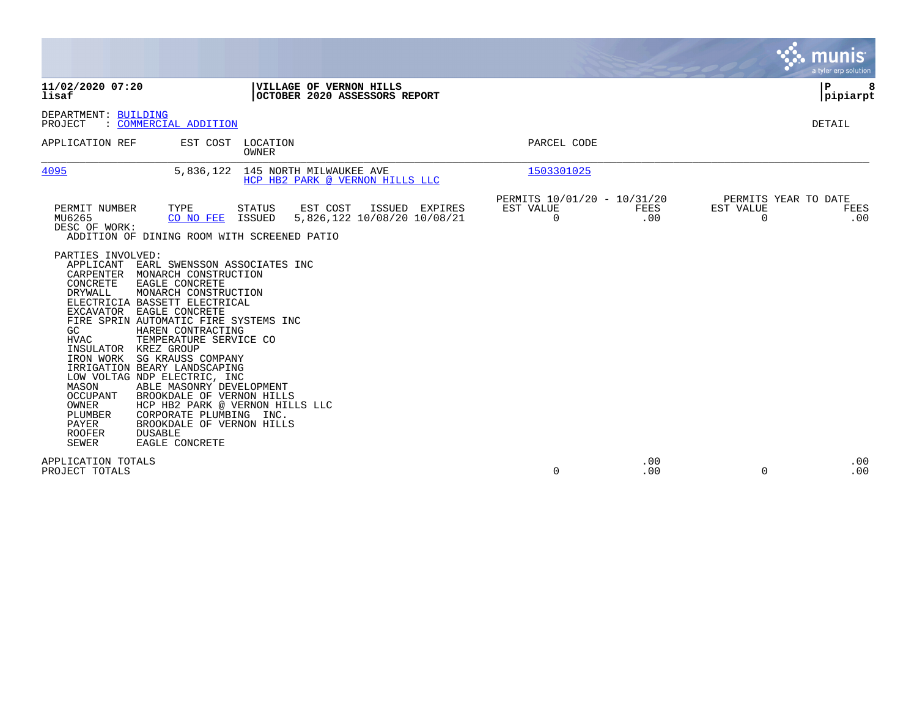|                                                                                                                                                                                                                                                                                                                                                                                              |                                                                                                                                                                                                                                                                                                                                                                          |                            |                                                                 |                                               |                    |                       |                      | <b>munis</b><br>a tyler erp solution |
|----------------------------------------------------------------------------------------------------------------------------------------------------------------------------------------------------------------------------------------------------------------------------------------------------------------------------------------------------------------------------------------------|--------------------------------------------------------------------------------------------------------------------------------------------------------------------------------------------------------------------------------------------------------------------------------------------------------------------------------------------------------------------------|----------------------------|-----------------------------------------------------------------|-----------------------------------------------|--------------------|-----------------------|----------------------|--------------------------------------|
| 11/02/2020 07:20<br>lisaf                                                                                                                                                                                                                                                                                                                                                                    |                                                                                                                                                                                                                                                                                                                                                                          |                            | <b>VILLAGE OF VERNON HILLS</b><br>OCTOBER 2020 ASSESSORS REPORT |                                               |                    |                       | P                    | pipiarpt                             |
| DEPARTMENT: BUILDING<br>PROJECT                                                                                                                                                                                                                                                                                                                                                              | : COMMERCIAL ADDITION                                                                                                                                                                                                                                                                                                                                                    |                            |                                                                 |                                               |                    |                       |                      | DETAIL                               |
| APPLICATION REF                                                                                                                                                                                                                                                                                                                                                                              |                                                                                                                                                                                                                                                                                                                                                                          | EST COST LOCATION<br>OWNER |                                                                 | PARCEL CODE                                   |                    |                       |                      |                                      |
| 4095                                                                                                                                                                                                                                                                                                                                                                                         | 5,836,122                                                                                                                                                                                                                                                                                                                                                                |                            | 145 NORTH MILWAUKEE AVE<br>HCP HB2 PARK @ VERNON HILLS LLC      | 1503301025                                    |                    |                       |                      |                                      |
| PERMIT NUMBER<br>MU6265<br>DESC OF WORK:<br>ADDITION OF DINING ROOM WITH SCREENED PATIO                                                                                                                                                                                                                                                                                                      | TYPE<br>CO NO FEE                                                                                                                                                                                                                                                                                                                                                        | STATUS<br>ISSUED           | EST COST<br>ISSUED EXPIRES<br>5,826,122 10/08/20 10/08/21       | PERMITS 10/01/20 - 10/31/20<br>EST VALUE<br>0 | <b>FEES</b><br>.00 | EST VALUE<br>$\Omega$ | PERMITS YEAR TO DATE | FEES<br>.00                          |
| PARTIES INVOLVED:<br>APPLICANT<br>CARPENTER<br>CONCRETE<br><b>DRYWALL</b><br>ELECTRICIA BASSETT ELECTRICAL<br>EXCAVATOR<br>FIRE SPRIN AUTOMATIC FIRE SYSTEMS INC<br>GC.<br>HVAC<br>INSULATOR<br>IRON WORK<br>IRRIGATION BEARY LANDSCAPING<br>LOW VOLTAG NDP ELECTRIC, INC<br>MASON<br><b>OCCUPANT</b><br>OWNER<br><b>PLUMBER</b><br>PAYER<br><b>ROOFER</b><br><b>DUSABLE</b><br><b>SEWER</b> | EARL SWENSSON ASSOCIATES INC<br>MONARCH CONSTRUCTION<br>EAGLE CONCRETE<br>MONARCH CONSTRUCTION<br>EAGLE CONCRETE<br>HAREN CONTRACTING<br>TEMPERATURE SERVICE CO<br>KREZ GROUP<br>SG KRAUSS COMPANY<br>ABLE MASONRY DEVELOPMENT<br>BROOKDALE OF VERNON HILLS<br>HCP HB2 PARK @ VERNON HILLS LLC<br>CORPORATE PLUMBING INC.<br>BROOKDALE OF VERNON HILLS<br>EAGLE CONCRETE |                            |                                                                 |                                               |                    |                       |                      |                                      |
| APPLICATION TOTALS<br>PROJECT TOTALS                                                                                                                                                                                                                                                                                                                                                         |                                                                                                                                                                                                                                                                                                                                                                          |                            |                                                                 | $\mathbf 0$                                   | .00<br>.00         | $\mathbf 0$           |                      | .00<br>.00                           |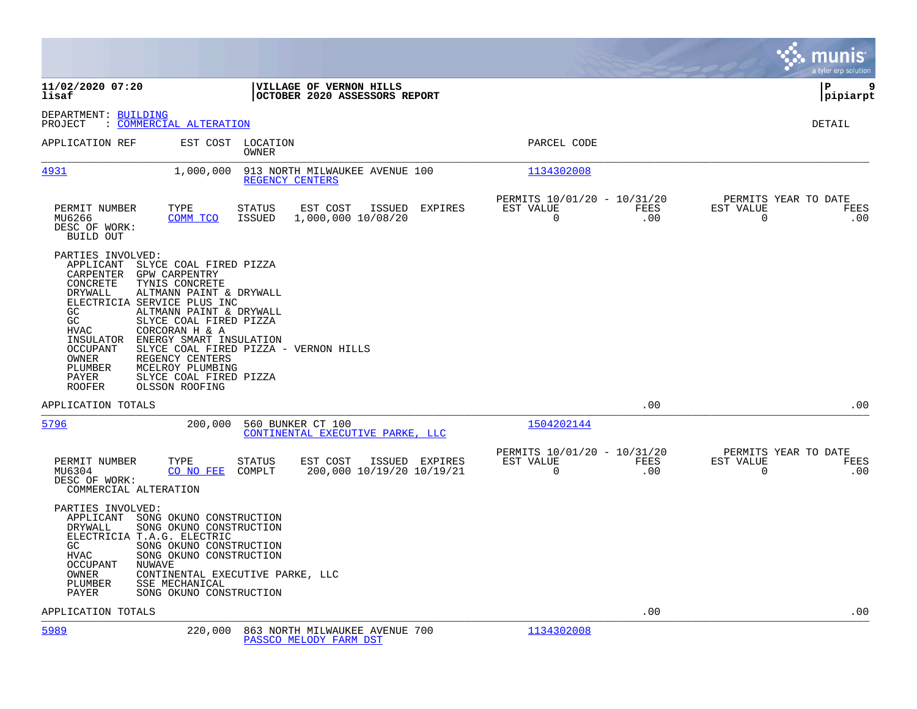|                                                                                                                                                                                                                                                                                                                                                                                                                                                                                                                                         |                             |                                            |                                         | munis<br>a tyler erp solution       |
|-----------------------------------------------------------------------------------------------------------------------------------------------------------------------------------------------------------------------------------------------------------------------------------------------------------------------------------------------------------------------------------------------------------------------------------------------------------------------------------------------------------------------------------------|-----------------------------|--------------------------------------------|-----------------------------------------|-------------------------------------|
| 11/02/2020 07:20<br>VILLAGE OF VERNON HILLS<br>lisaf<br>OCTOBER 2020 ASSESSORS REPORT                                                                                                                                                                                                                                                                                                                                                                                                                                                   |                             |                                            |                                         | 9<br>l P<br> pipiarpt               |
| DEPARTMENT: BUILDING<br>: COMMERCIAL ALTERATION<br>PROJECT                                                                                                                                                                                                                                                                                                                                                                                                                                                                              |                             |                                            |                                         | <b>DETAIL</b>                       |
| APPLICATION REF<br>EST COST LOCATION<br>OWNER                                                                                                                                                                                                                                                                                                                                                                                                                                                                                           |                             | PARCEL CODE                                |                                         |                                     |
| <u>4931</u><br>1,000,000<br>913 NORTH MILWAUKEE AVENUE 100<br>REGENCY CENTERS                                                                                                                                                                                                                                                                                                                                                                                                                                                           |                             | 1134302008                                 |                                         |                                     |
| PERMIT NUMBER<br>TYPE<br>STATUS<br>EST COST<br>ISSUED<br>MU6266<br>COMM TCO<br>ISSUED<br>1,000,000 10/08/20<br>DESC OF WORK:<br>BUILD OUT                                                                                                                                                                                                                                                                                                                                                                                               | EXPIRES<br>EST VALUE        | PERMITS 10/01/20 - 10/31/20<br>0           | FEES<br>EST VALUE<br>.00<br>$\mathbf 0$ | PERMITS YEAR TO DATE<br>FEES<br>.00 |
| PARTIES INVOLVED:<br>APPLICANT<br>SLYCE COAL FIRED PIZZA<br>CARPENTER<br>GPW CARPENTRY<br>CONCRETE<br>TYNIS CONCRETE<br><b>DRYWALL</b><br>ALTMANN PAINT & DRYWALL<br>ELECTRICIA SERVICE PLUS INC<br>GC<br>ALTMANN PAINT & DRYWALL<br>GC<br>SLYCE COAL FIRED PIZZA<br><b>HVAC</b><br>CORCORAN H & A<br>INSULATOR<br>ENERGY SMART INSULATION<br><b>OCCUPANT</b><br>SLYCE COAL FIRED PIZZA - VERNON HILLS<br>REGENCY CENTERS<br>OWNER<br>PLUMBER<br>MCELROY PLUMBING<br>PAYER<br>SLYCE COAL FIRED PIZZA<br><b>ROOFER</b><br>OLSSON ROOFING |                             |                                            |                                         |                                     |
| APPLICATION TOTALS                                                                                                                                                                                                                                                                                                                                                                                                                                                                                                                      |                             |                                            | .00                                     | .00                                 |
| 5796<br>200,000<br>560 BUNKER CT 100<br>CONTINENTAL EXECUTIVE PARKE, LLC                                                                                                                                                                                                                                                                                                                                                                                                                                                                |                             | 1504202144                                 |                                         |                                     |
| EST COST<br>PERMIT NUMBER<br>TYPE<br>STATUS<br>COMPLT<br>200,000 10/19/20 10/19/21<br>MU6304<br>CO NO FEE<br>DESC OF WORK:<br>COMMERCIAL ALTERATION                                                                                                                                                                                                                                                                                                                                                                                     | EST VALUE<br>ISSUED EXPIRES | PERMITS 10/01/20 - 10/31/20<br>$\mathbf 0$ | EST VALUE<br>FEES<br>.00<br>$\mathbf 0$ | PERMITS YEAR TO DATE<br>FEES<br>.00 |
| PARTIES INVOLVED:<br>APPLICANT<br>SONG OKUNO CONSTRUCTION<br><b>DRYWALL</b><br>SONG OKUNO CONSTRUCTION<br>ELECTRICIA T.A.G. ELECTRIC<br>GC<br>SONG OKUNO CONSTRUCTION<br><b>HVAC</b><br>SONG OKUNO CONSTRUCTION<br>OCCUPANT<br>NUWAVE<br><b>OWNER</b><br>CONTINENTAL EXECUTIVE PARKE, LLC<br>SSE MECHANICAL<br>PLUMBER<br><b>PAYER</b><br>SONG OKUNO CONSTRUCTION                                                                                                                                                                       |                             |                                            |                                         |                                     |
| APPLICATION TOTALS                                                                                                                                                                                                                                                                                                                                                                                                                                                                                                                      |                             |                                            | .00                                     | .00                                 |
| 5989<br>220,000<br>863 NORTH MILWAUKEE AVENUE 700                                                                                                                                                                                                                                                                                                                                                                                                                                                                                       |                             | 1134302008                                 |                                         |                                     |

[PASSCO MELODY FARM DST](http://vvh-munis1:55000/views/PassThru.aspx?-E=AMCkgTVU8ZMud1rB1hjJC3rt1UExPjLDOQkmdvEKbXJnBk1rrgUbp0UKC9QzCUFI&)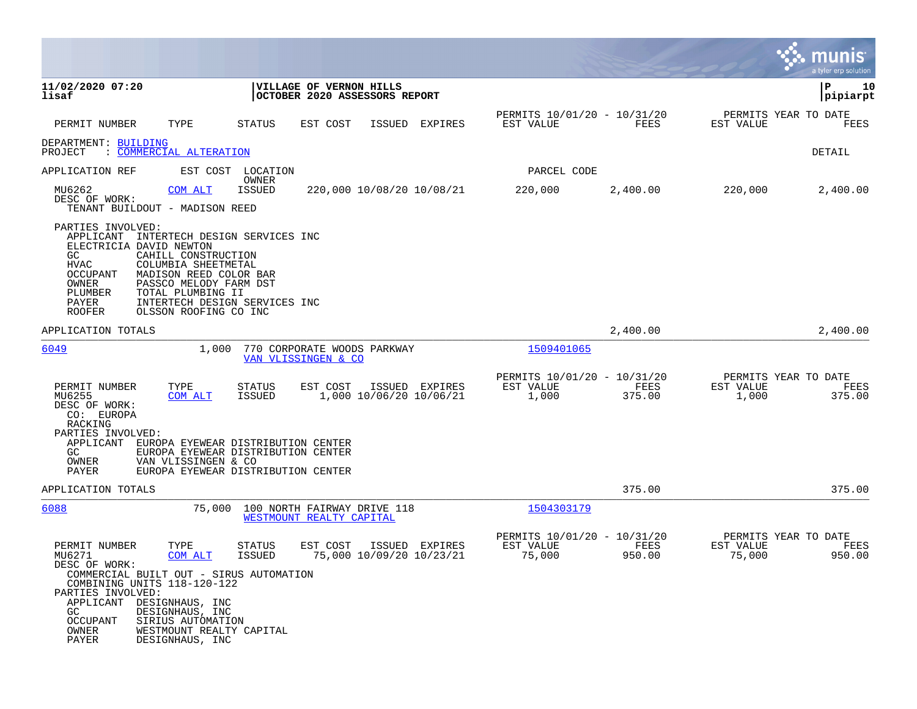|                                                                                                                                                                                                                                                                                                                                                  |                                                                                                                |                |                                                    |                |                                             | munis<br>a tyler erp solution |
|--------------------------------------------------------------------------------------------------------------------------------------------------------------------------------------------------------------------------------------------------------------------------------------------------------------------------------------------------|----------------------------------------------------------------------------------------------------------------|----------------|----------------------------------------------------|----------------|---------------------------------------------|-------------------------------|
| 11/02/2020 07:20<br>lisaf                                                                                                                                                                                                                                                                                                                        | VILLAGE OF VERNON HILLS<br>OCTOBER 2020 ASSESSORS REPORT                                                       |                |                                                    |                |                                             | P<br>10<br> pipiarpt          |
| PERMIT NUMBER<br>TYPE                                                                                                                                                                                                                                                                                                                            | EST COST<br>ISSUED<br>STATUS                                                                                   | <b>EXPIRES</b> | PERMITS 10/01/20 - 10/31/20<br>EST VALUE           | FEES           | PERMITS YEAR TO DATE<br>EST VALUE           | FEES                          |
| DEPARTMENT: BUILDING<br>: COMMERCIAL ALTERATION<br>PROJECT                                                                                                                                                                                                                                                                                       |                                                                                                                |                |                                                    |                |                                             | DETAIL                        |
| APPLICATION REF                                                                                                                                                                                                                                                                                                                                  | EST COST LOCATION                                                                                              |                | PARCEL CODE                                        |                |                                             |                               |
| MU6262<br>COM ALT<br>DESC OF WORK:<br>TENANT BUILDOUT - MADISON REED                                                                                                                                                                                                                                                                             | OWNER<br><b>ISSUED</b><br>220,000 10/08/20 10/08/21                                                            |                | 220,000                                            | 2,400.00       | 220,000                                     | 2,400.00                      |
| PARTIES INVOLVED:<br>APPLICANT INTERTECH DESIGN SERVICES INC<br>ELECTRICIA DAVID NEWTON<br>GC<br>CAHILL CONSTRUCTION<br>HVAC<br>COLUMBIA SHEETMETAL<br>OCCUPANT<br>MADISON REED COLOR BAR<br>OWNER<br>PASSCO MELODY FARM DST<br>TOTAL PLUMBING II<br>PLUMBER<br>PAYER<br>INTERTECH DESIGN SERVICES INC<br><b>ROOFER</b><br>OLSSON ROOFING CO INC |                                                                                                                |                |                                                    |                |                                             |                               |
| APPLICATION TOTALS                                                                                                                                                                                                                                                                                                                               |                                                                                                                |                |                                                    | 2,400.00       |                                             | 2,400.00                      |
| 6049<br>1,000                                                                                                                                                                                                                                                                                                                                    | 770 CORPORATE WOODS PARKWAY<br>VAN VLISSINGEN & CO                                                             |                | 1509401065                                         |                |                                             |                               |
| PERMIT NUMBER<br>TYPE<br>MU6255<br>COM ALT<br>DESC OF WORK:<br>CO: EUROPA<br>RACKING                                                                                                                                                                                                                                                             | <b>STATUS</b><br>EST COST<br>ISSUED EXPIRES<br>1,000 10/06/20 10/06/21<br>ISSUED                               |                | PERMITS 10/01/20 - 10/31/20<br>EST VALUE<br>1,000  | FEES<br>375.00 | PERMITS YEAR TO DATE<br>EST VALUE<br>1,000  | FEES<br>375.00                |
| PARTIES INVOLVED:<br>APPLICANT<br>GC.<br>OWNER<br>VAN VLISSINGEN & CO<br>PAYER                                                                                                                                                                                                                                                                   | EUROPA EYEWEAR DISTRIBUTION CENTER<br>EUROPA EYEWEAR DISTRIBUTION CENTER<br>EUROPA EYEWEAR DISTRIBUTION CENTER |                |                                                    |                |                                             |                               |
| APPLICATION TOTALS                                                                                                                                                                                                                                                                                                                               |                                                                                                                |                |                                                    | 375.00         |                                             | 375.00                        |
| 6088<br>75,000                                                                                                                                                                                                                                                                                                                                   | 100 NORTH FAIRWAY DRIVE 118<br>WESTMOUNT REALTY CAPITAL                                                        |                | 1504303179                                         |                |                                             |                               |
| PERMIT NUMBER<br>TYPE<br>MU6271<br>COM ALT<br>DESC OF WORK:<br>COMMERCIAL BUILT OUT - SIRUS AUTOMATION<br>COMBINING UNITS 118-120-122<br>PARTIES INVOLVED:<br>APPLICANT DESIGNHAUS, INC<br>GC<br>DESIGNHAUS, INC<br>OCCUPANT<br>SIRIUS AUTOMATION<br>OWNER<br>WESTMOUNT REALTY CAPITAL<br>PAYER<br>DESIGNHAUS, INC                               | STATUS<br>EST COST<br>ISSUED EXPIRES<br>75,000 10/09/20 10/23/21<br><b>ISSUED</b>                              |                | PERMITS 10/01/20 - 10/31/20<br>EST VALUE<br>75,000 | FEES<br>950.00 | PERMITS YEAR TO DATE<br>EST VALUE<br>75,000 | FEES<br>950.00                |

 $\overline{\phantom{a}}$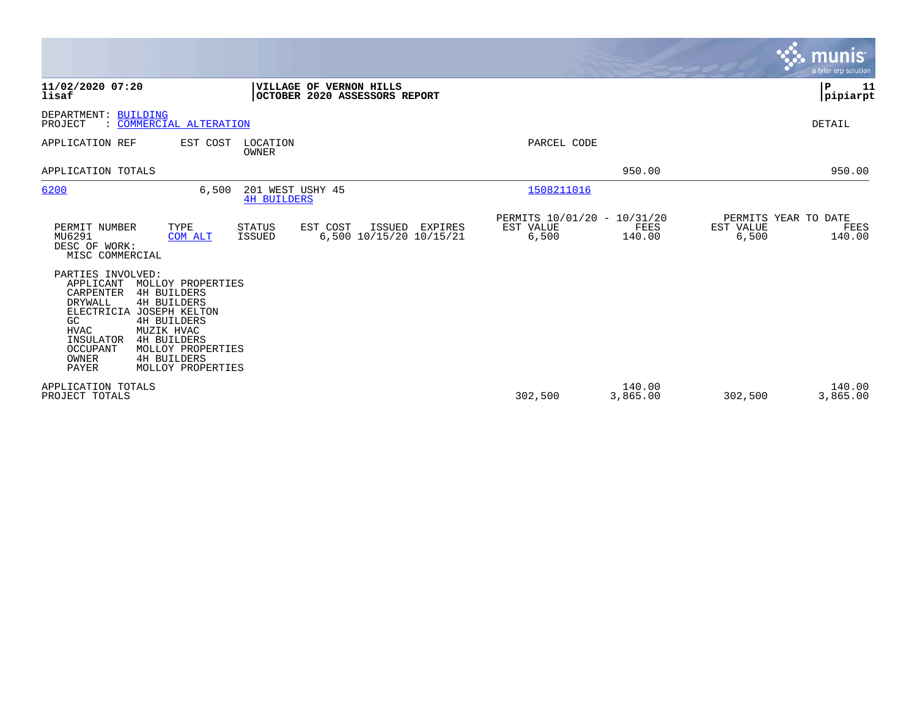|                                                                                                                                                                                                                                                                                                                                                         |                                                                              |                                                   |                    |                    | munis <sup>.</sup><br>a tyler erp solution |
|---------------------------------------------------------------------------------------------------------------------------------------------------------------------------------------------------------------------------------------------------------------------------------------------------------------------------------------------------------|------------------------------------------------------------------------------|---------------------------------------------------|--------------------|--------------------|--------------------------------------------|
| 11/02/2020 07:20<br>lisaf                                                                                                                                                                                                                                                                                                                               | VILLAGE OF VERNON HILLS<br>OCTOBER 2020 ASSESSORS REPORT                     |                                                   |                    |                    | P<br>11<br> pipiarpt                       |
| DEPARTMENT:<br><b>BUILDING</b><br>: COMMERCIAL ALTERATION<br>PROJECT                                                                                                                                                                                                                                                                                    |                                                                              |                                                   |                    |                    | DETAIL                                     |
| APPLICATION REF<br>EST COST                                                                                                                                                                                                                                                                                                                             | LOCATION<br>OWNER                                                            | PARCEL CODE                                       |                    |                    |                                            |
| APPLICATION TOTALS                                                                                                                                                                                                                                                                                                                                      |                                                                              |                                                   | 950.00             |                    | 950.00                                     |
| 6200<br>6,500                                                                                                                                                                                                                                                                                                                                           | 201 WEST USHY 45<br><b>4H BUILDERS</b>                                       | 1508211016                                        |                    |                    |                                            |
| TYPE<br>PERMIT NUMBER<br>MU6291<br>COM ALT<br>DESC OF WORK:<br>MISC COMMERCIAL                                                                                                                                                                                                                                                                          | EST COST<br>ISSUED<br>STATUS<br>EXPIRES<br>6,500 10/15/20 10/15/21<br>ISSUED | PERMITS 10/01/20 - 10/31/20<br>EST VALUE<br>6,500 | FEES<br>140.00     | EST VALUE<br>6,500 | PERMITS YEAR TO DATE<br>FEES<br>140.00     |
| PARTIES INVOLVED:<br>APPLICANT<br>MOLLOY PROPERTIES<br><b>CARPENTER</b><br><b>4H BUILDERS</b><br>DRYWALL<br><b>4H BUILDERS</b><br><b>ELECTRICIA</b><br>JOSEPH KELTON<br>GC<br><b>4H BUILDERS</b><br>HVAC<br>MUZIK HVAC<br>INSULATOR<br><b>4H BUILDERS</b><br>OCCUPANT<br>MOLLOY PROPERTIES<br>OWNER<br><b>4H BUILDERS</b><br>PAYER<br>MOLLOY PROPERTIES |                                                                              |                                                   |                    |                    |                                            |
| APPLICATION TOTALS<br>PROJECT TOTALS                                                                                                                                                                                                                                                                                                                    |                                                                              | 302,500                                           | 140.00<br>3,865.00 | 302,500            | 140.00<br>3,865.00                         |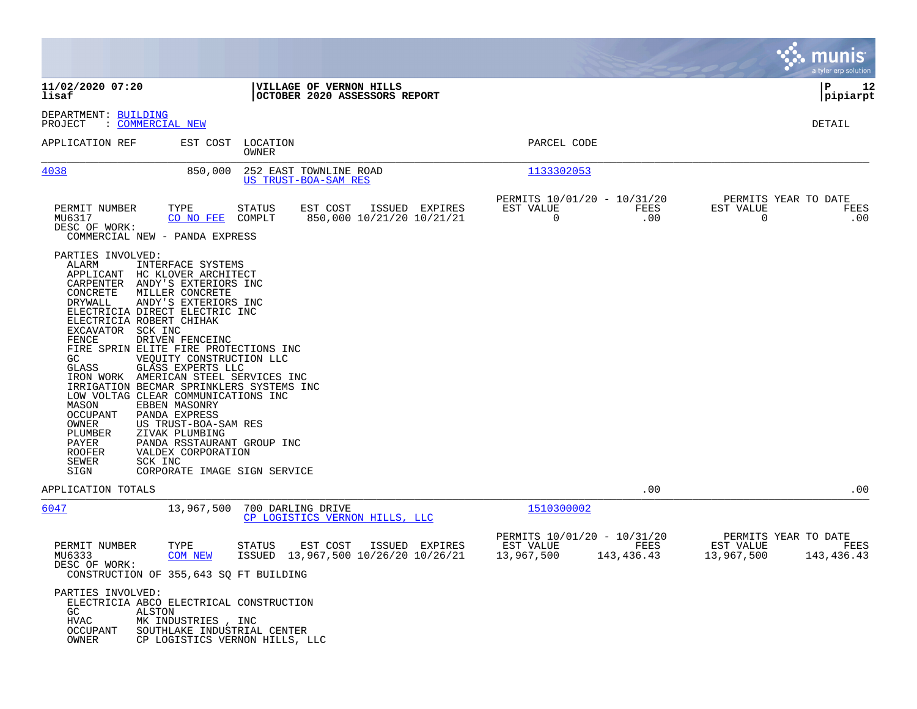|                                                                                                                                                                                                                                                                                                                                                                                                                                                                                                                                                                                                                                                                                                                                    |                                                                                    |                                                                              | munis<br>a tyler erp solution                                         |
|------------------------------------------------------------------------------------------------------------------------------------------------------------------------------------------------------------------------------------------------------------------------------------------------------------------------------------------------------------------------------------------------------------------------------------------------------------------------------------------------------------------------------------------------------------------------------------------------------------------------------------------------------------------------------------------------------------------------------------|------------------------------------------------------------------------------------|------------------------------------------------------------------------------|-----------------------------------------------------------------------|
| 11/02/2020 07:20<br>lisaf                                                                                                                                                                                                                                                                                                                                                                                                                                                                                                                                                                                                                                                                                                          | VILLAGE OF VERNON HILLS<br>OCTOBER 2020 ASSESSORS REPORT                           |                                                                              | P<br>12<br> pipiarpt                                                  |
| DEPARTMENT: BUILDING<br>: <u>COMMERCIAL</u> NEW<br>PROJECT                                                                                                                                                                                                                                                                                                                                                                                                                                                                                                                                                                                                                                                                         |                                                                                    |                                                                              | <b>DETAIL</b>                                                         |
| APPLICATION REF<br>EST COST                                                                                                                                                                                                                                                                                                                                                                                                                                                                                                                                                                                                                                                                                                        | LOCATION<br>OWNER                                                                  | PARCEL CODE                                                                  |                                                                       |
| 4038<br>850,000                                                                                                                                                                                                                                                                                                                                                                                                                                                                                                                                                                                                                                                                                                                    | 252 EAST TOWNLINE ROAD<br>US TRUST-BOA-SAM RES                                     | 1133302053                                                                   |                                                                       |
| PERMIT NUMBER<br>TYPE<br>MU6317<br>CO NO FEE<br>DESC OF WORK:<br>COMMERCIAL NEW - PANDA EXPRESS                                                                                                                                                                                                                                                                                                                                                                                                                                                                                                                                                                                                                                    | EST COST<br>ISSUED EXPIRES<br><b>STATUS</b><br>COMPLT<br>850,000 10/21/20 10/21/21 | PERMITS 10/01/20 - 10/31/20<br>EST VALUE<br>FEES<br>0<br>.00                 | PERMITS YEAR TO DATE<br>EST VALUE<br>FEES<br>0<br>.00                 |
| PARTIES INVOLVED:<br>ALARM<br>INTERFACE SYSTEMS<br>APPLICANT HC KLOVER ARCHITECT<br>CARPENTER ANDY'S EXTERIORS INC<br>CONCRETE<br>MILLER CONCRETE<br>DRYWALL<br>ANDY'S EXTERIORS INC<br>ELECTRICIA DIRECT ELECTRIC INC<br>ELECTRICIA ROBERT CHIHAK<br>EXCAVATOR SCK INC<br>FENCE<br>DRIVEN FENCEINC<br>FIRE SPRIN ELITE FIRE PROTECTIONS INC<br>GC<br>VEQUITY CONSTRUCTION LLC<br>GLASS EXPERTS LLC<br>GLASS<br>IRON WORK AMERICAN STEEL SERVICES INC<br>IRRIGATION BECMAR SPRINKLERS SYSTEMS INC<br>LOW VOLTAG CLEAR COMMUNICATIONS INC<br>MASON<br>EBBEN MASONRY<br>PANDA EXPRESS<br>OCCUPANT<br>OWNER<br>US TRUST-BOA-SAM RES<br>PLUMBER<br>ZIVAK PLUMBING<br>PAYER<br>ROOFER<br>VALDEX CORPORATION<br>SEWER<br>SCK INC<br>SIGN | PANDA RSSTAURANT GROUP INC<br>CORPORATE IMAGE SIGN SERVICE                         |                                                                              |                                                                       |
| APPLICATION TOTALS                                                                                                                                                                                                                                                                                                                                                                                                                                                                                                                                                                                                                                                                                                                 |                                                                                    | .00                                                                          | .00                                                                   |
| 6047<br>13,967,500                                                                                                                                                                                                                                                                                                                                                                                                                                                                                                                                                                                                                                                                                                                 | 700 DARLING DRIVE<br>CP LOGISTICS VERNON HILLS, LLC                                | 1510300002                                                                   |                                                                       |
| PERMIT NUMBER<br>TYPE<br>MU6333<br><b>COM NEW</b><br>DESC OF WORK:<br>CONSTRUCTION OF 355,643 SQ FT BUILDING                                                                                                                                                                                                                                                                                                                                                                                                                                                                                                                                                                                                                       | EST COST<br><b>STATUS</b><br>ISSUED EXPIRES<br>ISSUED 13,967,500 10/26/20 10/26/21 | PERMITS 10/01/20 - 10/31/20<br>EST VALUE<br>FEES<br>13,967,500<br>143,436.43 | PERMITS YEAR TO DATE<br>EST VALUE<br>FEES<br>13,967,500<br>143,436.43 |
| PARTIES INVOLVED:<br>ELECTRICIA ABCO ELECTRICAL CONSTRUCTION<br>GC<br>ALSTON<br>HVAC<br>MK INDUSTRIES , INC<br>OCCUPANT<br>OWNER                                                                                                                                                                                                                                                                                                                                                                                                                                                                                                                                                                                                   | SOUTHLAKE INDUSTRIAL CENTER<br>CP LOGISTICS VERNON HILLS, LLC                      |                                                                              |                                                                       |

 $\mathcal{L}$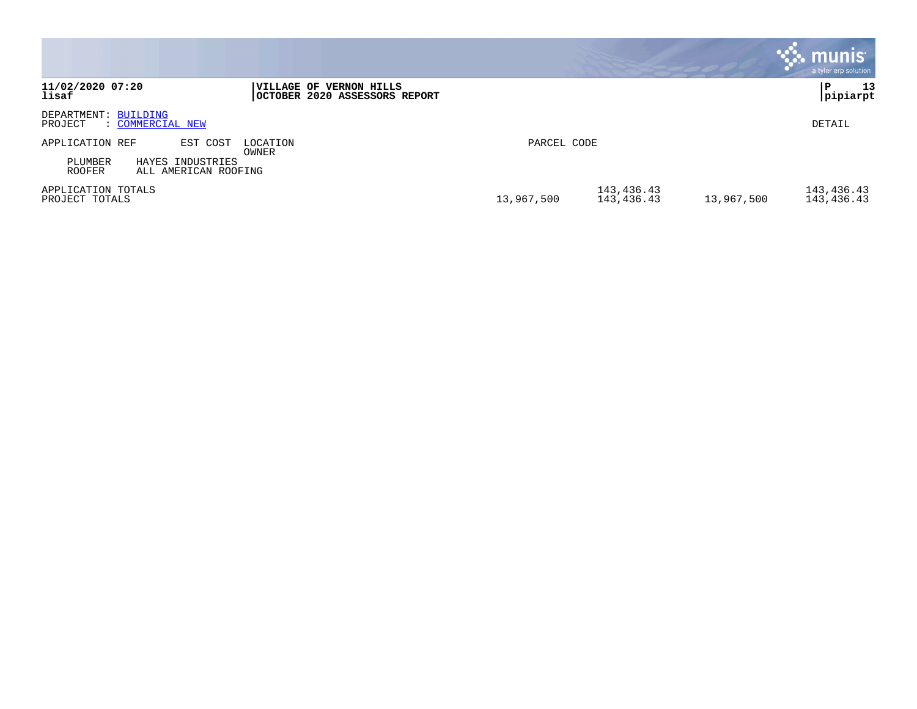|                                                                                                                   | <b>munis</b><br>a tyler erp solution                                             |
|-------------------------------------------------------------------------------------------------------------------|----------------------------------------------------------------------------------|
| 11/02/2020 07:20<br><b> VILLAGE OF VERNON HILLS</b><br>lisaf<br>OCTOBER 2020 ASSESSORS REPORT                     | 13<br>P<br> pipiarpt                                                             |
| DEPARTMENT: BUILDING<br>PROJECT<br>: COMMERCIAL NEW                                                               | DETAIL                                                                           |
| APPLICATION REF<br>EST COST<br>LOCATION<br>OWNER<br>PLUMBER<br>HAYES INDUSTRIES<br>ROOFER<br>ALL AMERICAN ROOFING | PARCEL CODE                                                                      |
| APPLICATION TOTALS<br>PROJECT TOTALS                                                                              | 143,436.43<br>143,436.43<br>13,967,500<br>13,967,500<br>143,436.43<br>143,436.43 |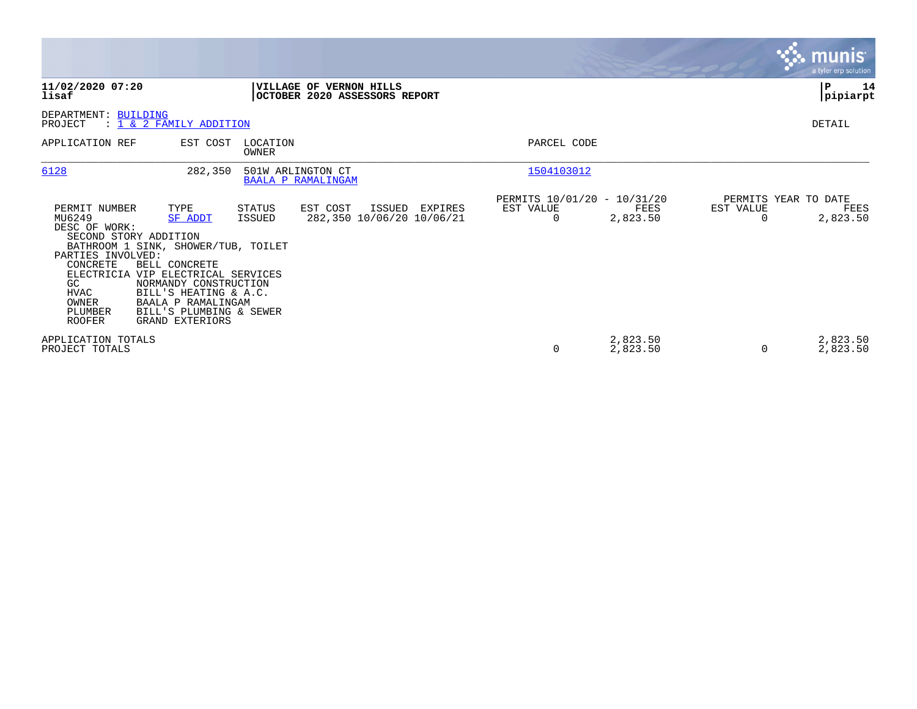|                                                                                                                                                       |                                                                                                                                                                                                                                                          |                   |                                                            |                                                      |                      |           | munis<br>a tyler erp solution            |
|-------------------------------------------------------------------------------------------------------------------------------------------------------|----------------------------------------------------------------------------------------------------------------------------------------------------------------------------------------------------------------------------------------------------------|-------------------|------------------------------------------------------------|------------------------------------------------------|----------------------|-----------|------------------------------------------|
| 11/02/2020 07:20<br>lisaf                                                                                                                             |                                                                                                                                                                                                                                                          |                   | VILLAGE OF VERNON HILLS<br>OCTOBER 2020 ASSESSORS REPORT   |                                                      |                      |           | P<br>14<br> pipiarpt                     |
| DEPARTMENT: BUILDING<br>PROJECT                                                                                                                       | : 1 & 2 FAMILY ADDITION                                                                                                                                                                                                                                  |                   |                                                            |                                                      |                      |           | DETAIL                                   |
| APPLICATION REF                                                                                                                                       | EST COST                                                                                                                                                                                                                                                 | LOCATION<br>OWNER |                                                            | PARCEL CODE                                          |                      |           |                                          |
| 6128                                                                                                                                                  | 282,350                                                                                                                                                                                                                                                  | 501W ARLINGTON CT | <b>BAALA P RAMALINGAM</b>                                  | 1504103012                                           |                      |           |                                          |
| PERMIT NUMBER<br>MU6249<br>DESC OF WORK:<br>SECOND STORY ADDITION<br>PARTIES INVOLVED:<br>CONCRETE<br>GC<br>HVAC<br>OWNER<br>PLUMBER<br><b>ROOFER</b> | TYPE<br><b>SF ADDT</b><br>BATHROOM 1 SINK, SHOWER/TUB, TOILET<br><b>BELL CONCRETE</b><br>ELECTRICIA VIP ELECTRICAL SERVICES<br>NORMANDY CONSTRUCTION<br>BILL'S HEATING & A.C.<br>BAALA P RAMALINGAM<br>BILL'S PLUMBING & SEWER<br><b>GRAND EXTERIORS</b> | STATUS<br>ISSUED  | EST COST<br>ISSUED<br>EXPIRES<br>282,350 10/06/20 10/06/21 | PERMITS 10/01/20 - 10/31/20<br>EST VALUE<br>$\Omega$ | FEES<br>2,823.50     | EST VALUE | PERMITS YEAR TO DATE<br>FEES<br>2,823.50 |
| APPLICATION TOTALS<br>PROJECT TOTALS                                                                                                                  |                                                                                                                                                                                                                                                          |                   |                                                            | 0                                                    | 2,823.50<br>2,823.50 |           | 2,823.50<br>2,823.50                     |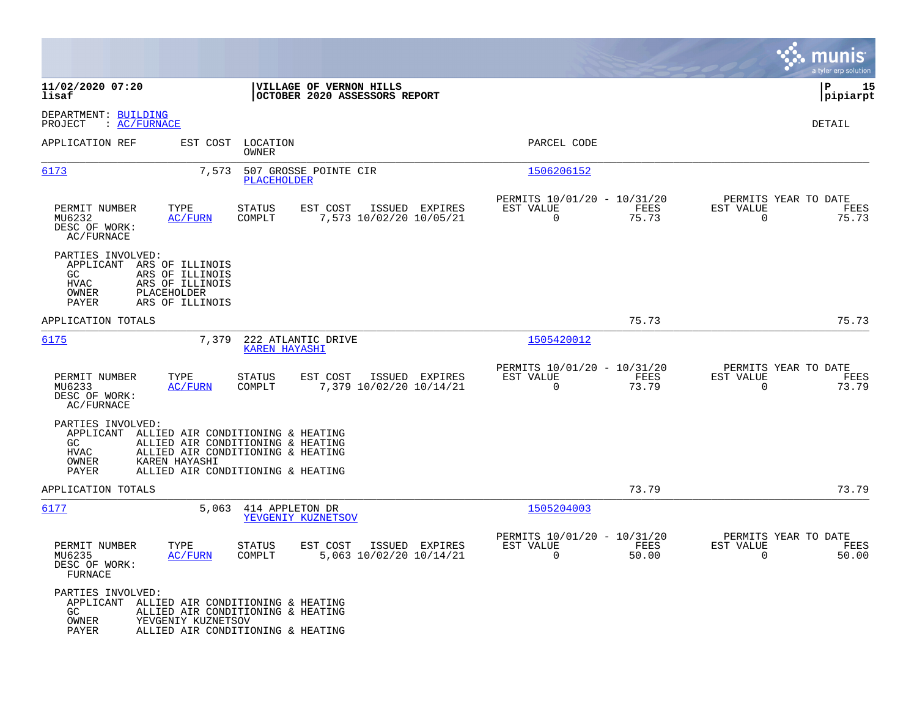|                                                                                                                                                                                                                                                   |                                                                       | munis<br>a tyler erp solution                                     |
|---------------------------------------------------------------------------------------------------------------------------------------------------------------------------------------------------------------------------------------------------|-----------------------------------------------------------------------|-------------------------------------------------------------------|
| 11/02/2020 07:20<br>VILLAGE OF VERNON HILLS<br>OCTOBER 2020 ASSESSORS REPORT<br>lisaf                                                                                                                                                             |                                                                       | P<br>15<br> pipiarpt                                              |
| DEPARTMENT: BUILDING<br>: AC/FURNACE<br>PROJECT                                                                                                                                                                                                   |                                                                       | <b>DETAIL</b>                                                     |
| APPLICATION REF<br>EST COST<br>LOCATION<br>OWNER                                                                                                                                                                                                  | PARCEL CODE                                                           |                                                                   |
| 6173<br>7,573<br>507 GROSSE POINTE CIR<br><b>PLACEHOLDER</b>                                                                                                                                                                                      | 1506206152                                                            |                                                                   |
| PERMIT NUMBER<br>TYPE<br><b>STATUS</b><br>EST COST<br>ISSUED EXPIRES<br>MU6232<br><b>AC/FURN</b><br>COMPLT<br>7,573 10/02/20 10/05/21<br>DESC OF WORK:<br>AC/FURNACE                                                                              | PERMITS 10/01/20 - 10/31/20<br>EST VALUE<br>FEES<br>$\Omega$<br>75.73 | PERMITS YEAR TO DATE<br>EST VALUE<br>FEES<br>$\Omega$<br>75.73    |
| PARTIES INVOLVED:<br>APPLICANT<br>ARS OF ILLINOIS<br>GC<br>ARS OF ILLINOIS<br><b>HVAC</b><br>ARS OF ILLINOIS<br>PLACEHOLDER<br>OWNER<br>ARS OF ILLINOIS<br>PAYER                                                                                  |                                                                       |                                                                   |
| APPLICATION TOTALS                                                                                                                                                                                                                                | 75.73                                                                 | 75.73                                                             |
| 6175<br>7,379<br>222 ATLANTIC DRIVE<br><b>KAREN HAYASHI</b>                                                                                                                                                                                       | 1505420012                                                            |                                                                   |
| PERMIT NUMBER<br>TYPE<br>STATUS<br>EST COST<br>ISSUED EXPIRES<br>MU6233<br><b>AC/FURN</b><br>COMPLT<br>7,379 10/02/20 10/14/21<br>DESC OF WORK:<br>AC/FURNACE                                                                                     | PERMITS 10/01/20 - 10/31/20<br>EST VALUE<br>FEES<br>$\Omega$<br>73.79 | PERMITS YEAR TO DATE<br>EST VALUE<br>FEES<br>$\Omega$<br>73.79    |
| PARTIES INVOLVED:<br>APPLICANT<br>ALLIED AIR CONDITIONING & HEATING<br>GC<br>ALLIED AIR CONDITIONING & HEATING<br><b>HVAC</b><br>ALLIED AIR CONDITIONING & HEATING<br>KAREN HAYASHI<br>OWNER<br><b>PAYER</b><br>ALLIED AIR CONDITIONING & HEATING |                                                                       |                                                                   |
| APPLICATION TOTALS                                                                                                                                                                                                                                | 73.79                                                                 | 73.79                                                             |
| 6177<br>5,063<br>414 APPLETON DR<br>YEVGENIY KUZNETSOV                                                                                                                                                                                            | 1505204003                                                            |                                                                   |
| PERMIT NUMBER<br>TYPE<br>STATUS<br>EST COST<br>ISSUED EXPIRES<br>5,063 10/02/20 10/14/21<br>COMPLT<br>MU6235<br>AC/FURN<br>DESC OF WORK:<br><b>FURNACE</b>                                                                                        | PERMITS 10/01/20 - 10/31/20<br>EST VALUE<br>FEES<br>$\Omega$<br>50.00 | PERMITS YEAR TO DATE<br>EST VALUE<br>FEES<br>$\mathbf 0$<br>50.00 |
| PARTIES INVOLVED:<br>APPLICANT<br>ALLIED AIR CONDITIONING & HEATING<br>ALLIED AIR CONDITIONING & HEATING<br>GC.<br>YEVGENIY KUZNETSOV<br>OWNER<br>ALLIED AIR CONDITIONING & HEATING<br>PAYER                                                      |                                                                       |                                                                   |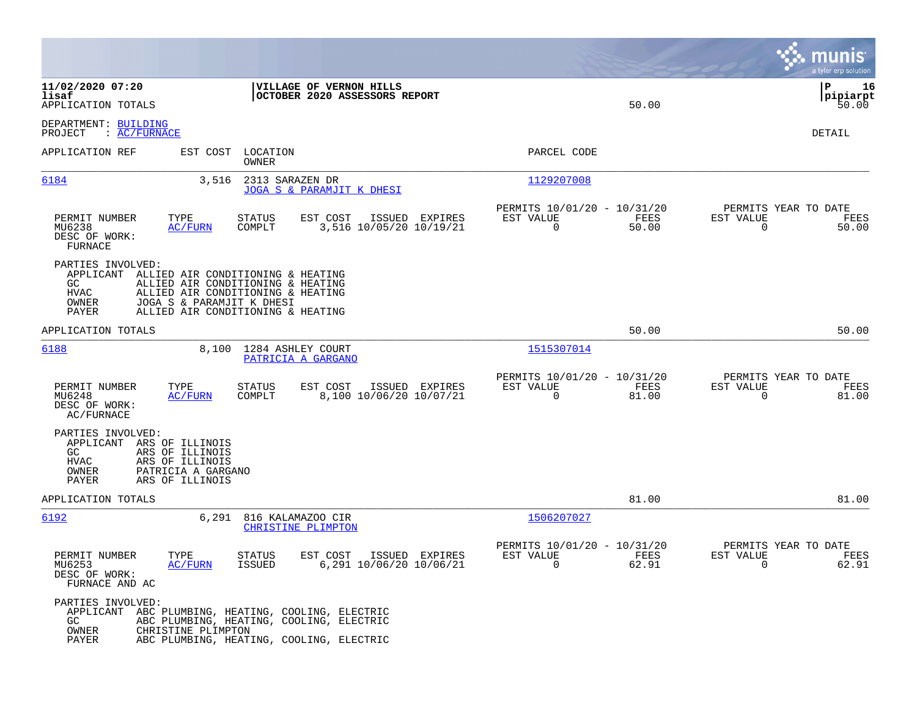|                                                                                                                                                                |                                                                                                                                                                               |                                                                          | munis<br>a tyler erp solution                                     |
|----------------------------------------------------------------------------------------------------------------------------------------------------------------|-------------------------------------------------------------------------------------------------------------------------------------------------------------------------------|--------------------------------------------------------------------------|-------------------------------------------------------------------|
| 11/02/2020 07:20<br>lisaf<br>APPLICATION TOTALS                                                                                                                | VILLAGE OF VERNON HILLS<br>OCTOBER 2020 ASSESSORS REPORT                                                                                                                      | 50.00                                                                    | ΙP<br>16<br> pipiarpt<br>50.00                                    |
| DEPARTMENT: BUILDING<br>: AC/FURNACE<br>PROJECT                                                                                                                |                                                                                                                                                                               |                                                                          | DETAIL                                                            |
| APPLICATION REF<br>EST COST                                                                                                                                    | LOCATION<br>OWNER                                                                                                                                                             | PARCEL CODE                                                              |                                                                   |
| 6184                                                                                                                                                           | 3,516<br>2313 SARAZEN DR<br>JOGA S & PARAMJIT K DHESI                                                                                                                         | 1129207008                                                               |                                                                   |
| TYPE<br>PERMIT NUMBER<br>MU6238<br><b>AC/FURN</b><br>DESC OF WORK:<br>FURNACE                                                                                  | STATUS<br>EST COST<br>ISSUED EXPIRES<br>3,516 10/05/20 10/19/21<br>COMPLT                                                                                                     | PERMITS 10/01/20 - 10/31/20<br>EST VALUE<br>FEES<br>$\mathbf 0$<br>50.00 | PERMITS YEAR TO DATE<br>EST VALUE<br>FEES<br>50.00<br>0           |
| PARTIES INVOLVED:<br>APPLICANT<br>GC.<br>HVAC<br>OWNER<br>PAYER                                                                                                | ALLIED AIR CONDITIONING & HEATING<br>ALLIED AIR CONDITIONING & HEATING<br>ALLIED AIR CONDITIONING & HEATING<br>JOGA S & PARAMJIT K DHESI<br>ALLIED AIR CONDITIONING & HEATING |                                                                          |                                                                   |
| APPLICATION TOTALS                                                                                                                                             |                                                                                                                                                                               | 50.00                                                                    | 50.00                                                             |
| 6188                                                                                                                                                           | 8,100<br>1284 ASHLEY COURT<br>PATRICIA A GARGANO                                                                                                                              | 1515307014                                                               |                                                                   |
| PERMIT NUMBER<br>TYPE<br>MU6248<br>AC/FURN<br>DESC OF WORK:<br>AC/FURNACE                                                                                      | EST COST<br>ISSUED EXPIRES<br>STATUS<br>COMPLT<br>8,100 10/06/20 10/07/21                                                                                                     | PERMITS 10/01/20 - 10/31/20<br>EST VALUE<br>FEES<br>0<br>81.00           | PERMITS YEAR TO DATE<br>EST VALUE<br>FEES<br>0<br>81.00           |
| PARTIES INVOLVED:<br>APPLICANT ARS OF ILLINOIS<br>GC.<br>ARS OF ILLINOIS<br>HVAC<br>ARS OF ILLINOIS<br>OWNER<br>PATRICIA A GARGANO<br>PAYER<br>ARS OF ILLINOIS |                                                                                                                                                                               |                                                                          |                                                                   |
| APPLICATION TOTALS                                                                                                                                             |                                                                                                                                                                               | 81.00                                                                    | 81.00                                                             |
| 6192                                                                                                                                                           | 6,291<br>816 KALAMAZOO CIR<br>CHRISTINE PLIMPTON                                                                                                                              | 1506207027                                                               |                                                                   |
| PERMIT NUMBER<br>TYPE<br>MU6253<br>AC/FURN<br>DESC OF WORK:<br>FURNACE AND AC                                                                                  | <b>STATUS</b><br>EST COST<br>ISSUED EXPIRES<br>6,291 10/06/20 10/06/21<br><b>ISSUED</b>                                                                                       | PERMITS 10/01/20 - 10/31/20<br>EST VALUE<br>FEES<br>$\mathbf 0$<br>62.91 | PERMITS YEAR TO DATE<br>EST VALUE<br>FEES<br>$\mathbf 0$<br>62.91 |
| PARTIES INVOLVED:<br>GC.<br>OWNER<br>CHRISTINE PLIMPTON<br>PAYER                                                                                               | APPLICANT ABC PLUMBING, HEATING, COOLING, ELECTRIC<br>ABC PLUMBING, HEATING, COOLING, ELECTRIC<br>ABC PLUMBING, HEATING, COOLING, ELECTRIC                                    |                                                                          |                                                                   |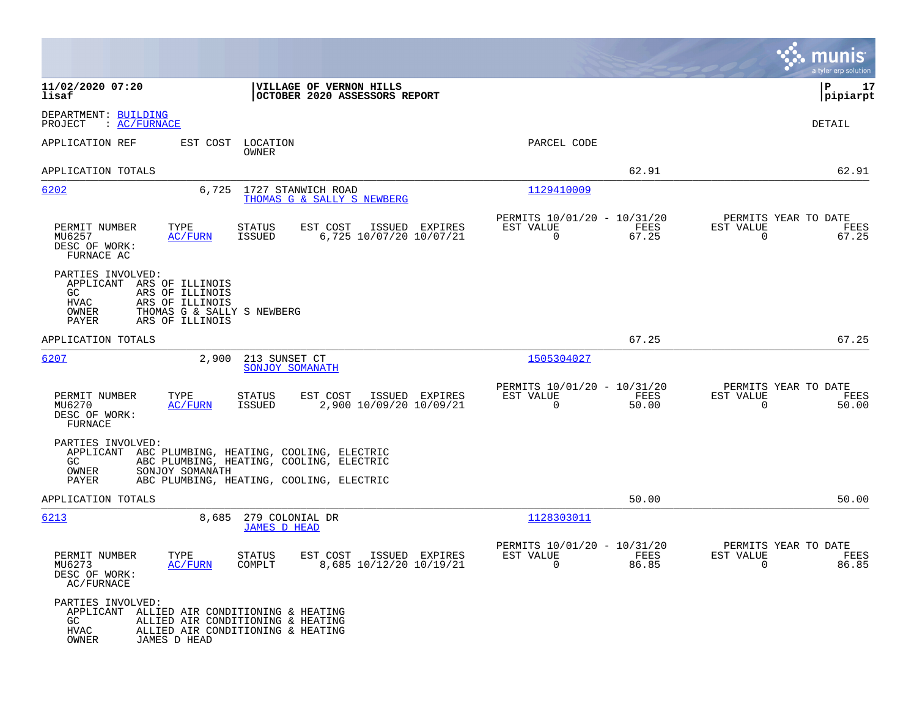|                                                                                                                                                                               |                                                                                                                                  |                                                                          | munis<br>a tyler erp solution                                     |
|-------------------------------------------------------------------------------------------------------------------------------------------------------------------------------|----------------------------------------------------------------------------------------------------------------------------------|--------------------------------------------------------------------------|-------------------------------------------------------------------|
| 11/02/2020 07:20<br>lisaf                                                                                                                                                     | VILLAGE OF VERNON HILLS<br>OCTOBER 2020 ASSESSORS REPORT                                                                         |                                                                          | l P<br>17<br> pipiarpt                                            |
| DEPARTMENT: BUILDING<br>: AC/FURNACE<br>PROJECT                                                                                                                               |                                                                                                                                  |                                                                          | DETAIL                                                            |
| APPLICATION REF<br>EST COST                                                                                                                                                   | LOCATION<br><b>OWNER</b>                                                                                                         | PARCEL CODE                                                              |                                                                   |
| APPLICATION TOTALS                                                                                                                                                            |                                                                                                                                  | 62.91                                                                    | 62.91                                                             |
| 6202<br>6,725                                                                                                                                                                 | 1727 STANWICH ROAD<br>THOMAS G & SALLY S NEWBERG                                                                                 | 1129410009                                                               |                                                                   |
| PERMIT NUMBER<br>TYPE<br>MU6257<br><b>AC/FURN</b><br>DESC OF WORK:<br>FURNACE AC                                                                                              | STATUS<br>EST COST<br>ISSUED EXPIRES<br>6,725 10/07/20 10/07/21<br><b>ISSUED</b>                                                 | PERMITS 10/01/20 - 10/31/20<br>EST VALUE<br>FEES<br>$\Omega$<br>67.25    | PERMITS YEAR TO DATE<br>EST VALUE<br>FEES<br>$\Omega$<br>67.25    |
| PARTIES INVOLVED:<br>APPLICANT ARS OF ILLINOIS<br>ARS OF ILLINOIS<br>GC.<br><b>HVAC</b><br>ARS OF ILLINOIS<br>OWNER<br>THOMAS G & SALLY S NEWBERG<br>ARS OF ILLINOIS<br>PAYER |                                                                                                                                  |                                                                          |                                                                   |
| APPLICATION TOTALS                                                                                                                                                            |                                                                                                                                  | 67.25                                                                    | 67.25                                                             |
| 6207<br>2,900                                                                                                                                                                 | 213 SUNSET CT<br>SONJOY SOMANATH                                                                                                 | 1505304027                                                               |                                                                   |
| PERMIT NUMBER<br>TYPE<br>MU6270<br>AC/FURN<br>DESC OF WORK:<br>FURNACE                                                                                                        | STATUS<br>EST COST<br>ISSUED EXPIRES<br><b>ISSUED</b><br>2,900 10/09/20 10/09/21                                                 | PERMITS 10/01/20 - 10/31/20<br>EST VALUE<br>FEES<br>$\mathbf 0$<br>50.00 | PERMITS YEAR TO DATE<br>EST VALUE<br>FEES<br>$\mathbf 0$<br>50.00 |
| PARTIES INVOLVED:<br>APPLICANT<br>GC.<br>OWNER<br>SONJOY SOMANATH<br>PAYER                                                                                                    | ABC PLUMBING, HEATING, COOLING, ELECTRIC<br>ABC PLUMBING, HEATING, COOLING, ELECTRIC<br>ABC PLUMBING, HEATING, COOLING, ELECTRIC |                                                                          |                                                                   |
| APPLICATION TOTALS                                                                                                                                                            |                                                                                                                                  | 50.00                                                                    | 50.00                                                             |
| 6213<br>8,685                                                                                                                                                                 | 279 COLONIAL DR<br><b>JAMES D HEAD</b>                                                                                           | 1128303011                                                               |                                                                   |
| PERMIT NUMBER<br>TYPE<br>MU6273<br>AC/FURN<br>DESC OF WORK:<br>AC/FURNACE                                                                                                     | <b>STATUS</b><br>EST COST<br>ISSUED EXPIRES<br>COMPLT<br>8,685 10/12/20 10/19/21                                                 | PERMITS 10/01/20 - 10/31/20<br>EST VALUE<br>FEES<br>$\mathbf 0$<br>86.85 | PERMITS YEAR TO DATE<br>EST VALUE<br>FEES<br>$\mathbf 0$<br>86.85 |
| PARTIES INVOLVED:<br>APPLICANT ALLIED AIR CONDITIONING & HEATING<br>GC<br><b>HVAC</b><br>OWNER<br>JAMES D HEAD                                                                | ALLIED AIR CONDITIONING & HEATING<br>ALLIED AIR CONDITIONING & HEATING                                                           |                                                                          |                                                                   |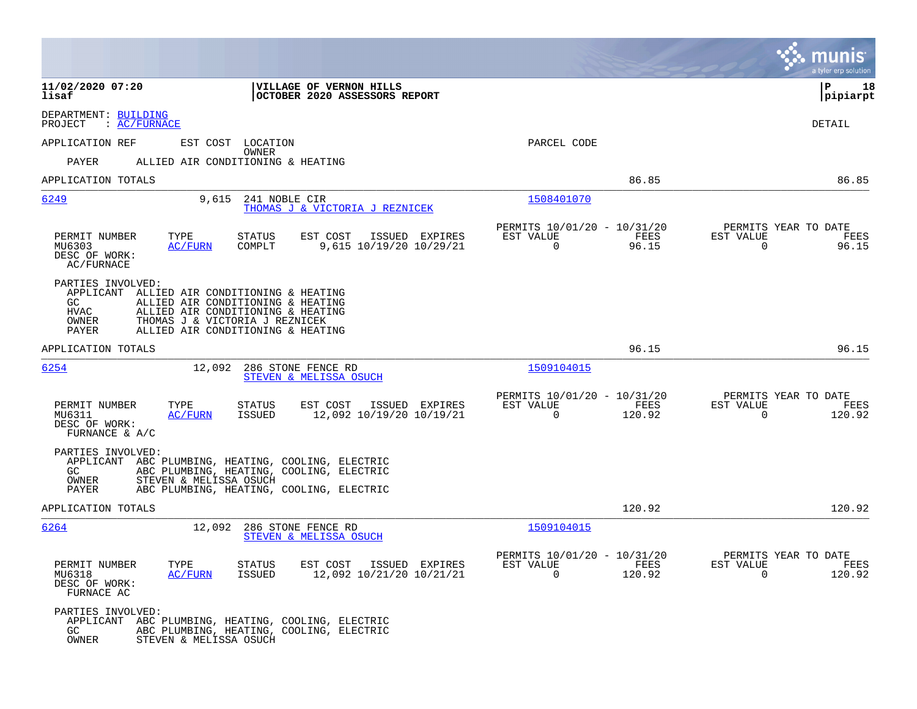|                                                                                                                                                                                                                                                          |                                                          |                                                         |                | munis<br>a tyler erp solution                           |      |
|----------------------------------------------------------------------------------------------------------------------------------------------------------------------------------------------------------------------------------------------------------|----------------------------------------------------------|---------------------------------------------------------|----------------|---------------------------------------------------------|------|
| 11/02/2020 07:20<br>lisaf                                                                                                                                                                                                                                | VILLAGE OF VERNON HILLS<br>OCTOBER 2020 ASSESSORS REPORT |                                                         |                | IΡ<br> pipiarpt                                         | 18   |
| DEPARTMENT: BUILDING<br>PROJECT<br>: <u>AC/FURNACE</u>                                                                                                                                                                                                   |                                                          |                                                         |                | DETAIL                                                  |      |
| APPLICATION REF<br>EST COST LOCATION                                                                                                                                                                                                                     |                                                          | PARCEL CODE                                             |                |                                                         |      |
| OWNER<br>PAYER<br>ALLIED AIR CONDITIONING & HEATING                                                                                                                                                                                                      |                                                          |                                                         |                |                                                         |      |
| APPLICATION TOTALS                                                                                                                                                                                                                                       |                                                          |                                                         | 86.85          | 86.85                                                   |      |
| 6249<br>9,615<br>241 NOBLE CIR                                                                                                                                                                                                                           | THOMAS J & VICTORIA J REZNICEK                           | 1508401070                                              |                |                                                         |      |
| PERMIT NUMBER<br>TYPE<br>STATUS<br>MU6303<br>COMPLT<br>AC/FURN<br>DESC OF WORK:<br>AC/FURNACE                                                                                                                                                            | ISSUED EXPIRES<br>EST COST<br>9,615 10/19/20 10/29/21    | PERMITS 10/01/20 - 10/31/20<br>EST VALUE<br>$\mathbf 0$ | FEES<br>96.15  | PERMITS YEAR TO DATE<br>EST VALUE<br>$\Omega$<br>96.15  | FEES |
| PARTIES INVOLVED:<br>APPLICANT ALLIED AIR CONDITIONING & HEATING<br>ALLIED AIR CONDITIONING & HEATING<br>GC<br>HVAC<br>ALLIED AIR CONDITIONING & HEATING<br>OWNER<br>THOMAS J & VICTORIA J REZNICEK<br><b>PAYER</b><br>ALLIED AIR CONDITIONING & HEATING |                                                          |                                                         |                |                                                         |      |
| APPLICATION TOTALS                                                                                                                                                                                                                                       |                                                          |                                                         | 96.15          | 96.15                                                   |      |
| 6254<br>12,092 286 STONE FENCE RD                                                                                                                                                                                                                        | STEVEN & MELISSA OSUCH                                   | 1509104015                                              |                |                                                         |      |
| PERMIT NUMBER<br>TYPE<br>STATUS<br>MU6311<br>AC/FURN<br>ISSUED<br>DESC OF WORK:<br>FURNANCE & $A/C$                                                                                                                                                      | EST COST ISSUED EXPIRES<br>12,092 10/19/20 10/19/21      | PERMITS 10/01/20 - 10/31/20<br>EST VALUE<br>$\Omega$    | FEES<br>120.92 | PERMITS YEAR TO DATE<br>EST VALUE<br>$\Omega$<br>120.92 | FEES |
| PARTIES INVOLVED:<br>APPLICANT ABC PLUMBING, HEATING, COOLING, ELECTRIC<br>GC.<br>ABC PLUMBING, HEATING, COOLING, ELECTRIC<br>STEVEN & MELISSA OSUCH<br>OWNER<br>PAYER<br>ABC PLUMBING, HEATING, COOLING, ELECTRIC                                       |                                                          |                                                         |                |                                                         |      |
| APPLICATION TOTALS                                                                                                                                                                                                                                       |                                                          |                                                         | 120.92         | 120.92                                                  |      |
| 6264<br>12,092                                                                                                                                                                                                                                           | 286 STONE FENCE RD<br>STEVEN & MELISSA OSUCH             | 1509104015                                              |                |                                                         |      |
| PERMIT NUMBER<br>STATUS<br>TYPE<br>MU6318<br>AC/FURN<br>ISSUED<br>DESC OF WORK:<br>FURNACE AC                                                                                                                                                            | EST COST ISSUED EXPIRES<br>12,092 10/21/20 10/21/21      | PERMITS 10/01/20 - 10/31/20<br>EST VALUE<br>$\Omega$    | FEES<br>120.92 | PERMITS YEAR TO DATE<br>EST VALUE<br>$\Omega$<br>120.92 | FEES |
| PARTIES INVOLVED:<br>APPLICANT ABC PLUMBING, HEATING, COOLING, ELECTRIC<br>GC<br>ABC PLUMBING, HEATING, COOLING, ELECTRIC<br>OWNER<br>STEVEN & MELISSA OSUCH                                                                                             |                                                          |                                                         |                |                                                         |      |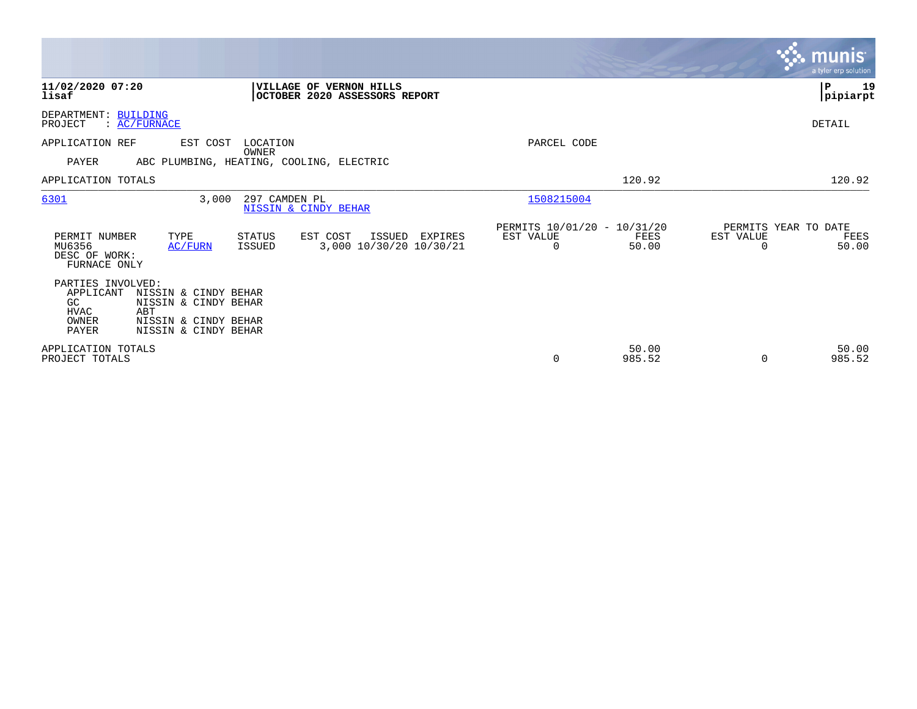|                                                                               |                                                                                                     |                                                          |                                              |                                                      |                 |                                        | $\overline{\mathsf{m} \mathsf{u}}$ nıs $\overline{\mathsf{m} \mathsf{u}}$<br>a tyler erp solution |
|-------------------------------------------------------------------------------|-----------------------------------------------------------------------------------------------------|----------------------------------------------------------|----------------------------------------------|------------------------------------------------------|-----------------|----------------------------------------|---------------------------------------------------------------------------------------------------|
| 11/02/2020 07:20<br>lisaf                                                     |                                                                                                     | VILLAGE OF VERNON HILLS<br>OCTOBER 2020 ASSESSORS REPORT |                                              |                                                      |                 |                                        | ${\bf P}$<br>19<br> pipiarpt                                                                      |
| DEPARTMENT: BUILDING<br>PROJECT                                               | : AC/FURNACE                                                                                        |                                                          |                                              |                                                      |                 |                                        | DETAIL                                                                                            |
| APPLICATION REF                                                               | EST COST                                                                                            | LOCATION                                                 |                                              | PARCEL CODE                                          |                 |                                        |                                                                                                   |
| PAYER                                                                         |                                                                                                     | OWNER<br>ABC PLUMBING, HEATING, COOLING, ELECTRIC        |                                              |                                                      |                 |                                        |                                                                                                   |
| APPLICATION TOTALS                                                            |                                                                                                     |                                                          |                                              |                                                      | 120.92          |                                        | 120.92                                                                                            |
| 6301                                                                          | 3,000                                                                                               | 297 CAMDEN PL<br>NISSIN & CINDY BEHAR                    |                                              | 1508215004                                           |                 |                                        |                                                                                                   |
| PERMIT NUMBER<br>MU6356<br>DESC OF WORK:<br>FURNACE ONLY                      | TYPE<br>AC/FURN                                                                                     | <b>STATUS</b><br>EST COST<br>ISSUED                      | ISSUED<br>EXPIRES<br>3,000 10/30/20 10/30/21 | PERMITS 10/01/20 - 10/31/20<br>EST VALUE<br>$\Omega$ | FEES<br>50.00   | PERMITS YEAR TO DATE<br>EST VALUE<br>O | FEES<br>50.00                                                                                     |
| PARTIES INVOLVED:<br>APPLICANT<br>GC.<br><b>HVAC</b><br>OWNER<br><b>PAYER</b> | NISSIN & CINDY BEHAR<br>NISSIN & CINDY BEHAR<br>ABT<br>NISSIN & CINDY BEHAR<br>NISSIN & CINDY BEHAR |                                                          |                                              |                                                      |                 |                                        |                                                                                                   |
| APPLICATION TOTALS<br>PROJECT TOTALS                                          |                                                                                                     |                                                          |                                              | $\Omega$                                             | 50.00<br>985.52 | $\Omega$                               | 50.00<br>985.52                                                                                   |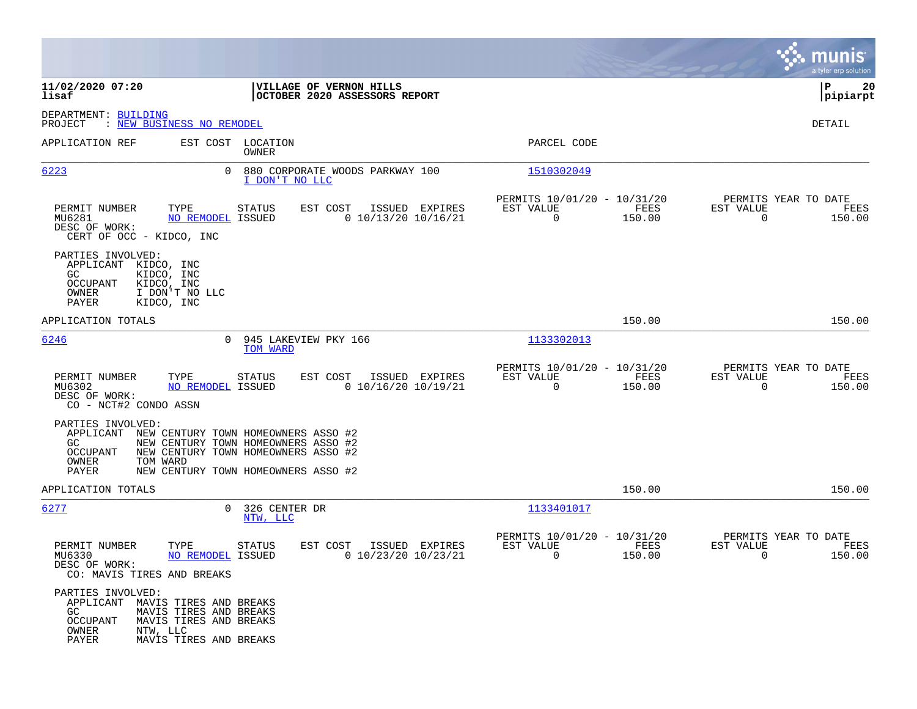|                                                                                                                                                  |                                                                                                                                                          |                                                                              | munis<br>a tyler erp solution                                      |
|--------------------------------------------------------------------------------------------------------------------------------------------------|----------------------------------------------------------------------------------------------------------------------------------------------------------|------------------------------------------------------------------------------|--------------------------------------------------------------------|
| 11/02/2020 07:20<br>lisaf                                                                                                                        | VILLAGE OF VERNON HILLS<br>OCTOBER 2020 ASSESSORS REPORT                                                                                                 |                                                                              | 20<br>l P<br> pipiarpt                                             |
| DEPARTMENT: BUILDING<br>PROJECT<br>: NEW BUSINESS NO REMODEL                                                                                     |                                                                                                                                                          |                                                                              | DETAIL                                                             |
| APPLICATION REF                                                                                                                                  | EST COST LOCATION<br>OWNER                                                                                                                               | PARCEL CODE                                                                  |                                                                    |
| 6223                                                                                                                                             | 0 880 CORPORATE WOODS PARKWAY 100<br>I DON'T NO LLC                                                                                                      | 1510302049                                                                   |                                                                    |
| TYPE<br>PERMIT NUMBER<br>MU6281<br>DESC OF WORK:<br>CERT OF OCC - KIDCO, INC                                                                     | STATUS<br>EST COST<br>ISSUED EXPIRES<br>$0$ 10/13/20 10/16/21<br>NO REMODEL ISSUED                                                                       | PERMITS 10/01/20 - 10/31/20<br>EST VALUE<br>FEES<br>$\overline{0}$<br>150.00 | PERMITS YEAR TO DATE<br>EST VALUE<br>FEES<br>$\Omega$<br>150.00    |
| PARTIES INVOLVED:<br>APPLICANT KIDCO, INC<br>KIDCO, INC<br>GC<br><b>OCCUPANT</b><br>KIDCO, INC<br>OWNER<br>I DON'T NO LLC<br>PAYER<br>KIDCO, INC |                                                                                                                                                          |                                                                              |                                                                    |
| APPLICATION TOTALS                                                                                                                               |                                                                                                                                                          | 150.00                                                                       | 150.00                                                             |
| 6246                                                                                                                                             | 0 945 LAKEVIEW PKY 166<br>TOM WARD                                                                                                                       | 1133302013                                                                   |                                                                    |
| TYPE<br>PERMIT NUMBER<br>MU6302<br>DESC OF WORK:<br>CO - NCT#2 CONDO ASSN                                                                        | STATUS<br>EST COST<br>ISSUED EXPIRES<br>NO REMODEL ISSUED<br>$0$ 10/16/20 10/19/21                                                                       | PERMITS 10/01/20 - 10/31/20<br>EST VALUE<br>FEES<br>$\overline{0}$<br>150.00 | PERMITS YEAR TO DATE<br>EST VALUE<br>FEES<br>$\Omega$<br>150.00    |
| PARTIES INVOLVED:<br>APPLICANT<br>GC<br>OCCUPANT<br>OWNER<br>TOM WARD<br>PAYER                                                                   | NEW CENTURY TOWN HOMEOWNERS ASSO #2<br>NEW CENTURY TOWN HOMEOWNERS ASSO #2<br>NEW CENTURY TOWN HOMEOWNERS ASSO #2<br>NEW CENTURY TOWN HOMEOWNERS ASSO #2 |                                                                              |                                                                    |
| APPLICATION TOTALS                                                                                                                               |                                                                                                                                                          | 150.00                                                                       | 150.00                                                             |
| 6277                                                                                                                                             | 0 326 CENTER DR<br>NTW, LLC                                                                                                                              | 1133401017                                                                   |                                                                    |
| PERMIT NUMBER<br>TYPE<br>MU6330<br>DESC OF WORK:<br>CO: MAVIS TIRES AND BREAKS                                                                   | EST COST<br>ISSUED EXPIRES<br>STATUS<br>$0$ 10/23/20 10/23/21<br><b>NO REMODEL ISSUED</b>                                                                | PERMITS 10/01/20 - 10/31/20<br>EST VALUE<br>FEES<br>$\mathbf 0$<br>150.00    | PERMITS YEAR TO DATE<br>EST VALUE<br>FEES<br>$\mathbf 0$<br>150.00 |
| PARTIES INVOLVED:<br>APPLICANT MAVIS TIRES AND BREAKS<br>GC<br>OCCUPANT<br>OWNER<br>NTW, LLC<br>PAYER                                            | MAVIS TIRES AND BREAKS<br>MAVIS TIRES AND BREAKS<br>MAVIS TIRES AND BREAKS                                                                               |                                                                              |                                                                    |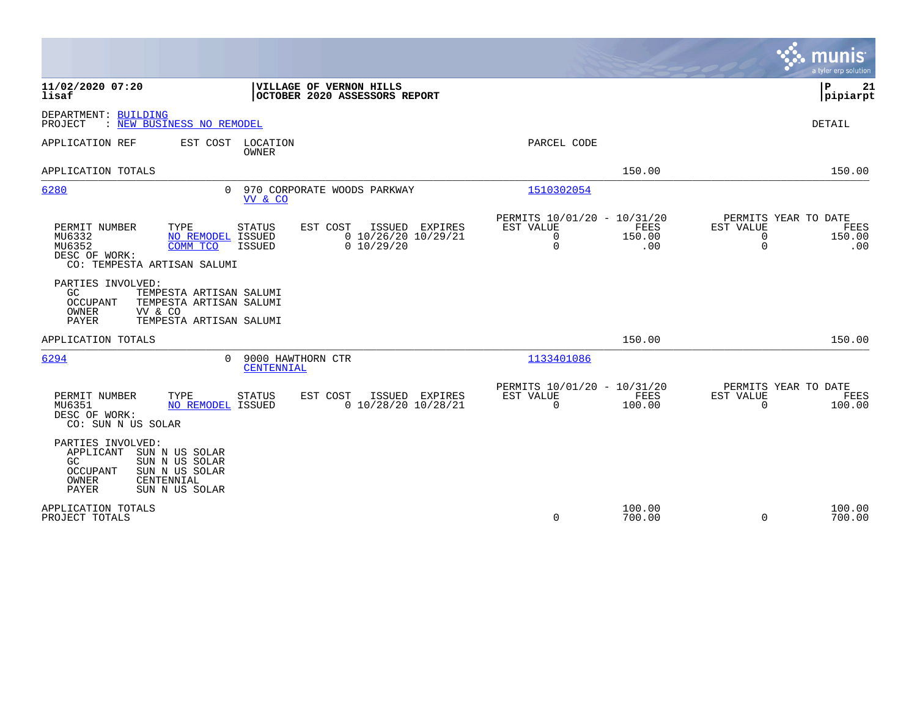|                                                                                                                                                                                                                                          | munis<br>a tyler erp solution                                                                                                                                               |
|------------------------------------------------------------------------------------------------------------------------------------------------------------------------------------------------------------------------------------------|-----------------------------------------------------------------------------------------------------------------------------------------------------------------------------|
| 11/02/2020 07:20<br>VILLAGE OF VERNON HILLS<br>lisaf<br>OCTOBER 2020 ASSESSORS REPORT                                                                                                                                                    | P<br>21<br> pipiarpt                                                                                                                                                        |
| DEPARTMENT: BUILDING<br>: NEW BUSINESS NO REMODEL<br>PROJECT                                                                                                                                                                             | <b>DETAIL</b>                                                                                                                                                               |
| APPLICATION REF<br>EST COST<br>LOCATION<br>OWNER                                                                                                                                                                                         | PARCEL CODE                                                                                                                                                                 |
| APPLICATION TOTALS                                                                                                                                                                                                                       | 150.00<br>150.00                                                                                                                                                            |
| 6280<br>0 970 CORPORATE WOODS PARKWAY<br>VV & CO                                                                                                                                                                                         | 1510302054                                                                                                                                                                  |
| PERMIT NUMBER<br>TYPE<br><b>STATUS</b><br>EST COST<br>ISSUED EXPIRES<br>MU6332<br><b>NO REMODEL ISSUED</b><br>$0$ 10/26/20 10/29/21<br>MU6352<br>COMM TCO<br><b>ISSUED</b><br>0 10/29/20<br>DESC OF WORK:<br>CO: TEMPESTA ARTISAN SALUMI | PERMITS 10/01/20 - 10/31/20<br>PERMITS YEAR TO DATE<br><b>EST VALUE</b><br>FEES<br>EST VALUE<br>FEES<br>$\mathbf 0$<br>150.00<br>0<br>150.00<br>$\Omega$<br>.00<br>0<br>.00 |
| PARTIES INVOLVED:<br>GC<br>TEMPESTA ARTISAN SALUMI<br>OCCUPANT<br>TEMPESTA ARTISAN SALUMI<br>OWNER<br>VV & CO<br><b>PAYER</b><br>TEMPESTA ARTISAN SALUMI                                                                                 |                                                                                                                                                                             |
| APPLICATION TOTALS                                                                                                                                                                                                                       | 150.00<br>150.00                                                                                                                                                            |
| 6294<br>9000 HAWTHORN CTR<br>$\Omega$<br>CENTENNIAL                                                                                                                                                                                      | 1133401086                                                                                                                                                                  |
| TYPE<br>EST COST<br>PERMIT NUMBER<br><b>STATUS</b><br>ISSUED EXPIRES<br>$0$ 10/28/20 10/28/21<br>MU6351<br>NO REMODEL ISSUED<br>DESC OF WORK:<br>CO: SUN N US SOLAR                                                                      | PERMITS 10/01/20 - 10/31/20<br>PERMITS YEAR TO DATE<br><b>FEES</b><br>EST VALUE<br>EST VALUE<br>FEES<br>$\Omega$<br>100.00<br>$\Omega$<br>100.00                            |
| PARTIES INVOLVED:<br>APPLICANT<br>SUN N US SOLAR<br>SUN N US SOLAR<br>GC<br>SUN N US SOLAR<br><b>OCCUPANT</b><br>OWNER<br>CENTENNIAL<br>PAYER<br>SUN N US SOLAR                                                                          |                                                                                                                                                                             |
| APPLICATION TOTALS<br>PROJECT TOTALS                                                                                                                                                                                                     | 100.00<br>100.00<br>$\Omega$<br>700.00<br>$\Omega$<br>700.00                                                                                                                |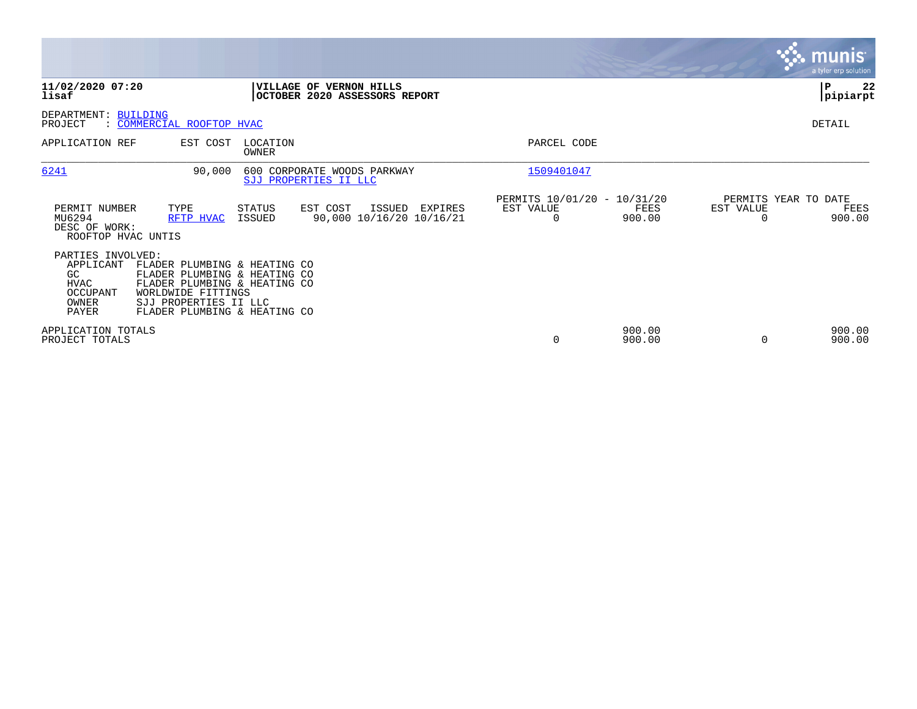|                                                                                          |                                                                                                                                                                             |                          |                                                                 |                       |                                               |                                   | munis<br>a tyler erp solution |
|------------------------------------------------------------------------------------------|-----------------------------------------------------------------------------------------------------------------------------------------------------------------------------|--------------------------|-----------------------------------------------------------------|-----------------------|-----------------------------------------------|-----------------------------------|-------------------------------|
| 11/02/2020 07:20<br>lisaf                                                                |                                                                                                                                                                             |                          | <b>VILLAGE OF VERNON HILLS</b><br>OCTOBER 2020 ASSESSORS REPORT |                       |                                               |                                   | ∣₽<br>22<br> pipiarpt         |
| DEPARTMENT:<br>PROJECT                                                                   | <b>BUILDING</b><br>: COMMERCIAL ROOFTOP HVAC                                                                                                                                |                          |                                                                 |                       |                                               |                                   | DETAIL                        |
| APPLICATION REF                                                                          | EST COST                                                                                                                                                                    | LOCATION<br><b>OWNER</b> |                                                                 | PARCEL CODE           |                                               |                                   |                               |
| 6241                                                                                     | 90,000                                                                                                                                                                      |                          | 600 CORPORATE WOODS PARKWAY<br>SJJ PROPERTIES II LLC            | 1509401047            |                                               |                                   |                               |
| PERMIT NUMBER<br>MU6294<br>DESC OF WORK:<br>ROOFTOP HVAC UNTIS                           | TYPE<br>RFTP HVAC                                                                                                                                                           | STATUS<br>ISSUED         | EST COST<br>ISSUED<br>EXPIRES<br>90,000 10/16/20 10/16/21       | EST VALUE<br>$\Omega$ | PERMITS 10/01/20 - 10/31/20<br>FEES<br>900.00 | PERMITS YEAR TO DATE<br>EST VALUE | FEES<br>900.00                |
| PARTIES INVOLVED:<br>APPLICANT<br>GC<br><b>HVAC</b><br>OCCUPANT<br>OWNER<br><b>PAYER</b> | FLADER PLUMBING & HEATING CO<br>FLADER PLUMBING & HEATING CO<br>FLADER PLUMBING & HEATING CO<br>WORLDWIDE FITTINGS<br>SJJ PROPERTIES II LLC<br>FLADER PLUMBING & HEATING CO |                          |                                                                 |                       |                                               |                                   |                               |
| APPLICATION TOTALS<br>PROJECT TOTALS                                                     |                                                                                                                                                                             |                          |                                                                 | 0                     | 900.00<br>900.00                              | 0                                 | 900.00<br>900.00              |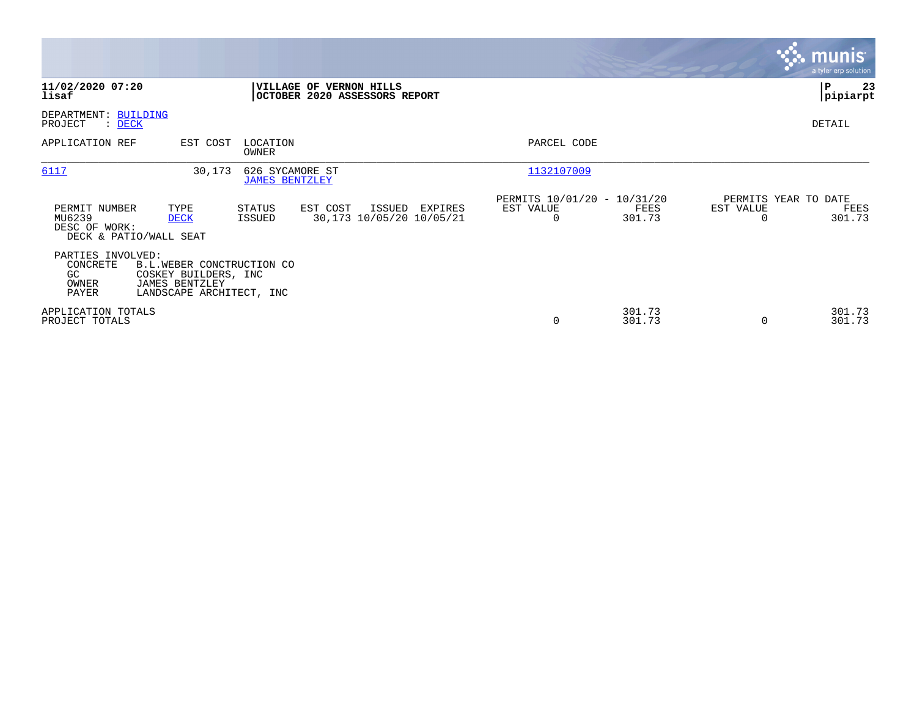|                                                       |                                                                                                 |                                          |                                                          |                |                                               |                  |           | <b>munis</b><br>a tyler erp solution   |
|-------------------------------------------------------|-------------------------------------------------------------------------------------------------|------------------------------------------|----------------------------------------------------------|----------------|-----------------------------------------------|------------------|-----------|----------------------------------------|
| 11/02/2020 07:20<br>lisaf                             |                                                                                                 |                                          | VILLAGE OF VERNON HILLS<br>OCTOBER 2020 ASSESSORS REPORT |                |                                               |                  |           | ∣P<br>23<br> pipiarpt                  |
| DEPARTMENT: BUILDING<br>PROJECT<br>$\mathcal{L}$ DECK |                                                                                                 |                                          |                                                          |                |                                               |                  |           | DETAIL                                 |
| APPLICATION REF                                       | EST COST                                                                                        | LOCATION<br>OWNER                        |                                                          |                | PARCEL CODE                                   |                  |           |                                        |
| 6117                                                  | 30,173                                                                                          | 626 SYCAMORE ST<br><b>JAMES BENTZLEY</b> |                                                          |                | 1132107009                                    |                  |           |                                        |
| PERMIT NUMBER<br>MU6239<br>DESC OF WORK:              | TYPE<br><b>DECK</b><br>DECK & PATIO/WALL SEAT                                                   | STATUS<br>ISSUED                         | EST COST<br>30,173 10/05/20 10/05/21                     | ISSUED EXPIRES | PERMITS 10/01/20 - 10/31/20<br>EST VALUE<br>0 | FEES<br>301.73   | EST VALUE | PERMITS YEAR TO DATE<br>FEES<br>301.73 |
| PARTIES INVOLVED:<br>CONCRETE<br>GC<br>OWNER<br>PAYER | B.L.WEBER CONCTRUCTION CO<br>COSKEY BUILDERS, INC<br>JAMES BENTZLEY<br>LANDSCAPE ARCHITECT, INC |                                          |                                                          |                |                                               |                  |           |                                        |
| APPLICATION TOTALS<br>PROJECT TOTALS                  |                                                                                                 |                                          |                                                          |                | 0                                             | 301.73<br>301.73 | $\Omega$  | 301.73<br>301.73                       |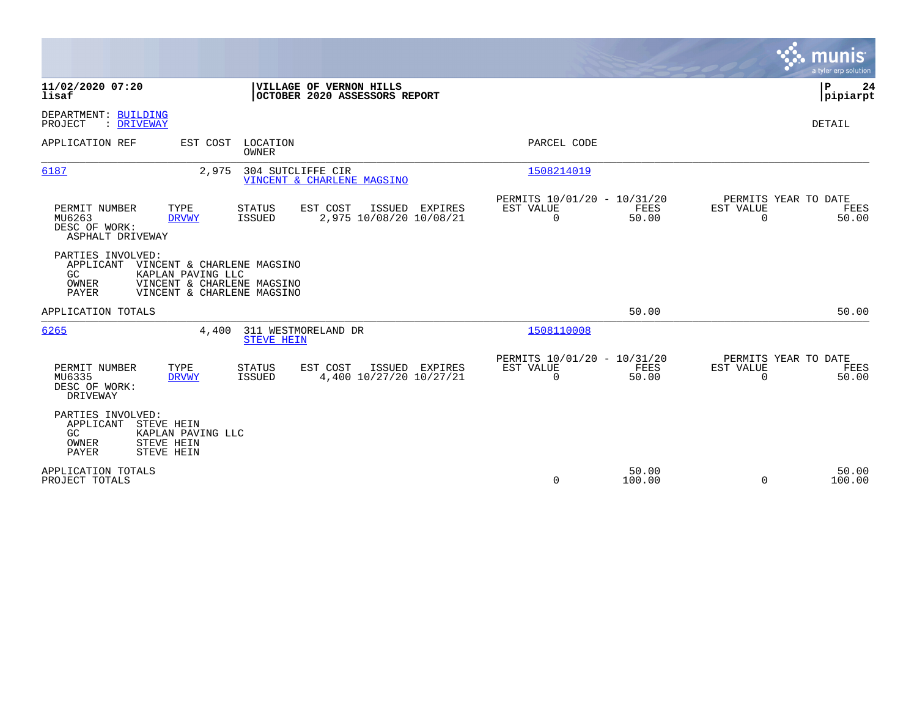|                                                                                                                       |                                                                                        |                                                                       | munis<br>a tyler erp solution                                  |
|-----------------------------------------------------------------------------------------------------------------------|----------------------------------------------------------------------------------------|-----------------------------------------------------------------------|----------------------------------------------------------------|
| 11/02/2020 07:20<br>lisaf                                                                                             | VILLAGE OF VERNON HILLS<br>OCTOBER 2020 ASSESSORS REPORT                               |                                                                       | P<br>24<br> pipiarpt                                           |
| DEPARTMENT: BUILDING<br>: DRIVEWAY<br>PROJECT                                                                         |                                                                                        |                                                                       | <b>DETAIL</b>                                                  |
| APPLICATION REF<br>EST COST                                                                                           | LOCATION<br>OWNER                                                                      | PARCEL CODE                                                           |                                                                |
| 6187<br>2,975                                                                                                         | 304 SUTCLIFFE CIR<br>VINCENT & CHARLENE MAGSINO                                        | 1508214019                                                            |                                                                |
| PERMIT NUMBER<br>TYPE<br>MU6263<br><b>DRVWY</b><br>DESC OF WORK:<br>ASPHALT DRIVEWAY                                  | EST COST<br><b>STATUS</b><br>ISSUED EXPIRES<br>2,975 10/08/20 10/08/21<br>ISSUED       | PERMITS 10/01/20 - 10/31/20<br>FEES<br>EST VALUE<br>$\Omega$<br>50.00 | PERMITS YEAR TO DATE<br>EST VALUE<br>FEES<br>$\Omega$<br>50.00 |
| PARTIES INVOLVED:<br>APPLICANT<br>GC<br>KAPLAN PAVING LLC<br>OWNER<br>PAYER                                           | VINCENT & CHARLENE MAGSINO<br>VINCENT & CHARLENE MAGSINO<br>VINCENT & CHARLENE MAGSINO |                                                                       |                                                                |
| APPLICATION TOTALS                                                                                                    |                                                                                        | 50.00                                                                 | 50.00                                                          |
| 6265<br>4,400                                                                                                         | 311 WESTMORELAND DR<br><b>STEVE HEIN</b>                                               | 1508110008                                                            |                                                                |
| PERMIT NUMBER<br>TYPE<br>MU6335<br><b>DRVWY</b><br>DESC OF WORK:<br>DRIVEWAY                                          | EST COST<br><b>STATUS</b><br>ISSUED EXPIRES<br>4,400 10/27/20 10/27/21<br>ISSUED       | PERMITS 10/01/20 - 10/31/20<br>EST VALUE<br>FEES<br>$\Omega$<br>50.00 | PERMITS YEAR TO DATE<br>EST VALUE<br>FEES<br>$\Omega$<br>50.00 |
| PARTIES INVOLVED:<br>APPLICANT<br>STEVE HEIN<br>GC<br>KAPLAN PAVING LLC<br>OWNER<br>STEVE HEIN<br>PAYER<br>STEVE HEIN |                                                                                        |                                                                       |                                                                |
| APPLICATION TOTALS<br>PROJECT TOTALS                                                                                  |                                                                                        | 50.00<br>0<br>100.00                                                  | 50.00<br>100.00<br>$\Omega$                                    |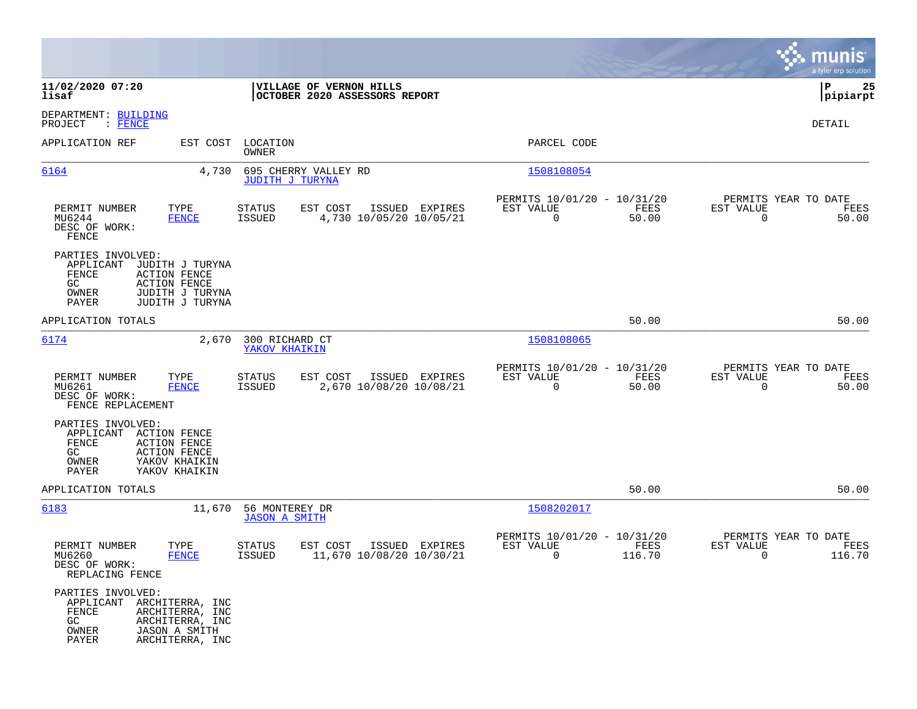|                                                                                                                                                                         |                                                                            |                                                                          | munis<br>a tyler erp solution                                     |
|-------------------------------------------------------------------------------------------------------------------------------------------------------------------------|----------------------------------------------------------------------------|--------------------------------------------------------------------------|-------------------------------------------------------------------|
| 11/02/2020 07:20<br>lisaf                                                                                                                                               | VILLAGE OF VERNON HILLS<br>OCTOBER 2020 ASSESSORS REPORT                   |                                                                          | ∣P<br>25<br> pipiarpt                                             |
| DEPARTMENT: BUILDING<br>PROJECT<br>$\colon$ FENCE                                                                                                                       |                                                                            |                                                                          | DETAIL                                                            |
| APPLICATION REF<br>EST COST                                                                                                                                             | LOCATION<br>OWNER                                                          | PARCEL CODE                                                              |                                                                   |
| 6164<br>4,730                                                                                                                                                           | 695 CHERRY VALLEY RD<br>JUDITH J TURYNA                                    | 1508108054                                                               |                                                                   |
| TYPE<br>PERMIT NUMBER<br>MU6244<br><b>FENCE</b><br>DESC OF WORK:<br>FENCE                                                                                               | STATUS<br>EST COST<br>ISSUED EXPIRES<br>ISSUED<br>4,730 10/05/20 10/05/21  | PERMITS 10/01/20 - 10/31/20<br>FEES<br>EST VALUE<br>$\mathbf 0$<br>50.00 | PERMITS YEAR TO DATE<br>EST VALUE<br>FEES<br>$\mathbf 0$<br>50.00 |
| PARTIES INVOLVED:<br>APPLICANT<br>JUDITH J TURYNA<br>FENCE<br><b>ACTION FENCE</b><br>GC.<br><b>ACTION FENCE</b><br>JUDITH J TURYNA<br>OWNER<br>PAYER<br>JUDITH J TURYNA |                                                                            |                                                                          |                                                                   |
| APPLICATION TOTALS                                                                                                                                                      |                                                                            | 50.00                                                                    | 50.00                                                             |
| 6174<br>2,670                                                                                                                                                           | 300 RICHARD CT<br>YAKOV KHAIKIN                                            | 1508108065                                                               |                                                                   |
| PERMIT NUMBER<br>TYPE<br>MU6261<br><b>FENCE</b><br>DESC OF WORK:<br>FENCE REPLACEMENT                                                                                   | STATUS<br>EST COST<br>ISSUED EXPIRES<br>2,670 10/08/20 10/08/21<br>ISSUED  | PERMITS 10/01/20 - 10/31/20<br>EST VALUE<br>FEES<br>0<br>50.00           | PERMITS YEAR TO DATE<br>EST VALUE<br>FEES<br>0<br>50.00           |
| PARTIES INVOLVED:<br><b>ACTION FENCE</b><br>APPLICANT<br>FENCE<br><b>ACTION FENCE</b><br>GC.<br><b>ACTION FENCE</b><br>YAKOV KHAIKIN<br>OWNER<br>PAYER<br>YAKOV KHAIKIN |                                                                            |                                                                          |                                                                   |
| APPLICATION TOTALS                                                                                                                                                      |                                                                            | 50.00                                                                    | 50.00                                                             |
| 6183<br>11,670                                                                                                                                                          | 56 MONTEREY DR<br><b>JASON A SMITH</b>                                     | 1508202017                                                               |                                                                   |
| PERMIT NUMBER<br>TYPE<br>MU6260<br><b>FENCE</b><br>DESC OF WORK:<br>REPLACING FENCE                                                                                     | EST COST<br>ISSUED EXPIRES<br>STATUS<br>11,670 10/08/20 10/30/21<br>ISSUED | PERMITS 10/01/20 - 10/31/20<br>EST VALUE<br>FEES<br>116.70<br>0          | PERMITS YEAR TO DATE<br>EST VALUE<br>FEES<br>116.70<br>0          |
| PARTIES INVOLVED:<br>APPLICANT<br>ARCHITERRA, INC<br>FENCE<br>ARCHITERRA, INC<br>GC<br>ARCHITERRA, INC<br>OWNER<br><b>JASON A SMITH</b><br>PAYER<br>ARCHITERRA, INC     |                                                                            |                                                                          |                                                                   |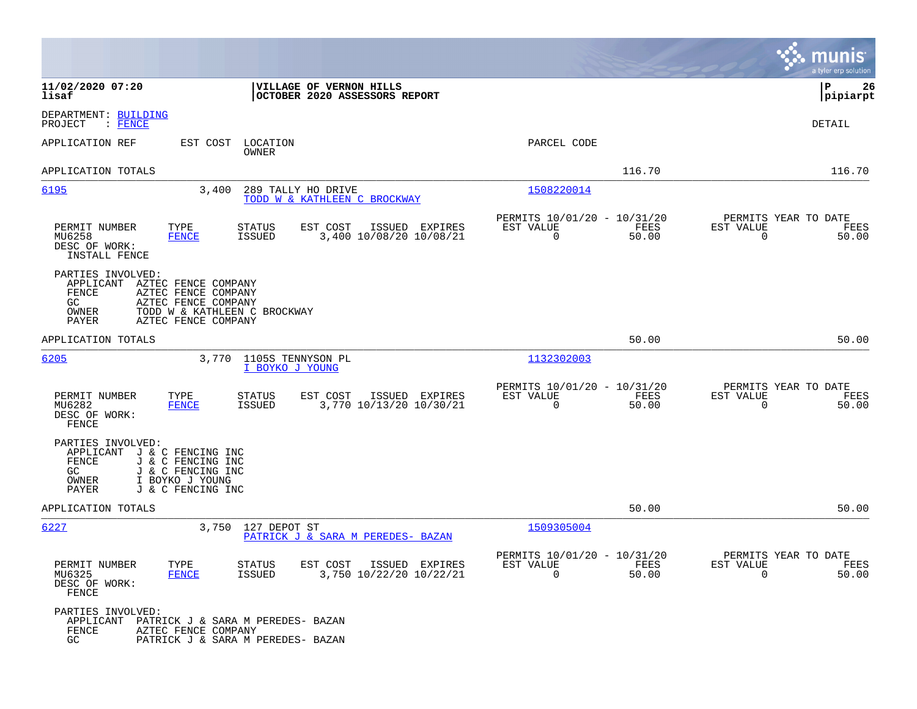|                                                                                                                                                                                              |                                                                          | munis<br>a tyler erp solution                                     |
|----------------------------------------------------------------------------------------------------------------------------------------------------------------------------------------------|--------------------------------------------------------------------------|-------------------------------------------------------------------|
| 11/02/2020 07:20<br>VILLAGE OF VERNON HILLS<br>OCTOBER 2020 ASSESSORS REPORT<br>lisaf                                                                                                        |                                                                          | l P<br>26<br> pipiarpt                                            |
| DEPARTMENT: BUILDING<br>: FENCE<br>PROJECT                                                                                                                                                   |                                                                          | DETAIL                                                            |
| APPLICATION REF<br>EST COST<br>LOCATION<br>OWNER                                                                                                                                             | PARCEL CODE                                                              |                                                                   |
| APPLICATION TOTALS                                                                                                                                                                           | 116.70                                                                   | 116.70                                                            |
| 6195<br>3,400<br>289 TALLY HO DRIVE<br>TODD W & KATHLEEN C BROCKWAY                                                                                                                          | 1508220014                                                               |                                                                   |
| TYPE<br>EST COST<br>PERMIT NUMBER<br>STATUS<br>ISSUED EXPIRES<br>3,400 10/08/20 10/08/21<br>MU6258<br><b>FENCE</b><br><b>ISSUED</b><br>DESC OF WORK:<br>INSTALL FENCE                        | PERMITS 10/01/20 - 10/31/20<br>FEES<br>EST VALUE<br>0<br>50.00           | PERMITS YEAR TO DATE<br>EST VALUE<br>FEES<br>0<br>50.00           |
| PARTIES INVOLVED:<br>APPLICANT<br>AZTEC FENCE COMPANY<br>FENCE<br>AZTEC FENCE COMPANY<br>GC.<br>AZTEC FENCE COMPANY<br>OWNER<br>TODD W & KATHLEEN C BROCKWAY<br>PAYER<br>AZTEC FENCE COMPANY |                                                                          |                                                                   |
| APPLICATION TOTALS                                                                                                                                                                           | 50.00                                                                    | 50.00                                                             |
| 6205<br>1105S TENNYSON PL<br>3,770<br>I BOYKO J YOUNG                                                                                                                                        | 1132302003                                                               |                                                                   |
| PERMIT NUMBER<br>TYPE<br>EST COST<br>ISSUED EXPIRES<br>STATUS<br>MU6282<br>3,770 10/13/20 10/30/21<br><b>ISSUED</b><br>FENCE<br>DESC OF WORK:<br>FENCE                                       | PERMITS 10/01/20 - 10/31/20<br>EST VALUE<br>FEES<br>$\Omega$<br>50.00    | PERMITS YEAR TO DATE<br>EST VALUE<br>FEES<br>$\Omega$<br>50.00    |
| PARTIES INVOLVED:<br>APPLICANT<br>J & C FENCING INC<br>FENCE<br>J & C FENCING INC<br>GC<br>J & C FENCING INC<br>OWNER<br>I BOYKO J YOUNG<br>PAYER<br>J & C FENCING INC                       |                                                                          |                                                                   |
| APPLICATION TOTALS                                                                                                                                                                           | 50.00                                                                    | 50.00                                                             |
| 6227<br>3,750<br>127 DEPOT ST<br>PATRICK J & SARA M PEREDES- BAZAN                                                                                                                           | 1509305004                                                               |                                                                   |
| PERMIT NUMBER<br>TYPE<br>STATUS<br>EST COST ISSUED EXPIRES<br>MU6325<br>3,750 10/22/20 10/22/21<br><b>FENCE</b><br>ISSUED<br>DESC OF WORK:<br>${\tt FENCE}$                                  | PERMITS 10/01/20 - 10/31/20<br>EST VALUE<br>FEES<br>$\mathbf 0$<br>50.00 | PERMITS YEAR TO DATE<br>EST VALUE<br>FEES<br>$\mathbf 0$<br>50.00 |
| PARTIES INVOLVED:<br>APPLICANT<br>PATRICK J & SARA M PEREDES- BAZAN<br>FENCE<br>AZTEC FENCE COMPANY<br>GC<br>PATRICK J & SARA M PEREDES- BAZAN                                               |                                                                          |                                                                   |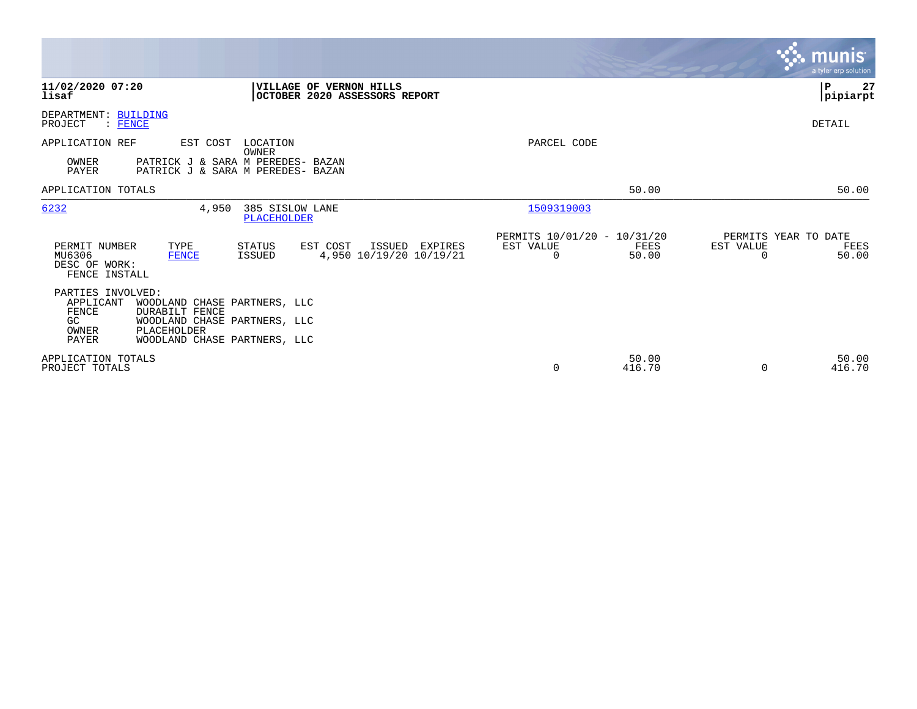|                                                           |                                                                                       |                                |                                                          |                                                      |                 |                                               | <b>munis</b><br>a tyler erp solution |
|-----------------------------------------------------------|---------------------------------------------------------------------------------------|--------------------------------|----------------------------------------------------------|------------------------------------------------------|-----------------|-----------------------------------------------|--------------------------------------|
| 11/02/2020 07:20<br>lisaf                                 |                                                                                       |                                | VILLAGE OF VERNON HILLS<br>OCTOBER 2020 ASSESSORS REPORT |                                                      |                 |                                               | ∣P<br>27<br> pipiarpt                |
| DEPARTMENT: BUILDING<br>PROJECT<br>$:$ FENCE              |                                                                                       |                                |                                                          |                                                      |                 |                                               | DETAIL                               |
| APPLICATION REF                                           | EST COST                                                                              | LOCATION<br>OWNER              |                                                          | PARCEL CODE                                          |                 |                                               |                                      |
| OWNER<br>PAYER                                            | PATRICK J & SARA M PEREDES- BAZAN<br>PATRICK J & SARA M PEREDES- BAZAN                |                                |                                                          |                                                      |                 |                                               |                                      |
| APPLICATION TOTALS                                        |                                                                                       |                                |                                                          |                                                      | 50.00           |                                               | 50.00                                |
| 6232                                                      | 4,950                                                                                 | 385 SISLOW LANE<br>PLACEHOLDER |                                                          | 1509319003                                           |                 |                                               |                                      |
| PERMIT NUMBER<br>MU6306<br>DESC OF WORK:<br>FENCE INSTALL | TYPE<br><b>FENCE</b>                                                                  | STATUS<br><b>ISSUED</b>        | EST COST<br>ISSUED<br>EXPIRES<br>4,950 10/19/20 10/19/21 | PERMITS 10/01/20 - 10/31/20<br>EST VALUE<br>$\Omega$ | FEES<br>50.00   | PERMITS YEAR TO DATE<br>EST VALUE<br>$\Omega$ | FEES<br>50.00                        |
| PARTIES INVOLVED:<br>APPLICANT<br>FENCE<br>GC.            | WOODLAND CHASE PARTNERS, LLC<br><b>DURABILT FENCE</b><br>WOODLAND CHASE PARTNERS, LLC |                                |                                                          |                                                      |                 |                                               |                                      |
| OWNER<br><b>PAYER</b>                                     | PLACEHOLDER<br>WOODLAND CHASE PARTNERS, LLC                                           |                                |                                                          |                                                      |                 |                                               |                                      |
| APPLICATION TOTALS<br>PROJECT TOTALS                      |                                                                                       |                                |                                                          | 0                                                    | 50.00<br>416.70 | $\Omega$                                      | 50.00<br>416.70                      |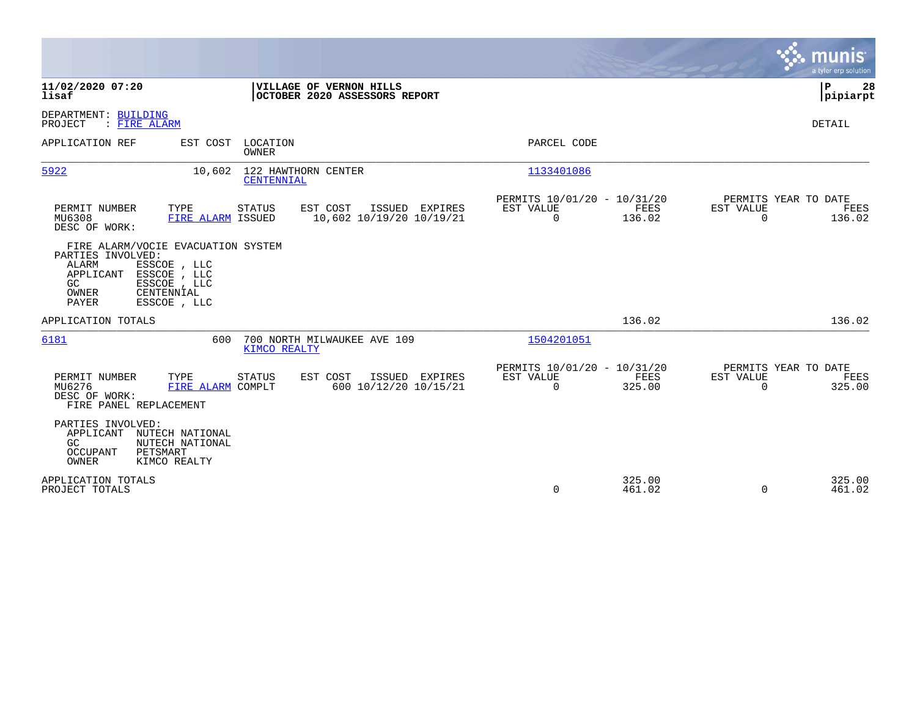|                                                                                                                                                                                            |                                                                        | munis<br>a tyler erp solution                                   |
|--------------------------------------------------------------------------------------------------------------------------------------------------------------------------------------------|------------------------------------------------------------------------|-----------------------------------------------------------------|
| 11/02/2020 07:20<br>VILLAGE OF VERNON HILLS<br>lisaf<br>OCTOBER 2020 ASSESSORS REPORT                                                                                                      |                                                                        | P<br>28<br> pipiarpt                                            |
| DEPARTMENT: BUILDING<br>PROJECT<br>: FIRE ALARM                                                                                                                                            |                                                                        | DETAIL                                                          |
| APPLICATION REF<br>LOCATION<br>EST COST<br><b>OWNER</b>                                                                                                                                    | PARCEL CODE                                                            |                                                                 |
| 5922<br>122 HAWTHORN CENTER<br>10,602<br><b>CENTENNIAL</b>                                                                                                                                 | 1133401086                                                             |                                                                 |
| PERMIT NUMBER<br>TYPE<br>EST COST<br>ISSUED<br><b>EXPIRES</b><br>STATUS<br>MU6308<br>FIRE ALARM ISSUED<br>10,602 10/19/20 10/19/21<br>DESC OF WORK:                                        | PERMITS 10/01/20 - 10/31/20<br>EST VALUE<br>FEES<br>$\Omega$<br>136.02 | PERMITS YEAR TO DATE<br>EST VALUE<br>FEES<br>$\Omega$<br>136.02 |
| FIRE ALARM/VOCIE EVACUATION SYSTEM<br>PARTIES INVOLVED:<br>ALARM<br>ESSCOE , LLC<br>ESSCOE , LLC<br>APPLICANT<br>GC<br>ESSCOE , LLC<br>CENTENNIAL<br>OWNER<br><b>PAYER</b><br>ESSCOE , LLC |                                                                        |                                                                 |
| APPLICATION TOTALS                                                                                                                                                                         | 136.02                                                                 | 136.02                                                          |
| 6181<br>700 NORTH MILWAUKEE AVE 109<br>600<br>KIMCO REALTY                                                                                                                                 | 1504201051                                                             |                                                                 |
| EST COST<br>PERMIT NUMBER<br>TYPE<br>STATUS<br>ISSUED<br>EXPIRES<br>600 10/12/20 10/15/21<br>MU6276<br>FIRE ALARM COMPLT<br>DESC OF WORK:<br>FIRE PANEL REPLACEMENT                        | PERMITS 10/01/20 - 10/31/20<br>FEES<br>EST VALUE<br>$\Omega$<br>325.00 | PERMITS YEAR TO DATE<br>EST VALUE<br>FEES<br>$\Omega$<br>325.00 |
| PARTIES INVOLVED:<br>APPLICANT<br>NUTECH NATIONAL<br>GC<br>NUTECH NATIONAL<br>PETSMART<br>OCCUPANT<br>OWNER<br>KIMCO REALTY                                                                |                                                                        |                                                                 |
| APPLICATION TOTALS<br>PROJECT TOTALS                                                                                                                                                       | 325.00<br>0<br>461.02                                                  | 325.00<br>$\Omega$<br>461.02                                    |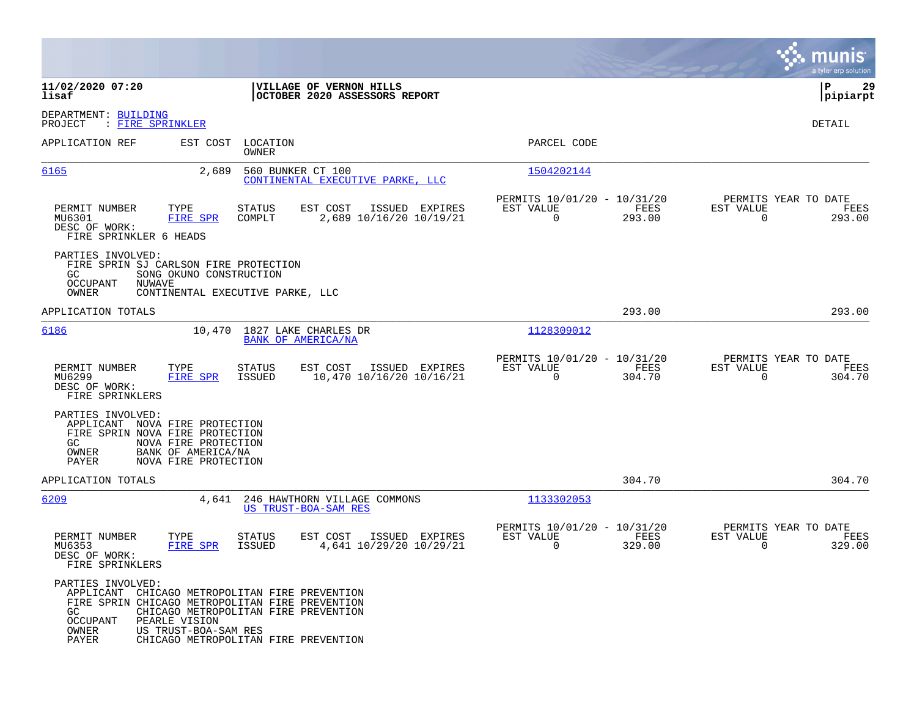|                                                                                                                                                                                       |                                                                                                                                                                                   |                                                                           | munis<br>a tyler erp solution                                      |
|---------------------------------------------------------------------------------------------------------------------------------------------------------------------------------------|-----------------------------------------------------------------------------------------------------------------------------------------------------------------------------------|---------------------------------------------------------------------------|--------------------------------------------------------------------|
| 11/02/2020 07:20<br>lisaf                                                                                                                                                             | VILLAGE OF VERNON HILLS<br>OCTOBER 2020 ASSESSORS REPORT                                                                                                                          |                                                                           | ΙP<br>29<br> pipiarpt                                              |
| DEPARTMENT: BUILDING<br>PROJECT<br>: FIRE SPRINKLER                                                                                                                                   |                                                                                                                                                                                   |                                                                           | DETAIL                                                             |
| APPLICATION REF                                                                                                                                                                       | EST COST LOCATION<br>OWNER                                                                                                                                                        | PARCEL CODE                                                               |                                                                    |
| 6165                                                                                                                                                                                  | 2,689<br>560 BUNKER CT 100<br>CONTINENTAL EXECUTIVE PARKE, LLC                                                                                                                    | 1504202144                                                                |                                                                    |
| TYPE<br>PERMIT NUMBER<br><b>FIRE SPR</b><br>MU6301<br>DESC OF WORK:<br>FIRE SPRINKLER 6 HEADS                                                                                         | <b>STATUS</b><br>EST COST<br>ISSUED EXPIRES<br>COMPLT<br>2,689 10/16/20 10/19/21                                                                                                  | PERMITS 10/01/20 - 10/31/20<br>EST VALUE<br>FEES<br>$\mathbf 0$<br>293.00 | PERMITS YEAR TO DATE<br>EST VALUE<br>FEES<br>$\mathbf 0$<br>293.00 |
| PARTIES INVOLVED:<br>FIRE SPRIN SJ CARLSON FIRE PROTECTION<br>GC.<br>OCCUPANT<br><b>NUWAVE</b><br>OWNER                                                                               | SONG OKUNO CONSTRUCTION<br>CONTINENTAL EXECUTIVE PARKE, LLC                                                                                                                       |                                                                           |                                                                    |
| APPLICATION TOTALS                                                                                                                                                                    |                                                                                                                                                                                   | 293.00                                                                    | 293.00                                                             |
| 6186                                                                                                                                                                                  | 10,470<br>1827 LAKE CHARLES DR<br><b>BANK OF AMERICA/NA</b>                                                                                                                       | 1128309012                                                                |                                                                    |
| PERMIT NUMBER<br>TYPE<br>MU6299<br><b>FIRE SPR</b><br>DESC OF WORK:<br>FIRE SPRINKLERS                                                                                                | <b>STATUS</b><br>EST COST<br>ISSUED EXPIRES<br>ISSUED<br>10,470 10/16/20 10/16/21                                                                                                 | PERMITS 10/01/20 - 10/31/20<br>EST VALUE<br>FEES<br>0<br>304.70           | PERMITS YEAR TO DATE<br>EST VALUE<br>FEES<br>$\mathbf 0$<br>304.70 |
| PARTIES INVOLVED:<br>APPLICANT NOVA FIRE PROTECTION<br>FIRE SPRIN NOVA FIRE PROTECTION<br>GC.<br>NOVA FIRE PROTECTION<br>OWNER<br>BANK OF AMERICA/NA<br>PAYER<br>NOVA FIRE PROTECTION |                                                                                                                                                                                   |                                                                           |                                                                    |
| APPLICATION TOTALS                                                                                                                                                                    |                                                                                                                                                                                   | 304.70                                                                    | 304.70                                                             |
| 6209                                                                                                                                                                                  | 4,641<br>246 HAWTHORN VILLAGE COMMONS<br>US TRUST-BOA-SAM RES                                                                                                                     | 1133302053                                                                |                                                                    |
| PERMIT NUMBER<br>TYPE<br><b>FIRE SPR</b><br>MU6353<br>DESC OF WORK:<br>FIRE SPRINKLERS                                                                                                | <b>STATUS</b><br>EST COST<br>ISSUED EXPIRES<br>4,641 10/29/20 10/29/21<br><b>ISSUED</b>                                                                                           | PERMITS 10/01/20 - 10/31/20<br>EST VALUE<br>FEES<br>$\Omega$<br>329.00    | PERMITS YEAR TO DATE<br>EST VALUE<br>FEES<br>329.00<br>0           |
| PARTIES INVOLVED:<br>GC<br><b>OCCUPANT</b><br>PEARLE VISION<br>OWNER<br>US TRUST-BOA-SAM RES<br>PAYER                                                                                 | APPLICANT CHICAGO METROPOLITAN FIRE PREVENTION<br>FIRE SPRIN CHICAGO METROPOLITAN FIRE PREVENTION<br>CHICAGO METROPOLITAN FIRE PREVENTION<br>CHICAGO METROPOLITAN FIRE PREVENTION |                                                                           |                                                                    |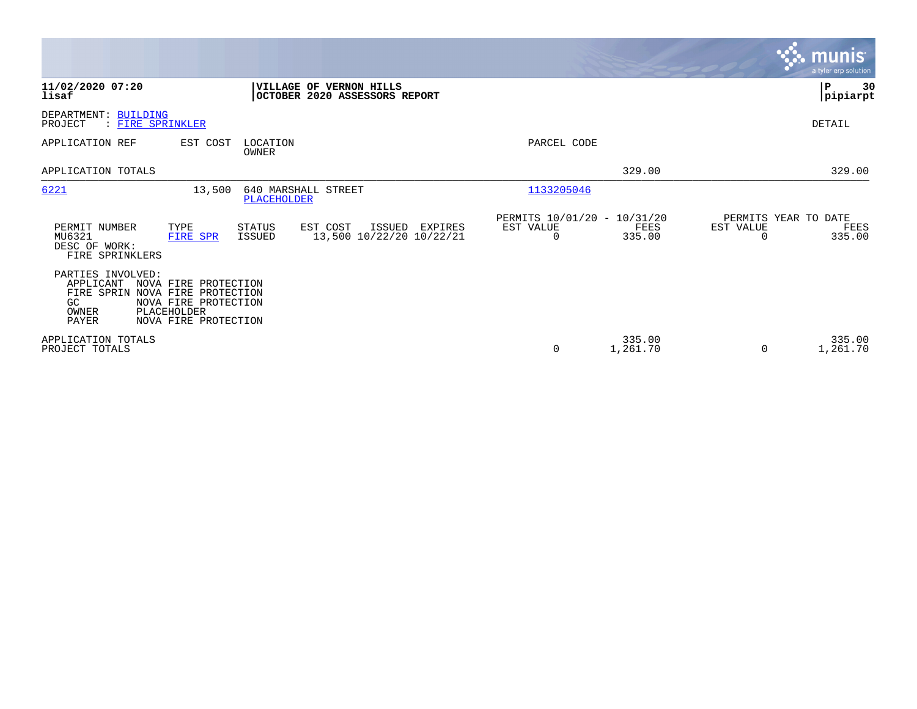|                                                                                                                                                                                      |                                                           |                                               |                    |           | <b>munis</b><br>a tyler erp solution   |
|--------------------------------------------------------------------------------------------------------------------------------------------------------------------------------------|-----------------------------------------------------------|-----------------------------------------------|--------------------|-----------|----------------------------------------|
| 11/02/2020 07:20<br>lisaf                                                                                                                                                            | VILLAGE OF VERNON HILLS<br>OCTOBER 2020 ASSESSORS REPORT  |                                               |                    |           | ∣P<br>30<br> pipiarpt                  |
| DEPARTMENT: BUILDING<br>: FIRE SPRINKLER<br>PROJECT                                                                                                                                  |                                                           |                                               |                    |           | DETAIL                                 |
| APPLICATION REF<br>LOCATION<br>EST COST<br>OWNER                                                                                                                                     |                                                           | PARCEL CODE                                   |                    |           |                                        |
| APPLICATION TOTALS                                                                                                                                                                   |                                                           |                                               | 329.00             |           | 329.00                                 |
| 6221<br>13,500                                                                                                                                                                       | 640 MARSHALL STREET<br>PLACEHOLDER                        | 1133205046                                    |                    |           |                                        |
| PERMIT NUMBER<br>TYPE<br>STATUS<br>MU6321<br>ISSUED<br>FIRE SPR<br>DESC OF WORK:<br>FIRE SPRINKLERS                                                                                  | EST COST<br>ISSUED<br>EXPIRES<br>13,500 10/22/20 10/22/21 | PERMITS 10/01/20 - 10/31/20<br>EST VALUE<br>0 | FEES<br>335.00     | EST VALUE | PERMITS YEAR TO DATE<br>FEES<br>335.00 |
| PARTIES INVOLVED:<br>APPLICANT<br>NOVA FIRE PROTECTION<br>FIRE SPRIN<br>NOVA FIRE PROTECTION<br>NOVA FIRE PROTECTION<br>GC.<br>OWNER<br>PLACEHOLDER<br>PAYER<br>NOVA FIRE PROTECTION |                                                           |                                               |                    |           |                                        |
| APPLICATION TOTALS<br>PROJECT TOTALS                                                                                                                                                 |                                                           | 0                                             | 335.00<br>1,261.70 | $\Omega$  | 335.00<br>1,261.70                     |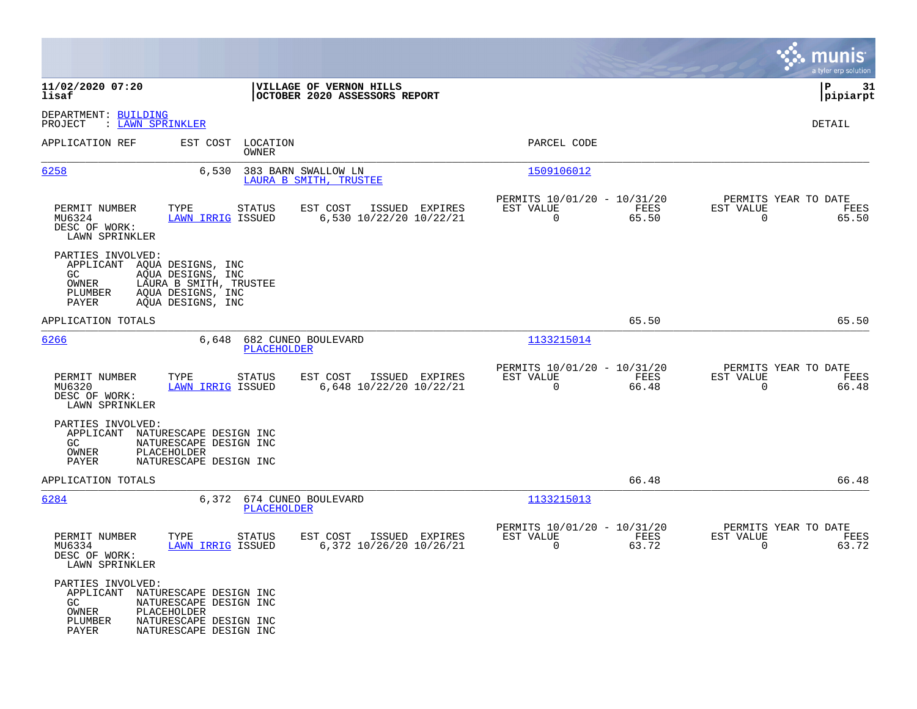|                                                                                     |                                                                                                                               |                                                          |                                                         |               |                                                  | munis<br>a tyler erp solution |
|-------------------------------------------------------------------------------------|-------------------------------------------------------------------------------------------------------------------------------|----------------------------------------------------------|---------------------------------------------------------|---------------|--------------------------------------------------|-------------------------------|
| 11/02/2020 07:20<br>lisaf                                                           |                                                                                                                               | VILLAGE OF VERNON HILLS<br>OCTOBER 2020 ASSESSORS REPORT |                                                         |               |                                                  | ΙP<br>-31<br> pipiarpt        |
| DEPARTMENT: BUILDING<br>: LAWN SPRINKLER<br>PROJECT                                 |                                                                                                                               |                                                          |                                                         |               |                                                  | DETAIL                        |
| APPLICATION REF                                                                     | EST COST LOCATION<br>OWNER                                                                                                    |                                                          | PARCEL CODE                                             |               |                                                  |                               |
| 6258                                                                                | 6,530                                                                                                                         | 383 BARN SWALLOW LN<br>LAURA B SMITH, TRUSTEE            | 1509106012                                              |               |                                                  |                               |
| PERMIT NUMBER<br>MU6324<br>DESC OF WORK:<br>LAWN SPRINKLER                          | TYPE<br><b>STATUS</b><br><b>LAWN IRRIG ISSUED</b>                                                                             | EST COST<br>ISSUED EXPIRES<br>6,530 10/22/20 10/22/21    | PERMITS 10/01/20 - 10/31/20<br>EST VALUE<br>$\mathbf 0$ | FEES<br>65.50 | PERMITS YEAR TO DATE<br>EST VALUE<br>$\mathbf 0$ | FEES<br>65.50                 |
| PARTIES INVOLVED:<br>APPLICANT AQUA DESIGNS, INC<br>GC<br>OWNER<br>PLUMBER<br>PAYER | AQUA DESIGNS, INC<br>LAURA B SMITH, TRUSTEE<br>AQUA DESIGNS, INC<br>AOUA DESIGNS, INC                                         |                                                          |                                                         |               |                                                  |                               |
| APPLICATION TOTALS                                                                  |                                                                                                                               |                                                          |                                                         | 65.50         |                                                  | 65.50                         |
| 6266                                                                                | 6,648<br>PLACEHOLDER                                                                                                          | 682 CUNEO BOULEVARD                                      | 1133215014                                              |               |                                                  |                               |
| PERMIT NUMBER<br>MU6320<br>DESC OF WORK:<br>LAWN SPRINKLER                          | TYPE<br><b>STATUS</b><br><b>LAWN IRRIG ISSUED</b>                                                                             | EST COST<br>ISSUED EXPIRES<br>6,648 10/22/20 10/22/21    | PERMITS 10/01/20 - 10/31/20<br>EST VALUE<br>$\mathbf 0$ | FEES<br>66.48 | PERMITS YEAR TO DATE<br>EST VALUE<br>$\mathbf 0$ | FEES<br>66.48                 |
| PARTIES INVOLVED:<br>APPLICANT<br>GC<br>OWNER<br>PAYER                              | NATURESCAPE DESIGN INC<br>NATURESCAPE DESIGN INC<br>PLACEHOLDER<br>NATURESCAPE DESIGN INC                                     |                                                          |                                                         |               |                                                  |                               |
| APPLICATION TOTALS                                                                  |                                                                                                                               |                                                          |                                                         | 66.48         |                                                  | 66.48                         |
| 6284                                                                                | 6,372 674 CUNEO BOULEVARD<br>PLACEHOLDER                                                                                      |                                                          | 1133215013                                              |               |                                                  |                               |
| PERMIT NUMBER<br>MU6334<br>DESC OF WORK:<br>LAWN SPRINKLER                          | TYPE<br><b>STATUS</b><br><b>LAWN IRRIG ISSUED</b>                                                                             | EST COST<br>ISSUED EXPIRES<br>6,372 10/26/20 10/26/21    | PERMITS 10/01/20 - 10/31/20<br>EST VALUE<br>$\Omega$    | FEES<br>63.72 | PERMITS YEAR TO DATE<br>EST VALUE<br>$\Omega$    | FEES<br>63.72                 |
| PARTIES INVOLVED:<br>GC<br>OWNER<br>PLUMBER<br>PAYER                                | APPLICANT NATURESCAPE DESIGN INC<br>NATURESCAPE DESIGN INC<br>PLACEHOLDER<br>NATURESCAPE DESIGN INC<br>NATURESCAPE DESIGN INC |                                                          |                                                         |               |                                                  |                               |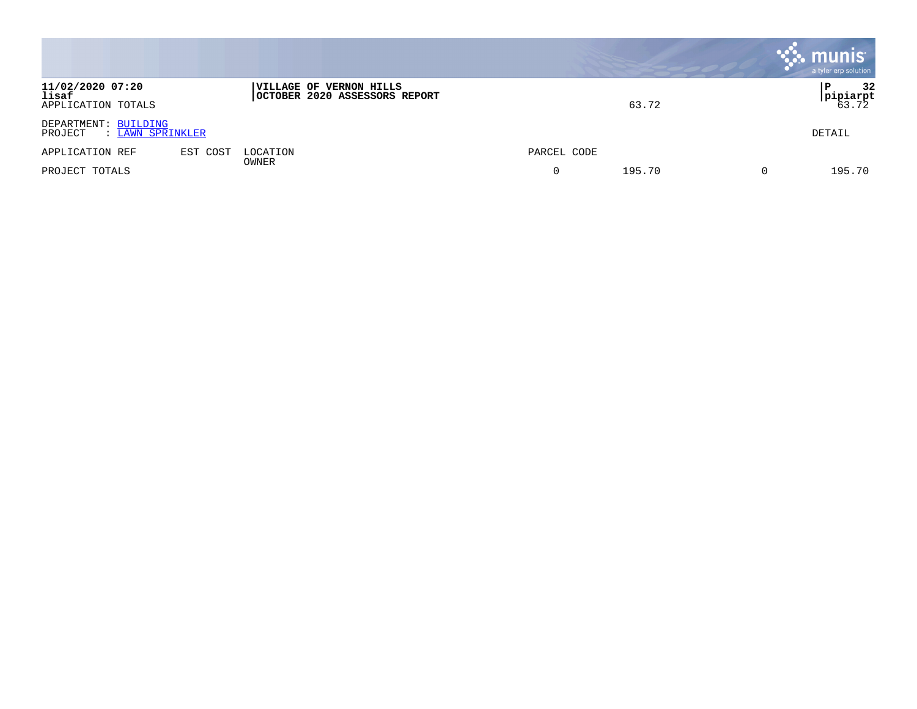|                                                     |          |                                                          |             | , munis <sup>.</sup><br>a tyler erp solution |
|-----------------------------------------------------|----------|----------------------------------------------------------|-------------|----------------------------------------------|
| 11/02/2020 07:20<br>lisaf<br>APPLICATION TOTALS     |          | VILLAGE OF VERNON HILLS<br>OCTOBER 2020 ASSESSORS REPORT | 63.72       | 32<br> pipiarpt<br>63.72                     |
| DEPARTMENT: BUILDING<br>PROJECT<br>: LAWN SPRINKLER |          |                                                          |             | DETAIL                                       |
| APPLICATION REF                                     | EST COST | LOCATION<br>OWNER                                        | PARCEL CODE |                                              |
| PROJECT TOTALS                                      |          |                                                          | 195.70      | 195.70                                       |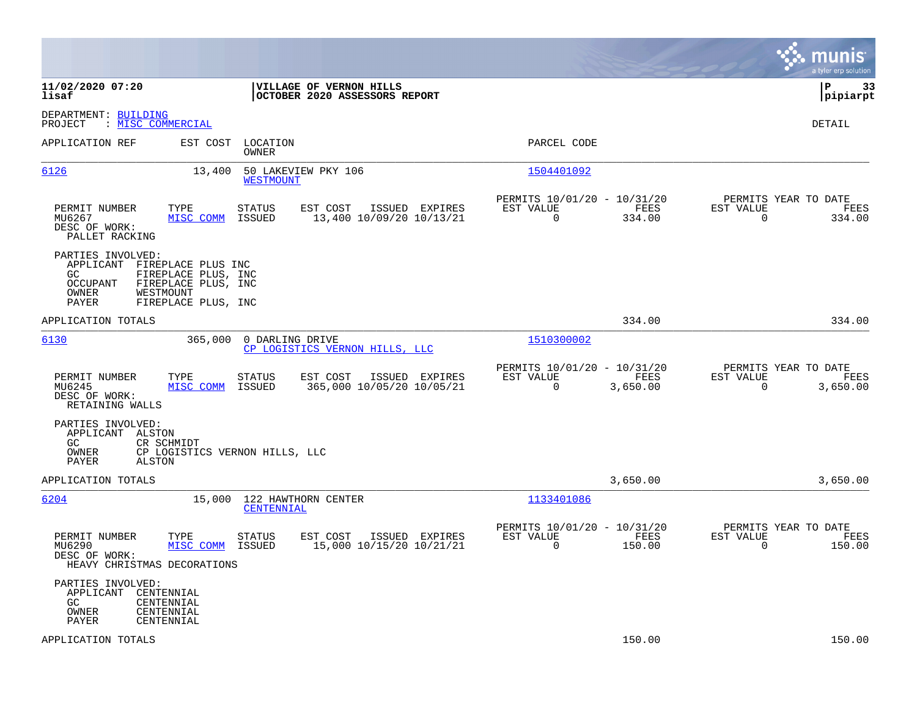|                                                                                                                                                                                 |                                                                                   |                                                                              | munis<br>a tyler erp solution                                         |
|---------------------------------------------------------------------------------------------------------------------------------------------------------------------------------|-----------------------------------------------------------------------------------|------------------------------------------------------------------------------|-----------------------------------------------------------------------|
| 11/02/2020 07:20<br>lisaf                                                                                                                                                       | VILLAGE OF VERNON HILLS<br>OCTOBER 2020 ASSESSORS REPORT                          |                                                                              | ΙP<br>-33<br> pipiarpt                                                |
| DEPARTMENT: BUILDING<br>: MISC COMMERCIAL<br>PROJECT                                                                                                                            |                                                                                   |                                                                              | DETAIL                                                                |
| EST COST<br>APPLICATION REF                                                                                                                                                     | LOCATION<br>OWNER                                                                 | PARCEL CODE                                                                  |                                                                       |
| 6126<br>13,400                                                                                                                                                                  | 50 LAKEVIEW PKY 106<br><b>WESTMOUNT</b>                                           | 1504401092                                                                   |                                                                       |
| PERMIT NUMBER<br>TYPE<br>MU6267<br>MISC COMM<br>DESC OF WORK:<br>PALLET RACKING                                                                                                 | STATUS<br>EST COST<br>ISSUED EXPIRES<br>13,400 10/09/20 10/13/21<br>ISSUED        | PERMITS 10/01/20 - 10/31/20<br>EST VALUE<br>FEES<br>$\Omega$<br>334.00       | PERMITS YEAR TO DATE<br>EST VALUE<br>FEES<br>$\Omega$<br>334.00       |
| PARTIES INVOLVED:<br>APPLICANT FIREPLACE PLUS INC<br>GC.<br>FIREPLACE PLUS, INC<br><b>OCCUPANT</b><br>FIREPLACE PLUS, INC<br>OWNER<br>WESTMOUNT<br>PAYER<br>FIREPLACE PLUS, INC |                                                                                   |                                                                              |                                                                       |
| APPLICATION TOTALS                                                                                                                                                              |                                                                                   | 334.00                                                                       | 334.00                                                                |
| 6130<br>365,000                                                                                                                                                                 | 0 DARLING DRIVE<br>CP LOGISTICS VERNON HILLS, LLC                                 | 1510300002                                                                   |                                                                       |
| PERMIT NUMBER<br>TYPE<br>MU6245<br>MISC COMM<br>DESC OF WORK:<br>RETAINING WALLS                                                                                                | STATUS<br>EST COST<br>ISSUED EXPIRES<br>ISSUED<br>365,000 10/05/20 10/05/21       | PERMITS 10/01/20 - 10/31/20<br>EST VALUE<br>FEES<br>$\Omega$<br>3,650.00     | PERMITS YEAR TO DATE<br>EST VALUE<br>FEES<br>$\Omega$<br>3,650.00     |
| PARTIES INVOLVED:<br>APPLICANT ALSTON<br>GC.<br>CR SCHMIDT<br>OWNER<br>CP LOGISTICS VERNON HILLS, LLC<br>PAYER<br>ALSTON                                                        |                                                                                   |                                                                              |                                                                       |
| APPLICATION TOTALS                                                                                                                                                              |                                                                                   | 3,650.00                                                                     | 3,650.00                                                              |
| 6204<br>15,000                                                                                                                                                                  | 122 HAWTHORN CENTER<br>CENTENNIAL                                                 | 1133401086                                                                   |                                                                       |
| PERMIT NUMBER<br>TYPE<br>MISC COMM<br>MU6290<br>DESC OF WORK:<br>HEAVY CHRISTMAS DECORATIONS                                                                                    | <b>STATUS</b><br>EST COST<br>ISSUED EXPIRES<br>15,000 10/15/20 10/21/21<br>ISSUED | PERMITS 10/01/20 - 10/31/20<br>EST VALUE<br>FEES<br>$\overline{0}$<br>150.00 | PERMITS YEAR TO DATE<br>EST VALUE<br>FEES<br>$\overline{0}$<br>150.00 |
| PARTIES INVOLVED:<br>APPLICANT<br>CENTENNIAL<br>GC.<br>CENTENNIAL<br>OWNER<br>CENTENNIAL<br>PAYER<br>CENTENNIAL                                                                 |                                                                                   |                                                                              |                                                                       |
| APPLICATION TOTALS                                                                                                                                                              |                                                                                   | 150.00                                                                       | 150.00                                                                |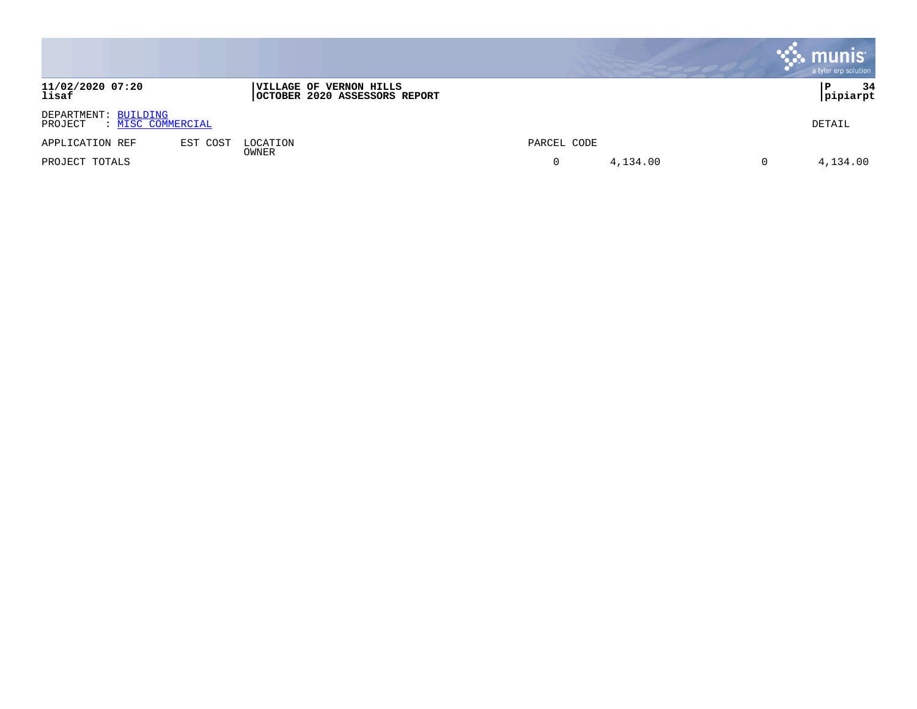|                                                             |          |                                                          |             |          | <b>munis</b><br>a tyler erp solution |
|-------------------------------------------------------------|----------|----------------------------------------------------------|-------------|----------|--------------------------------------|
| 11/02/2020 07:20<br>lisaf                                   |          | VILLAGE OF VERNON HILLS<br>OCTOBER 2020 ASSESSORS REPORT |             |          | 34<br>pipiarpt                       |
| DEPARTMENT: BUILDING<br>: <u>MISC COMMERCIAL</u><br>PROJECT |          |                                                          |             |          | DETAIL                               |
| APPLICATION REF                                             | EST COST | LOCATION                                                 | PARCEL CODE |          |                                      |
| PROJECT TOTALS                                              |          | OWNER                                                    | 0           | 4,134.00 | 4,134.00                             |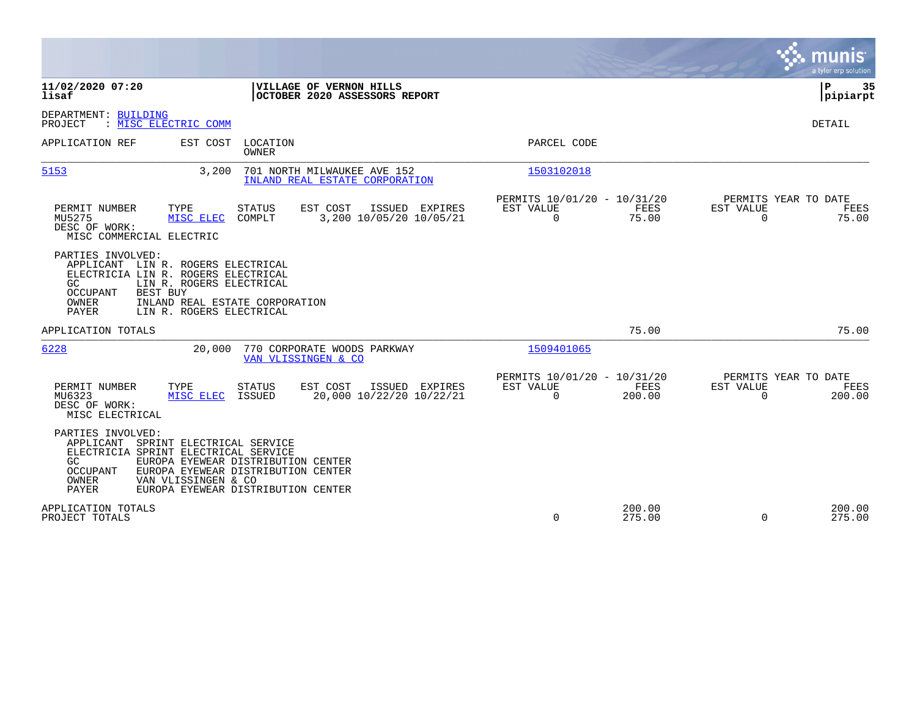|                                                                                                                                                                                                                                                                                   |                                                                          | munis<br>a tyler erp solution                                   |
|-----------------------------------------------------------------------------------------------------------------------------------------------------------------------------------------------------------------------------------------------------------------------------------|--------------------------------------------------------------------------|-----------------------------------------------------------------|
| 11/02/2020 07:20<br>VILLAGE OF VERNON HILLS<br>OCTOBER 2020 ASSESSORS REPORT<br>lisaf                                                                                                                                                                                             |                                                                          | ΙP<br>35<br> pipiarpt                                           |
| DEPARTMENT: BUILDING<br>PROJECT<br>: MISC ELECTRIC COMM                                                                                                                                                                                                                           |                                                                          | DETAIL                                                          |
| LOCATION<br>APPLICATION REF<br>EST COST<br><b>OWNER</b>                                                                                                                                                                                                                           | PARCEL CODE                                                              |                                                                 |
| 3,200<br>5153<br>701 NORTH MILWAUKEE AVE 152<br>INLAND REAL ESTATE CORPORATION                                                                                                                                                                                                    | 1503102018                                                               |                                                                 |
| PERMIT NUMBER<br>TYPE<br><b>STATUS</b><br>EST COST<br>ISSUED EXPIRES<br>MU5275<br>MISC ELEC<br>COMPLT<br>3,200 10/05/20 10/05/21<br>DESC OF WORK:<br>MISC COMMERCIAL ELECTRIC                                                                                                     | PERMITS 10/01/20 - 10/31/20<br>EST VALUE<br>FEES<br>$\mathbf 0$<br>75.00 | PERMITS YEAR TO DATE<br>EST VALUE<br>FEES<br>75.00<br>$\Omega$  |
| PARTIES INVOLVED:<br>APPLICANT<br>LIN R. ROGERS ELECTRICAL<br>ELECTRICIA LIN R. ROGERS ELECTRICAL<br>GC<br>LIN R. ROGERS ELECTRICAL<br><b>BEST BUY</b><br>OCCUPANT<br>INLAND REAL ESTATE CORPORATION<br>OWNER<br>PAYER<br>LIN R. ROGERS ELECTRICAL                                |                                                                          |                                                                 |
| APPLICATION TOTALS                                                                                                                                                                                                                                                                | 75.00                                                                    | 75.00                                                           |
| 6228<br>20,000<br>770 CORPORATE WOODS PARKWAY<br>VAN VLISSINGEN & CO                                                                                                                                                                                                              | 1509401065                                                               |                                                                 |
| PERMIT NUMBER<br><b>STATUS</b><br>EST COST<br>ISSUED<br>TYPE<br>EXPIRES<br>MU6323<br>20,000 10/22/20 10/22/21<br>MISC ELEC<br>ISSUED<br>DESC OF WORK:<br>MISC ELECTRICAL                                                                                                          | PERMITS 10/01/20 - 10/31/20<br>EST VALUE<br>FEES<br>$\Omega$<br>200.00   | PERMITS YEAR TO DATE<br>EST VALUE<br>FEES<br>$\Omega$<br>200.00 |
| PARTIES INVOLVED:<br>APPLICANT<br>SPRINT ELECTRICAL SERVICE<br>ELECTRICIA SPRINT ELECTRICAL SERVICE<br>GC.<br>EUROPA EYEWEAR DISTRIBUTION CENTER<br>EUROPA EYEWEAR DISTRIBUTION CENTER<br>OCCUPANT<br>OWNER<br>VAN VLISSINGEN & CO<br>PAYER<br>EUROPA EYEWEAR DISTRIBUTION CENTER |                                                                          |                                                                 |
| APPLICATION TOTALS<br>PROJECT TOTALS                                                                                                                                                                                                                                              | 200.00<br>$\Omega$<br>275.00                                             | 200.00<br>275.00<br>$\Omega$                                    |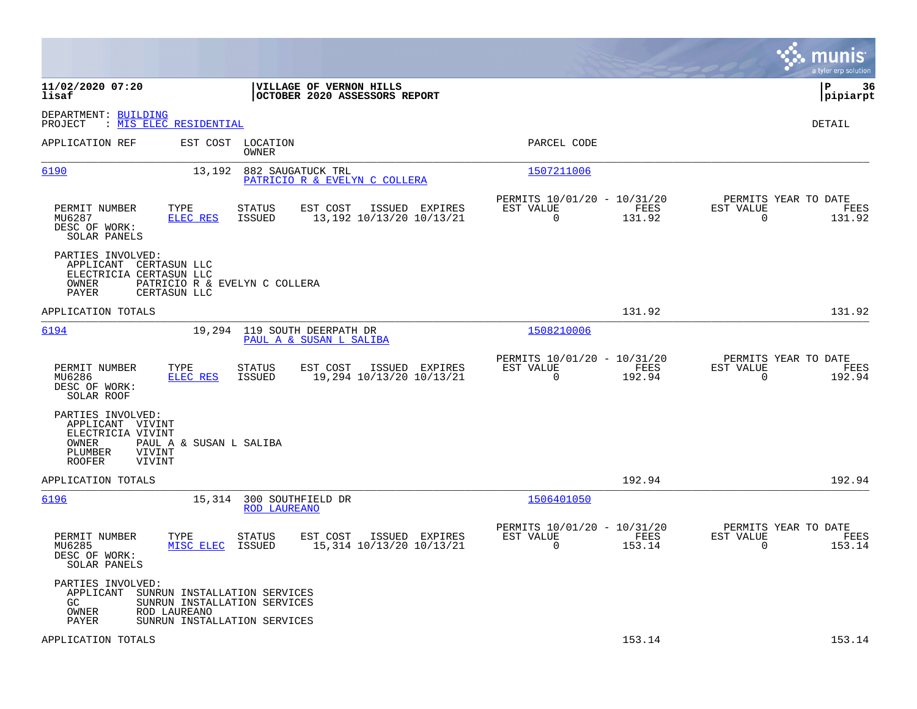|                                                                                                                     |                                                                                                      |                                                                           | munis<br>a tyler erp solution                                         |
|---------------------------------------------------------------------------------------------------------------------|------------------------------------------------------------------------------------------------------|---------------------------------------------------------------------------|-----------------------------------------------------------------------|
| 11/02/2020 07:20<br>lisaf                                                                                           | VILLAGE OF VERNON HILLS<br>OCTOBER 2020 ASSESSORS REPORT                                             |                                                                           | ΙP<br>-36<br> pipiarpt                                                |
| DEPARTMENT: BUILDING<br>PROJECT<br>: <u>MIS ELEC RESIDENTIAL</u>                                                    |                                                                                                      |                                                                           | DETAIL                                                                |
| APPLICATION REF                                                                                                     | EST COST LOCATION<br>OWNER                                                                           | PARCEL CODE                                                               |                                                                       |
| 6190                                                                                                                | 13,192<br>882 SAUGATUCK TRL<br>PATRICIO R & EVELYN C COLLERA                                         | 1507211006                                                                |                                                                       |
| PERMIT NUMBER<br>TYPE<br>MU6287<br>DESC OF WORK:<br>SOLAR PANELS                                                    | EST COST<br>ISSUED EXPIRES<br>STATUS<br>13,192 10/13/20 10/13/21<br>ELEC RES<br>ISSUED               | PERMITS 10/01/20 - 10/31/20<br>EST VALUE<br>FEES<br>$\mathbf 0$<br>131.92 | PERMITS YEAR TO DATE<br>EST VALUE<br>FEES<br>$\mathbf 0$<br>131.92    |
| PARTIES INVOLVED:<br>APPLICANT<br>CERTASUN LLC<br>ELECTRICIA CERTASUN LLC<br>OWNER<br>PAYER<br>CERTASUN LLC         | PATRICIO R & EVELYN C COLLERA                                                                        |                                                                           |                                                                       |
| APPLICATION TOTALS                                                                                                  |                                                                                                      | 131.92                                                                    | 131.92                                                                |
| 6194                                                                                                                | 19,294 119 SOUTH DEERPATH DR<br>PAUL A & SUSAN L SALIBA                                              | 1508210006                                                                |                                                                       |
| PERMIT NUMBER<br>TYPE<br>MU6286<br>DESC OF WORK:<br>SOLAR ROOF                                                      | <b>STATUS</b><br>EST COST<br>ISSUED EXPIRES<br><b>ELEC RES</b><br>ISSUED<br>19,294 10/13/20 10/13/21 | PERMITS 10/01/20 - 10/31/20<br>EST VALUE<br>FEES<br>$\mathbf 0$<br>192.94 | PERMITS YEAR TO DATE<br>EST VALUE<br>FEES<br>$\overline{0}$<br>192.94 |
| PARTIES INVOLVED:<br>APPLICANT VIVINT<br>ELECTRICIA VIVINT<br>OWNER<br>PLUMBER<br>VIVINT<br><b>ROOFER</b><br>VIVINT | PAUL A & SUSAN L SALIBA                                                                              |                                                                           |                                                                       |
| APPLICATION TOTALS                                                                                                  |                                                                                                      | 192.94                                                                    | 192.94                                                                |
| 6196                                                                                                                | 300 SOUTHFIELD DR<br>15,314<br>ROD LAUREANO                                                          | 1506401050                                                                |                                                                       |
| PERMIT NUMBER<br>TYPE<br>MU6285<br>DESC OF WORK:<br>SOLAR PANELS                                                    | EST COST<br>ISSUED EXPIRES<br>STATUS<br>MISC ELEC<br>ISSUED<br>15,314 10/13/20 10/13/21              | PERMITS 10/01/20 - 10/31/20<br>EST VALUE<br>FEES<br>$\mathbf 0$<br>153.14 | PERMITS YEAR TO DATE<br>EST VALUE<br>FEES<br>$\overline{0}$<br>153.14 |
| PARTIES INVOLVED:<br>APPLICANT<br>GC.<br>ROD LAUREANO<br>OWNER<br>PAYER                                             | SUNRUN INSTALLATION SERVICES<br>SUNRUN INSTALLATION SERVICES<br>SUNRUN INSTALLATION SERVICES         |                                                                           |                                                                       |
| APPLICATION TOTALS                                                                                                  |                                                                                                      | 153.14                                                                    | 153.14                                                                |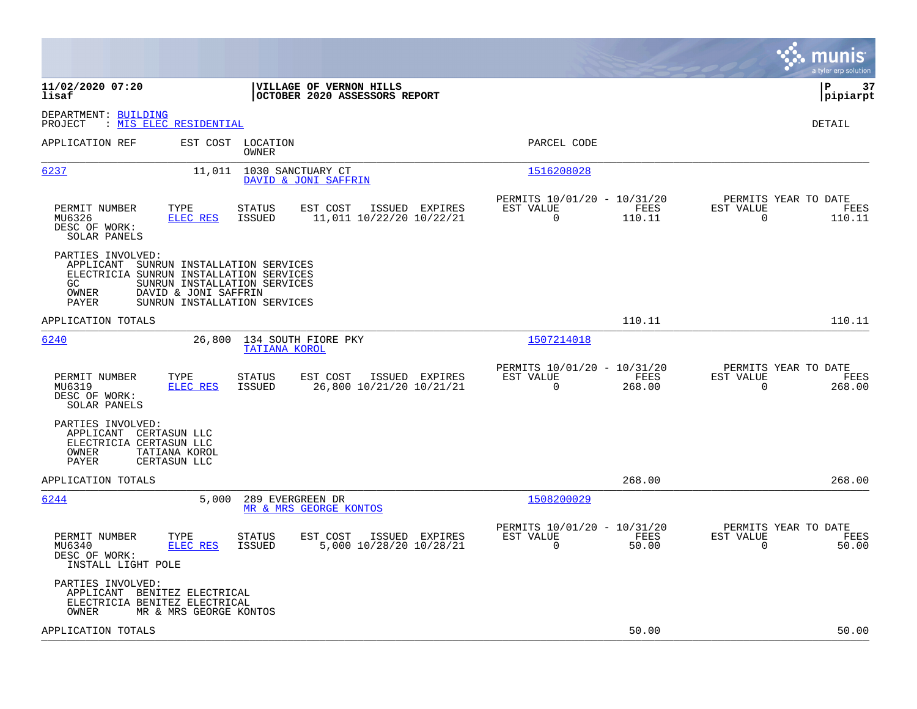| 11/02/2020 07:20<br>VILLAGE OF VERNON HILLS<br> P<br>lisaf<br>OCTOBER 2020 ASSESSORS REPORT<br>DEPARTMENT: BUILDING<br>: MIS ELEC RESIDENTIAL<br>PROJECT<br>DETAIL<br>PARCEL CODE<br>APPLICATION REF<br>EST COST LOCATION<br><b>OWNER</b><br>6237<br>11,011<br>1030 SANCTUARY CT<br>1516208028<br>DAVID & JONI SAFFRIN<br>PERMITS YEAR TO DATE<br>PERMITS 10/01/20 - 10/31/20<br>TYPE<br>EST COST<br>ISSUED EXPIRES<br>EST VALUE<br>FEES<br>EST VALUE<br>PERMIT NUMBER<br><b>STATUS</b><br>FEES<br>MU6326<br>ELEC RES<br><b>ISSUED</b><br>11,011 10/22/20 10/22/21<br>$\mathbf 0$<br>110.11<br>$\mathbf 0$<br>110.11<br>DESC OF WORK:<br>SOLAR PANELS<br>PARTIES INVOLVED:<br>APPLICANT<br>SUNRUN INSTALLATION SERVICES<br>ELECTRICIA SUNRUN INSTALLATION SERVICES<br>SUNRUN INSTALLATION SERVICES<br>GC<br>OWNER<br>DAVID & JONI SAFFRIN<br>PAYER<br>SUNRUN INSTALLATION SERVICES<br>110.11<br>110.11<br>APPLICATION TOTALS<br>1507214018<br>6240<br>26,800<br>134 SOUTH FIORE PKY<br><b>TATIANA KOROL</b><br>PERMITS 10/01/20 - 10/31/20<br>PERMITS YEAR TO DATE<br>PERMIT NUMBER<br>TYPE<br><b>STATUS</b><br>EST COST<br>ISSUED EXPIRES<br>EST VALUE<br>FEES<br>EST VALUE<br>FEES<br>$\Omega$<br>MU6319<br>ELEC RES<br><b>ISSUED</b><br>26,800 10/21/20 10/21/21<br>268.00<br>$\Omega$<br>268.00<br>DESC OF WORK:<br>SOLAR PANELS<br>PARTIES INVOLVED:<br>APPLICANT CERTASUN LLC<br>ELECTRICIA CERTASUN LLC<br>OWNER<br>TATIANA KOROL<br>PAYER<br>CERTASUN LLC<br>268.00<br>268.00<br>APPLICATION TOTALS<br>1508200029<br>6244<br>5,000<br>289 EVERGREEN DR<br>MR & MRS GEORGE KONTOS<br>PERMITS 10/01/20 - 10/31/20<br>PERMITS YEAR TO DATE<br>TYPE<br>EST VALUE<br>FEES<br>EST VALUE<br>PERMIT NUMBER<br><b>STATUS</b><br>EST COST<br>ISSUED EXPIRES<br>FEES<br>ELEC RES<br>5,000 10/28/20 10/28/21<br>$\mathbf 0$<br>50.00<br>$\mathbf 0$<br>50.00<br>MU6340<br>ISSUED<br>DESC OF WORK:<br>INSTALL LIGHT POLE<br>PARTIES INVOLVED:<br>APPLICANT BENITEZ ELECTRICAL<br>ELECTRICIA BENITEZ ELECTRICAL<br>OWNER<br>MR & MRS GEORGE KONTOS<br>50.00<br>APPLICATION TOTALS<br>50.00 |  |  |  |  | munis<br>a tyler erp solution |
|--------------------------------------------------------------------------------------------------------------------------------------------------------------------------------------------------------------------------------------------------------------------------------------------------------------------------------------------------------------------------------------------------------------------------------------------------------------------------------------------------------------------------------------------------------------------------------------------------------------------------------------------------------------------------------------------------------------------------------------------------------------------------------------------------------------------------------------------------------------------------------------------------------------------------------------------------------------------------------------------------------------------------------------------------------------------------------------------------------------------------------------------------------------------------------------------------------------------------------------------------------------------------------------------------------------------------------------------------------------------------------------------------------------------------------------------------------------------------------------------------------------------------------------------------------------------------------------------------------------------------------------------------------------------------------------------------------------------------------------------------------------------------------------------------------------------------------------------------------------------------------------------------------------------------------------------------------------------------------------------------------------------------------------------------------------------------------------|--|--|--|--|-------------------------------|
|                                                                                                                                                                                                                                                                                                                                                                                                                                                                                                                                                                                                                                                                                                                                                                                                                                                                                                                                                                                                                                                                                                                                                                                                                                                                                                                                                                                                                                                                                                                                                                                                                                                                                                                                                                                                                                                                                                                                                                                                                                                                                      |  |  |  |  | 37<br> pipiarpt               |
|                                                                                                                                                                                                                                                                                                                                                                                                                                                                                                                                                                                                                                                                                                                                                                                                                                                                                                                                                                                                                                                                                                                                                                                                                                                                                                                                                                                                                                                                                                                                                                                                                                                                                                                                                                                                                                                                                                                                                                                                                                                                                      |  |  |  |  |                               |
|                                                                                                                                                                                                                                                                                                                                                                                                                                                                                                                                                                                                                                                                                                                                                                                                                                                                                                                                                                                                                                                                                                                                                                                                                                                                                                                                                                                                                                                                                                                                                                                                                                                                                                                                                                                                                                                                                                                                                                                                                                                                                      |  |  |  |  |                               |
|                                                                                                                                                                                                                                                                                                                                                                                                                                                                                                                                                                                                                                                                                                                                                                                                                                                                                                                                                                                                                                                                                                                                                                                                                                                                                                                                                                                                                                                                                                                                                                                                                                                                                                                                                                                                                                                                                                                                                                                                                                                                                      |  |  |  |  |                               |
|                                                                                                                                                                                                                                                                                                                                                                                                                                                                                                                                                                                                                                                                                                                                                                                                                                                                                                                                                                                                                                                                                                                                                                                                                                                                                                                                                                                                                                                                                                                                                                                                                                                                                                                                                                                                                                                                                                                                                                                                                                                                                      |  |  |  |  |                               |
|                                                                                                                                                                                                                                                                                                                                                                                                                                                                                                                                                                                                                                                                                                                                                                                                                                                                                                                                                                                                                                                                                                                                                                                                                                                                                                                                                                                                                                                                                                                                                                                                                                                                                                                                                                                                                                                                                                                                                                                                                                                                                      |  |  |  |  |                               |
|                                                                                                                                                                                                                                                                                                                                                                                                                                                                                                                                                                                                                                                                                                                                                                                                                                                                                                                                                                                                                                                                                                                                                                                                                                                                                                                                                                                                                                                                                                                                                                                                                                                                                                                                                                                                                                                                                                                                                                                                                                                                                      |  |  |  |  |                               |
|                                                                                                                                                                                                                                                                                                                                                                                                                                                                                                                                                                                                                                                                                                                                                                                                                                                                                                                                                                                                                                                                                                                                                                                                                                                                                                                                                                                                                                                                                                                                                                                                                                                                                                                                                                                                                                                                                                                                                                                                                                                                                      |  |  |  |  |                               |
|                                                                                                                                                                                                                                                                                                                                                                                                                                                                                                                                                                                                                                                                                                                                                                                                                                                                                                                                                                                                                                                                                                                                                                                                                                                                                                                                                                                                                                                                                                                                                                                                                                                                                                                                                                                                                                                                                                                                                                                                                                                                                      |  |  |  |  |                               |
|                                                                                                                                                                                                                                                                                                                                                                                                                                                                                                                                                                                                                                                                                                                                                                                                                                                                                                                                                                                                                                                                                                                                                                                                                                                                                                                                                                                                                                                                                                                                                                                                                                                                                                                                                                                                                                                                                                                                                                                                                                                                                      |  |  |  |  |                               |
|                                                                                                                                                                                                                                                                                                                                                                                                                                                                                                                                                                                                                                                                                                                                                                                                                                                                                                                                                                                                                                                                                                                                                                                                                                                                                                                                                                                                                                                                                                                                                                                                                                                                                                                                                                                                                                                                                                                                                                                                                                                                                      |  |  |  |  |                               |
|                                                                                                                                                                                                                                                                                                                                                                                                                                                                                                                                                                                                                                                                                                                                                                                                                                                                                                                                                                                                                                                                                                                                                                                                                                                                                                                                                                                                                                                                                                                                                                                                                                                                                                                                                                                                                                                                                                                                                                                                                                                                                      |  |  |  |  |                               |
|                                                                                                                                                                                                                                                                                                                                                                                                                                                                                                                                                                                                                                                                                                                                                                                                                                                                                                                                                                                                                                                                                                                                                                                                                                                                                                                                                                                                                                                                                                                                                                                                                                                                                                                                                                                                                                                                                                                                                                                                                                                                                      |  |  |  |  |                               |
|                                                                                                                                                                                                                                                                                                                                                                                                                                                                                                                                                                                                                                                                                                                                                                                                                                                                                                                                                                                                                                                                                                                                                                                                                                                                                                                                                                                                                                                                                                                                                                                                                                                                                                                                                                                                                                                                                                                                                                                                                                                                                      |  |  |  |  |                               |
|                                                                                                                                                                                                                                                                                                                                                                                                                                                                                                                                                                                                                                                                                                                                                                                                                                                                                                                                                                                                                                                                                                                                                                                                                                                                                                                                                                                                                                                                                                                                                                                                                                                                                                                                                                                                                                                                                                                                                                                                                                                                                      |  |  |  |  |                               |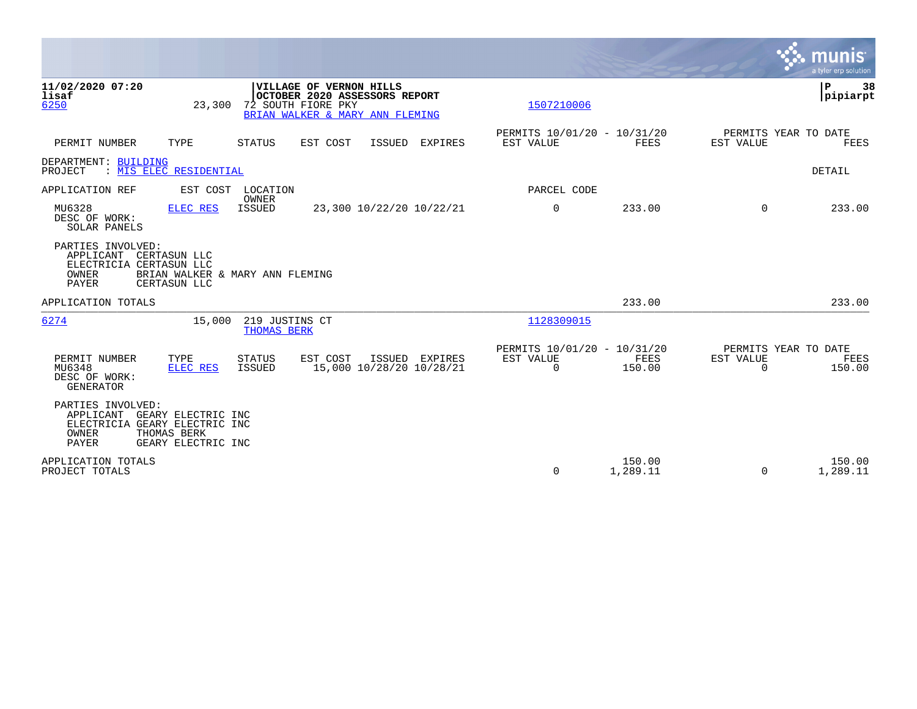|                                                                                                          |                                                |                                                                                                                   |                |                                                         |                       |                                                      | munis<br>a tyler erp solution  |
|----------------------------------------------------------------------------------------------------------|------------------------------------------------|-------------------------------------------------------------------------------------------------------------------|----------------|---------------------------------------------------------|-----------------------|------------------------------------------------------|--------------------------------|
| 11/02/2020 07:20<br>lisaf<br>6250                                                                        | 23,300                                         | VILLAGE OF VERNON HILLS<br>OCTOBER 2020 ASSESSORS REPORT<br>72 SOUTH FIORE PKY<br>BRIAN WALKER & MARY ANN FLEMING |                | 1507210006                                              |                       |                                                      | $\mathbf P$<br>38<br> pipiarpt |
| PERMIT NUMBER<br>TYPE                                                                                    | <b>STATUS</b>                                  | EST COST<br>ISSUED                                                                                                | <b>EXPIRES</b> | PERMITS 10/01/20 - 10/31/20<br>EST VALUE                | <b>FEES</b>           | PERMITS YEAR TO DATE<br>EST VALUE                    | <b>FEES</b>                    |
| DEPARTMENT: BUILDING<br>: MIS ELEC RESIDENTIAL<br>PROJECT                                                |                                                |                                                                                                                   |                |                                                         |                       |                                                      | DETAIL                         |
| APPLICATION REF                                                                                          | EST COST<br>LOCATION                           |                                                                                                                   |                | PARCEL CODE                                             |                       |                                                      |                                |
| MU6328<br>DESC OF WORK:<br>SOLAR PANELS                                                                  | OWNER<br><b>ELEC RES</b><br><b>ISSUED</b>      | 23,300 10/22/20 10/22/21                                                                                          |                | 0                                                       | 233.00                | $\Omega$                                             | 233.00                         |
| PARTIES INVOLVED:<br>APPLICANT CERTASUN LLC<br>ELECTRICIA CERTASUN LLC<br>OWNER<br>PAYER<br>CERTASUN LLC | BRIAN WALKER & MARY ANN FLEMING                |                                                                                                                   |                |                                                         |                       |                                                      |                                |
| APPLICATION TOTALS                                                                                       |                                                |                                                                                                                   |                |                                                         | 233.00                |                                                      | 233.00                         |
| 6274                                                                                                     | 219 JUSTINS CT<br>15,000<br><b>THOMAS BERK</b> |                                                                                                                   |                | 1128309015                                              |                       |                                                      |                                |
| PERMIT NUMBER<br>TYPE<br>MU6348<br>DESC OF WORK:<br><b>GENERATOR</b>                                     | <b>STATUS</b><br>ELEC RES<br><b>ISSUED</b>     | EST COST<br>15,000 10/28/20 10/28/21                                                                              | ISSUED EXPIRES | PERMITS 10/01/20 - 10/31/20<br>EST VALUE<br>$\mathbf 0$ | <b>FEES</b><br>150.00 | PERMITS YEAR TO DATE<br><b>EST VALUE</b><br>$\Omega$ | FEES<br>150.00                 |
| PARTIES INVOLVED:<br>APPLICANT<br>ELECTRICIA GEARY ELECTRIC INC<br>OWNER<br>THOMAS BERK<br>PAYER         | GEARY ELECTRIC INC<br>GEARY ELECTRIC INC       |                                                                                                                   |                |                                                         |                       |                                                      |                                |
| APPLICATION TOTALS<br>PROJECT TOTALS                                                                     |                                                |                                                                                                                   |                | 0                                                       | 150.00<br>1,289.11    | $\Omega$                                             | 150.00<br>1,289.11             |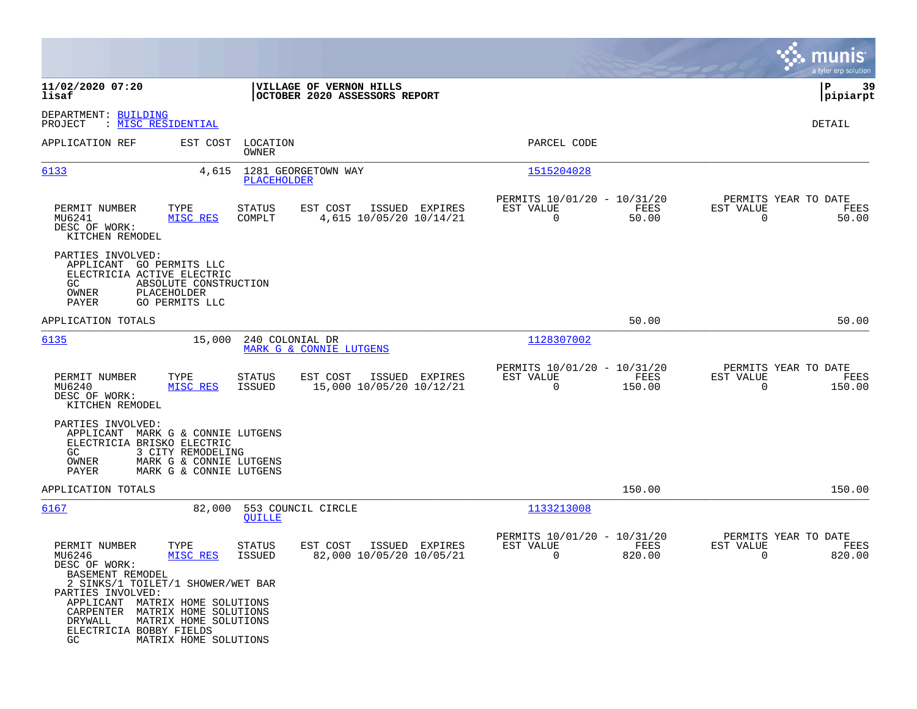|                                                                                                                                                                                                                       |                                                                             | munis<br>a tyler erp solution                                   |
|-----------------------------------------------------------------------------------------------------------------------------------------------------------------------------------------------------------------------|-----------------------------------------------------------------------------|-----------------------------------------------------------------|
| VILLAGE OF VERNON HILLS<br>OCTOBER 2020 ASSESSORS REPORT                                                                                                                                                              |                                                                             | 39<br>IΡ<br> pipiarpt                                           |
|                                                                                                                                                                                                                       |                                                                             | DETAIL                                                          |
| LOCATION<br><b>OWNER</b>                                                                                                                                                                                              | PARCEL CODE                                                                 |                                                                 |
| 1281 GEORGETOWN WAY<br>PLACEHOLDER                                                                                                                                                                                    | 1515204028                                                                  |                                                                 |
| STATUS<br>EST COST<br>ISSUED EXPIRES<br>4,615 10/05/20 10/14/21<br>COMPLT                                                                                                                                             | PERMITS 10/01/20 - 10/31/20<br>FEES<br>EST VALUE<br>$\overline{0}$<br>50.00 | PERMITS YEAR TO DATE<br>EST VALUE<br>FEES<br>$\Omega$<br>50.00  |
| ABSOLUTE CONSTRUCTION                                                                                                                                                                                                 |                                                                             |                                                                 |
|                                                                                                                                                                                                                       | 50.00                                                                       | 50.00                                                           |
| 240 COLONIAL DR                                                                                                                                                                                                       | 1128307002                                                                  |                                                                 |
| EST COST<br>ISSUED EXPIRES<br>STATUS<br>15,000 10/05/20 10/12/21<br>ISSUED                                                                                                                                            | PERMITS 10/01/20 - 10/31/20<br>EST VALUE<br>FEES<br>$\Omega$<br>150.00      | PERMITS YEAR TO DATE<br>EST VALUE<br>FEES<br>$\Omega$<br>150.00 |
| MARK G & CONNIE LUTGENS<br>3 CITY REMODELING<br>MARK G & CONNIE LUTGENS<br>MARK G & CONNIE LUTGENS                                                                                                                    |                                                                             |                                                                 |
|                                                                                                                                                                                                                       | 150.00                                                                      | 150.00                                                          |
| 553 COUNCIL CIRCLE<br><b>OUILLE</b>                                                                                                                                                                                   | 1133213008                                                                  |                                                                 |
| STATUS<br>EST COST<br>ISSUED EXPIRES<br>82,000 10/05/20 10/05/21<br><b>ISSUED</b><br>2 SINKS/1 TOILET/1 SHOWER/WET BAR<br>APPLICANT MATRIX HOME SOLUTIONS<br>CARPENTER MATRIX HOME SOLUTIONS<br>MATRIX HOME SOLUTIONS | PERMITS 10/01/20 - 10/31/20<br>EST VALUE<br><b>FEES</b><br>820.00<br>0      | PERMITS YEAR TO DATE<br>EST VALUE<br>FEES<br>820.00<br>0        |
|                                                                                                                                                                                                                       | MARK G & CONNIE LUTGENS<br>MATRIX HOME SOLUTIONS                            |                                                                 |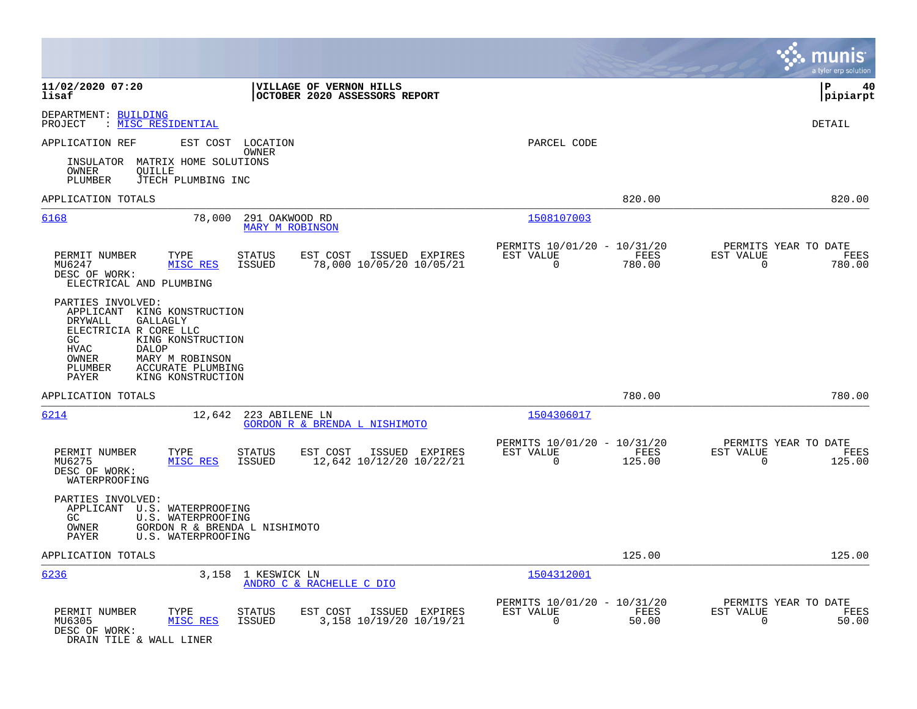|                                                                                                                                                                                                                                                      |                                                                                   |                                                                           | munis<br>a tyler erp solution                                      |
|------------------------------------------------------------------------------------------------------------------------------------------------------------------------------------------------------------------------------------------------------|-----------------------------------------------------------------------------------|---------------------------------------------------------------------------|--------------------------------------------------------------------|
| 11/02/2020 07:20<br>lisaf                                                                                                                                                                                                                            | VILLAGE OF VERNON HILLS<br>OCTOBER 2020 ASSESSORS REPORT                          |                                                                           | lР<br>40<br> pipiarpt                                              |
| DEPARTMENT: BUILDING<br>: MISC RESIDENTIAL<br>PROJECT                                                                                                                                                                                                |                                                                                   |                                                                           | <b>DETAIL</b>                                                      |
| APPLICATION REF<br>EST COST                                                                                                                                                                                                                          | LOCATION<br>OWNER                                                                 | PARCEL CODE                                                               |                                                                    |
| INSULATOR MATRIX HOME SOLUTIONS<br>OWNER<br>OUILLE<br>PLUMBER<br>JTECH PLUMBING INC                                                                                                                                                                  |                                                                                   |                                                                           |                                                                    |
| APPLICATION TOTALS                                                                                                                                                                                                                                   |                                                                                   | 820.00                                                                    | 820.00                                                             |
| 6168<br>78,000                                                                                                                                                                                                                                       | 291 OAKWOOD RD<br><b>MARY M ROBINSON</b>                                          | 1508107003                                                                |                                                                    |
| PERMIT NUMBER<br>TYPE<br>MISC RES<br>MU6247<br>DESC OF WORK:<br>ELECTRICAL AND PLUMBING                                                                                                                                                              | ISSUED EXPIRES<br>STATUS<br>EST COST<br>78,000 10/05/20 10/05/21<br>ISSUED        | PERMITS 10/01/20 - 10/31/20<br>EST VALUE<br>FEES<br>$\mathbf 0$<br>780.00 | PERMITS YEAR TO DATE<br>EST VALUE<br>FEES<br>$\mathbf 0$<br>780.00 |
| PARTIES INVOLVED:<br>APPLICANT KING KONSTRUCTION<br>GALLAGLY<br>DRYWALL<br>ELECTRICIA R CORE LLC<br>GC<br>KING KONSTRUCTION<br><b>HVAC</b><br>DALOP<br>OWNER<br>MARY M ROBINSON<br>PLUMBER<br>ACCURATE PLUMBING<br><b>PAYER</b><br>KING KONSTRUCTION |                                                                                   |                                                                           |                                                                    |
| APPLICATION TOTALS                                                                                                                                                                                                                                   |                                                                                   | 780.00                                                                    | 780.00                                                             |
| 6214<br>12,642                                                                                                                                                                                                                                       | 223 ABILENE LN<br>GORDON R & BRENDA L NISHIMOTO                                   | 1504306017                                                                |                                                                    |
| PERMIT NUMBER<br>TYPE<br>MU6275<br>MISC RES<br>DESC OF WORK:<br>WATERPROOFING                                                                                                                                                                        | STATUS<br>EST COST<br>ISSUED EXPIRES<br>12,642 10/12/20 10/22/21<br><b>ISSUED</b> | PERMITS 10/01/20 - 10/31/20<br>FEES<br>EST VALUE<br>125.00<br>$\mathbf 0$ | PERMITS YEAR TO DATE<br>EST VALUE<br>FEES<br>$\mathbf 0$<br>125.00 |
| PARTIES INVOLVED:<br>APPLICANT U.S. WATERPROOFING<br>GC<br>U.S. WATERPROOFING<br>GORDON R & BRENDA L NISHIMOTO<br>OWNER<br>U.S. WATERPROOFING<br>PAYER                                                                                               |                                                                                   |                                                                           |                                                                    |
| APPLICATION TOTALS                                                                                                                                                                                                                                   |                                                                                   | 125.00                                                                    | 125.00                                                             |
| 6236<br>3,158                                                                                                                                                                                                                                        | 1 KESWICK LN<br>ANDRO C & RACHELLE C DIO                                          | 1504312001                                                                |                                                                    |
| PERMIT NUMBER<br>TYPE<br>MU6305<br>MISC RES<br>DESC OF WORK:<br>DRAIN TILE & WALL LINER                                                                                                                                                              | STATUS<br>EST COST<br>ISSUED EXPIRES<br>3,158 10/19/20 10/19/21<br>ISSUED         | PERMITS 10/01/20 - 10/31/20<br>EST VALUE<br>FEES<br>$\mathbf 0$<br>50.00  | PERMITS YEAR TO DATE<br>EST VALUE<br>FEES<br>$\mathbf 0$<br>50.00  |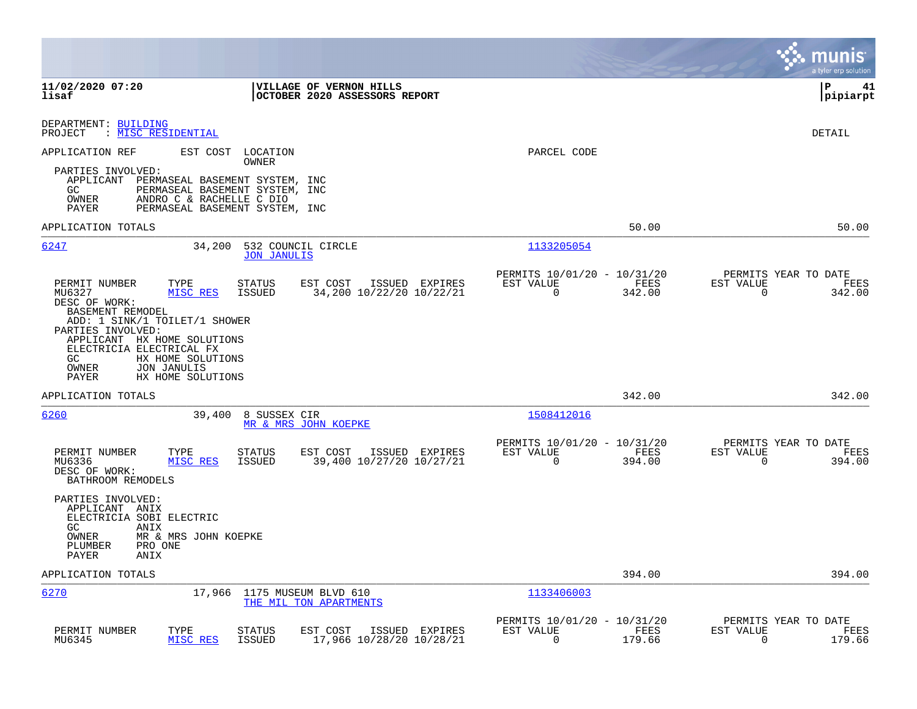|                                                                                                                                                                                                                                                                   |                                                                           | munis<br>a tyler erp solution                                      |
|-------------------------------------------------------------------------------------------------------------------------------------------------------------------------------------------------------------------------------------------------------------------|---------------------------------------------------------------------------|--------------------------------------------------------------------|
| 11/02/2020 07:20<br><b>VILLAGE OF VERNON HILLS</b><br>lisaf<br>OCTOBER 2020 ASSESSORS REPORT                                                                                                                                                                      |                                                                           | l P<br>41<br> pipiarpt                                             |
| DEPARTMENT: BUILDING<br>: <u>MISC RESIDENTIAL</u><br>PROJECT                                                                                                                                                                                                      |                                                                           | DETAIL                                                             |
| APPLICATION REF<br>EST COST<br>LOCATION<br>OWNER                                                                                                                                                                                                                  | PARCEL CODE                                                               |                                                                    |
| PARTIES INVOLVED:<br>APPLICANT PERMASEAL BASEMENT SYSTEM, INC<br>PERMASEAL BASEMENT SYSTEM, INC<br>GC.<br>OWNER<br>ANDRO C & RACHELLE C DIO<br>PAYER<br>PERMASEAL BASEMENT SYSTEM, INC                                                                            |                                                                           |                                                                    |
| APPLICATION TOTALS                                                                                                                                                                                                                                                | 50.00                                                                     | 50.00                                                              |
| 34,200<br>6247<br>532 COUNCIL CIRCLE<br><b>JON JANULIS</b>                                                                                                                                                                                                        | 1133205054                                                                |                                                                    |
| PERMIT NUMBER<br>TYPE<br>EST COST<br>ISSUED EXPIRES<br><b>STATUS</b><br>MISC RES<br><b>ISSUED</b><br>34,200 10/22/20 10/22/21<br>MU6327<br>DESC OF WORK:<br>BASEMENT REMODEL<br>ADD: 1 SINK/1 TOILET/1 SHOWER<br>PARTIES INVOLVED:<br>APPLICANT HX HOME SOLUTIONS | PERMITS 10/01/20 - 10/31/20<br>EST VALUE<br>FEES<br>$\mathbf 0$<br>342.00 | PERMITS YEAR TO DATE<br>EST VALUE<br>FEES<br>$\mathbf 0$<br>342.00 |
| ELECTRICIA ELECTRICAL FX<br>GC<br>HX HOME SOLUTIONS<br>JON JANULIS<br>OWNER<br>PAYER<br>HX HOME SOLUTIONS                                                                                                                                                         |                                                                           |                                                                    |
| APPLICATION TOTALS                                                                                                                                                                                                                                                | 342.00                                                                    | 342.00                                                             |
| 6260<br>39,400<br>8 SUSSEX CIR<br>MR & MRS JOHN KOEPKE                                                                                                                                                                                                            | 1508412016                                                                |                                                                    |
| PERMIT NUMBER<br><b>STATUS</b><br>EST COST<br>ISSUED EXPIRES<br>TYPE<br>39,400 10/27/20 10/27/21<br>MU6336<br>MISC RES<br><b>ISSUED</b><br>DESC OF WORK:<br>BATHROOM REMODELS                                                                                     | PERMITS 10/01/20 - 10/31/20<br>EST VALUE<br>FEES<br>$\Omega$<br>394.00    | PERMITS YEAR TO DATE<br>EST VALUE<br>FEES<br>$\Omega$<br>394.00    |
| PARTIES INVOLVED:<br>APPLICANT ANIX<br>ELECTRICIA SOBI ELECTRIC<br>GC.<br>ANIX                                                                                                                                                                                    |                                                                           |                                                                    |
| OWNER<br>MR & MRS JOHN KOEPKE<br>PLUMBER<br>PRO ONE<br>PAYER<br>ANIX                                                                                                                                                                                              |                                                                           |                                                                    |
| APPLICATION TOTALS                                                                                                                                                                                                                                                | 394.00                                                                    | 394.00                                                             |
| 6270<br>17,966<br>1175 MUSEUM BLVD 610<br>THE MIL TON APARTMENTS                                                                                                                                                                                                  | 1133406003                                                                |                                                                    |
| PERMIT NUMBER<br>TYPE<br>EST COST<br>ISSUED EXPIRES<br><b>STATUS</b><br>MU6345<br>MISC RES<br><b>ISSUED</b><br>17,966 10/28/20 10/28/21                                                                                                                           | PERMITS 10/01/20 - 10/31/20<br>EST VALUE<br>FEES<br>0<br>179.66           | PERMITS YEAR TO DATE<br>EST VALUE<br>FEES<br>0<br>179.66           |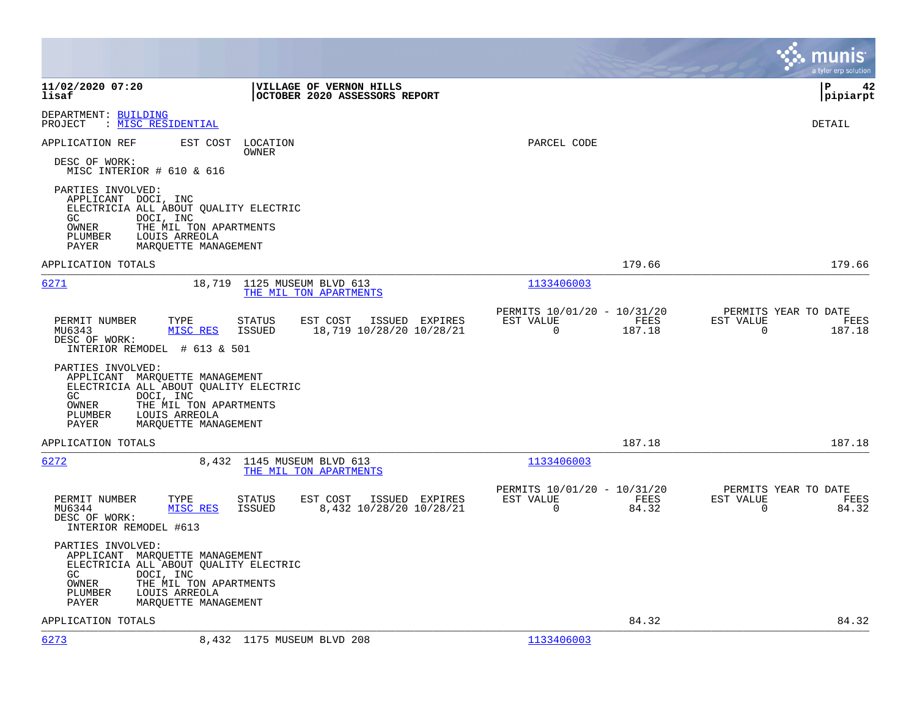|                                                                                                                                                                                                                 |                                                                        |                | munis<br>a tyler erp solution                                     |
|-----------------------------------------------------------------------------------------------------------------------------------------------------------------------------------------------------------------|------------------------------------------------------------------------|----------------|-------------------------------------------------------------------|
| 11/02/2020 07:20<br>VILLAGE OF VERNON HILLS<br>OCTOBER 2020 ASSESSORS REPORT<br>lisaf                                                                                                                           |                                                                        |                | lР<br>42<br> pipiarpt                                             |
| DEPARTMENT: BUILDING<br>: MISC RESIDENTIAL<br>PROJECT                                                                                                                                                           |                                                                        |                | DETAIL                                                            |
| APPLICATION REF<br>EST COST<br>LOCATION<br>OWNER                                                                                                                                                                | PARCEL CODE                                                            |                |                                                                   |
| DESC OF WORK:<br>MISC INTERIOR # 610 & 616                                                                                                                                                                      |                                                                        |                |                                                                   |
| PARTIES INVOLVED:<br>APPLICANT DOCI, INC<br>ELECTRICIA ALL ABOUT QUALITY ELECTRIC<br>DOCI, INC<br>GC<br>OWNER<br>THE MIL TON APARTMENTS<br>PLUMBER<br>LOUIS ARREOLA<br>PAYER<br>MARQUETTE MANAGEMENT            |                                                                        |                |                                                                   |
| APPLICATION TOTALS                                                                                                                                                                                              |                                                                        | 179.66         | 179.66                                                            |
| 6271<br>18,719 1125 MUSEUM BLVD 613<br>THE MIL TON APARTMENTS                                                                                                                                                   | 1133406003                                                             |                |                                                                   |
| PERMIT NUMBER<br>EST COST<br>TYPE<br>STATUS<br>18,719 10/28/20 10/28/21<br>MU6343<br>MISC RES<br>ISSUED<br>DESC OF WORK:<br>INTERIOR REMODEL # 613 & 501                                                        | PERMITS 10/01/20 - 10/31/20<br>ISSUED EXPIRES<br>EST VALUE<br>$\Omega$ | FEES<br>187.18 | PERMITS YEAR TO DATE<br>EST VALUE<br>FEES<br>$\Omega$<br>187.18   |
| PARTIES INVOLVED:<br>APPLICANT MARQUETTE MANAGEMENT<br>ELECTRICIA ALL ABOUT QUALITY ELECTRIC<br>GC<br>DOCI, INC<br>OWNER<br>THE MIL TON APARTMENTS<br>PLUMBER<br>LOUIS ARREOLA<br>PAYER<br>MARQUETTE MANAGEMENT |                                                                        |                |                                                                   |
| APPLICATION TOTALS                                                                                                                                                                                              |                                                                        | 187.18         | 187.18                                                            |
| 6272<br>8,432<br>1145 MUSEUM BLVD 613<br>THE MIL TON APARTMENTS                                                                                                                                                 | 1133406003                                                             |                |                                                                   |
| PERMIT NUMBER<br>EST COST<br>TYPE<br>STATUS<br>8,432 10/28/20 10/28/21<br>MU6344<br>MISC RES<br>ISSUED<br>DESC OF WORK:<br>INTERIOR REMODEL #613                                                                | PERMITS 10/01/20 - 10/31/20<br>EST VALUE<br>ISSUED EXPIRES<br>$\Omega$ | FEES<br>84.32  | PERMITS YEAR TO DATE<br>EST VALUE<br>FEES<br>$\mathbf 0$<br>84.32 |
| PARTIES INVOLVED:<br>APPLICANT MARQUETTE MANAGEMENT<br>ELECTRICIA ALL ABOUT QUALITY ELECTRIC<br>GC<br>DOCI, INC<br>THE MIL TON APARTMENTS<br>OWNER<br>LOUIS ARREOLA<br>PLUMBER<br>PAYER<br>MARQUETTE MANAGEMENT |                                                                        |                |                                                                   |
| APPLICATION TOTALS                                                                                                                                                                                              |                                                                        | 84.32          | 84.32                                                             |
| 6273<br>8,432 1175 MUSEUM BLVD 208                                                                                                                                                                              | 1133406003                                                             |                |                                                                   |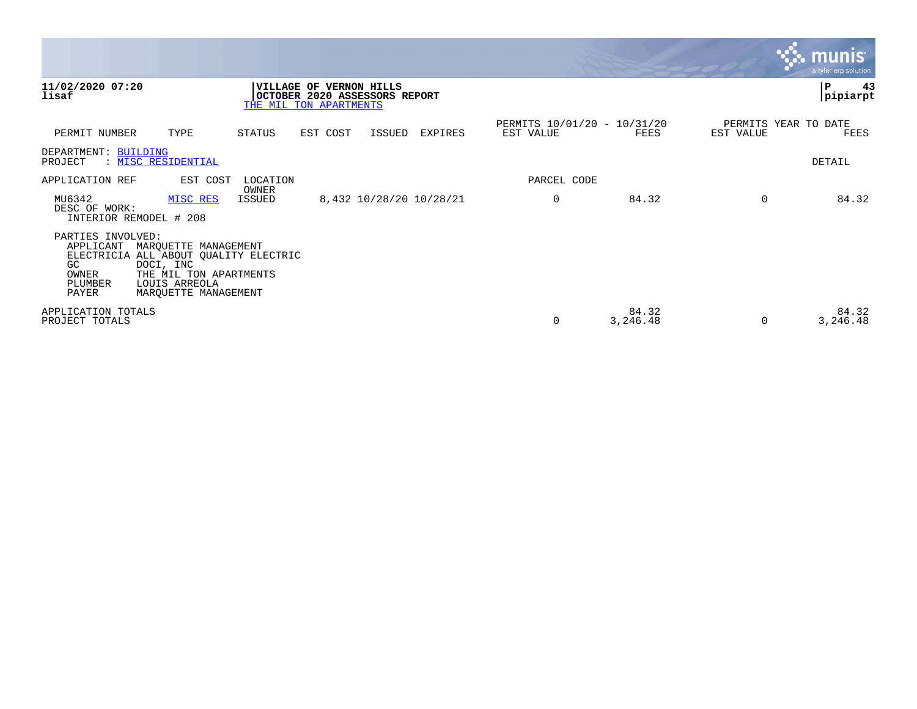|                                                                   |                                                                                                                                               |                 |                                                                                    |        |                         |                                          |                   |                                   | $\mathbf{\mathcal{C}}$ munis<br>a tyler erp solution |
|-------------------------------------------------------------------|-----------------------------------------------------------------------------------------------------------------------------------------------|-----------------|------------------------------------------------------------------------------------|--------|-------------------------|------------------------------------------|-------------------|-----------------------------------|------------------------------------------------------|
| 11/02/2020 07:20<br>lisaf                                         |                                                                                                                                               |                 | VILLAGE OF VERNON HILLS<br>OCTOBER 2020 ASSESSORS REPORT<br>THE MIL TON APARTMENTS |        |                         |                                          |                   |                                   | ∣P<br>43<br>pipiarpt                                 |
| PERMIT NUMBER                                                     | TYPE                                                                                                                                          | STATUS          | EST COST                                                                           | ISSUED | EXPIRES                 | PERMITS 10/01/20 - 10/31/20<br>EST VALUE | FEES              | PERMITS YEAR TO DATE<br>EST VALUE | FEES                                                 |
| DEPARTMENT: BUILDING<br>PROJECT                                   | : MISC RESIDENTIAL                                                                                                                            |                 |                                                                                    |        |                         |                                          |                   |                                   | DETAIL                                               |
| APPLICATION REF                                                   | EST COST                                                                                                                                      | LOCATION        |                                                                                    |        |                         | PARCEL CODE                              |                   |                                   |                                                      |
| MU6342<br>DESC OF WORK:                                           | MISC RES<br>INTERIOR REMODEL # 208                                                                                                            | OWNER<br>ISSUED |                                                                                    |        | 8,432 10/28/20 10/28/21 | 0                                        | 84.32             | $\Omega$                          | 84.32                                                |
| PARTIES INVOLVED:<br>APPLICANT<br>GC<br>OWNER<br>PLUMBER<br>PAYER | MARQUETTE MANAGEMENT<br>ELECTRICIA ALL ABOUT QUALITY ELECTRIC<br>DOCI, INC<br>THE MIL TON APARTMENTS<br>LOUIS ARREOLA<br>MARQUETTE MANAGEMENT |                 |                                                                                    |        |                         |                                          |                   |                                   |                                                      |
| APPLICATION TOTALS<br>PROJECT TOTALS                              |                                                                                                                                               |                 |                                                                                    |        |                         | 0                                        | 84.32<br>3,246.48 | $\Omega$                          | 84.32<br>3,246.48                                    |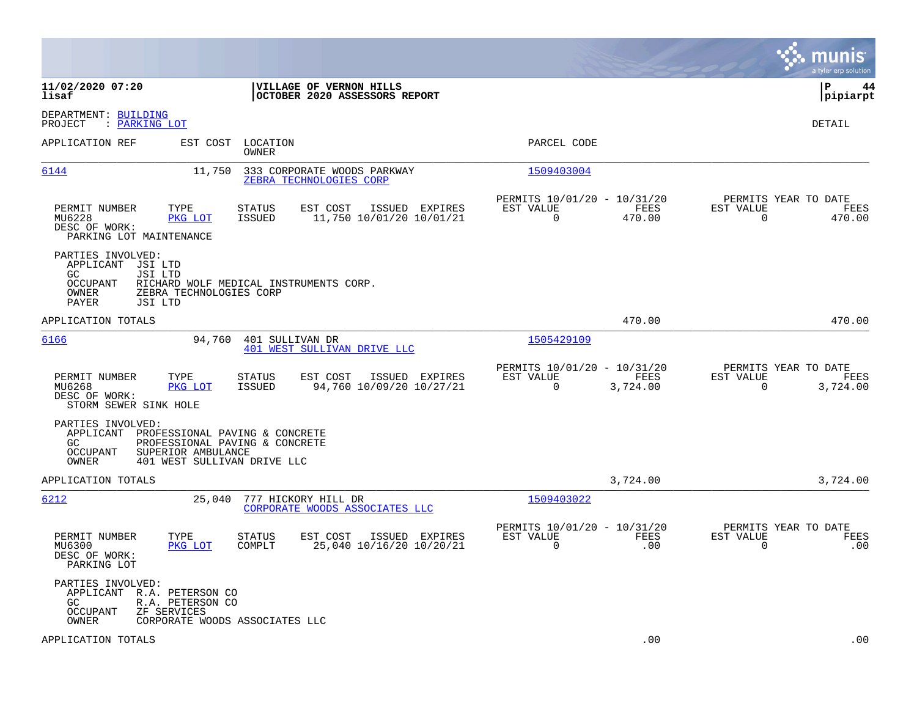|                                                                                                                                                                                            |                                                                             | munis<br>a tyler erp solution                                        |
|--------------------------------------------------------------------------------------------------------------------------------------------------------------------------------------------|-----------------------------------------------------------------------------|----------------------------------------------------------------------|
| 11/02/2020 07:20<br>VILLAGE OF VERNON HILLS<br>lisaf<br>OCTOBER 2020 ASSESSORS REPORT                                                                                                      |                                                                             | lР<br>44<br> pipiarpt                                                |
| DEPARTMENT: BUILDING<br>PROJECT<br>: PARKING LOT                                                                                                                                           |                                                                             | DETAIL                                                               |
| APPLICATION REF<br>EST COST<br>LOCATION<br>OWNER                                                                                                                                           | PARCEL CODE                                                                 |                                                                      |
| 6144<br>11,750<br>333 CORPORATE WOODS PARKWAY<br>ZEBRA TECHNOLOGIES CORP                                                                                                                   | 1509403004                                                                  |                                                                      |
| PERMIT NUMBER<br>TYPE<br>EST COST<br>ISSUED EXPIRES<br>STATUS<br>MU6228<br>PKG LOT<br>ISSUED<br>11,750 10/01/20 10/01/21<br>DESC OF WORK:<br>PARKING LOT MAINTENANCE                       | PERMITS 10/01/20 - 10/31/20<br>EST VALUE<br>FEES<br>$\mathbf 0$<br>470.00   | PERMITS YEAR TO DATE<br>EST VALUE<br>FEES<br>$\mathbf 0$<br>470.00   |
| PARTIES INVOLVED:<br>APPLICANT<br>JSI LTD<br>GC<br>JSI LTD<br><b>OCCUPANT</b><br>RICHARD WOLF MEDICAL INSTRUMENTS CORP.<br>OWNER<br>ZEBRA TECHNOLOGIES CORP<br>PAYER<br>JSI LTD            |                                                                             |                                                                      |
| APPLICATION TOTALS                                                                                                                                                                         | 470.00                                                                      | 470.00                                                               |
| 6166<br>401 SULLIVAN DR<br>94,760<br>401 WEST SULLIVAN DRIVE LLC                                                                                                                           | 1505429109                                                                  |                                                                      |
| PERMIT NUMBER<br>TYPE<br><b>STATUS</b><br>EST COST<br>ISSUED EXPIRES<br>MU6268<br>PKG LOT<br>ISSUED<br>94,760 10/09/20 10/27/21<br>DESC OF WORK:<br>STORM SEWER SINK HOLE                  | PERMITS 10/01/20 - 10/31/20<br>EST VALUE<br>FEES<br>$\mathbf 0$<br>3,724.00 | PERMITS YEAR TO DATE<br>EST VALUE<br>FEES<br>$\mathbf 0$<br>3,724.00 |
| PARTIES INVOLVED:<br>APPLICANT<br>PROFESSIONAL PAVING & CONCRETE<br>PROFESSIONAL PAVING & CONCRETE<br>GC.<br><b>OCCUPANT</b><br>SUPERIOR AMBULANCE<br>OWNER<br>401 WEST SULLIVAN DRIVE LLC |                                                                             |                                                                      |
| APPLICATION TOTALS                                                                                                                                                                         | 3,724.00                                                                    | 3,724.00                                                             |
| 6212<br>25,040<br>777 HICKORY HILL DR<br>CORPORATE WOODS ASSOCIATES LLC                                                                                                                    | 1509403022                                                                  |                                                                      |
| PERMIT NUMBER<br>TYPE<br><b>STATUS</b><br>EST COST<br>ISSUED EXPIRES<br>PKG LOT<br>COMPLT<br>25,040 10/16/20 10/20/21<br>MU6300<br>DESC OF WORK:<br>PARKING LOT                            | PERMITS 10/01/20 - 10/31/20<br>EST VALUE<br>FEES<br>$\mathbf 0$<br>.00      | PERMITS YEAR TO DATE<br>EST VALUE<br>FEES<br>$\mathbf 0$<br>.00      |
| PARTIES INVOLVED:<br>APPLICANT R.A. PETERSON CO<br>GC.<br>R.A. PETERSON CO<br><b>OCCUPANT</b><br>ZF SERVICES<br>OWNER<br>CORPORATE WOODS ASSOCIATES LLC                                    |                                                                             |                                                                      |
| APPLICATION TOTALS                                                                                                                                                                         | .00                                                                         | .00                                                                  |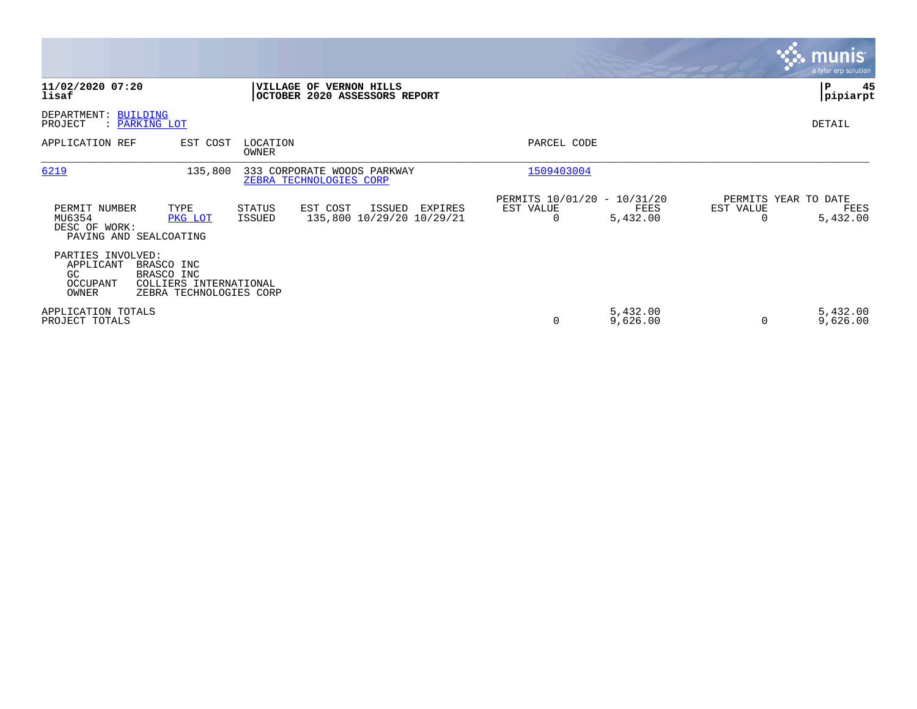|                                                                    |                                                                               |                         |                                                          |         |                                               |                      |           | <b>munis</b><br>a tyler erp solution     |
|--------------------------------------------------------------------|-------------------------------------------------------------------------------|-------------------------|----------------------------------------------------------|---------|-----------------------------------------------|----------------------|-----------|------------------------------------------|
| 11/02/2020 07:20<br>lisaf                                          |                                                                               |                         | VILLAGE OF VERNON HILLS<br>OCTOBER 2020 ASSESSORS REPORT |         |                                               |                      |           | 45<br>∣P<br> pipiarpt                    |
| DEPARTMENT: BUILDING<br>PROJECT<br>: PARKING LOT                   |                                                                               |                         |                                                          |         |                                               |                      |           | DETAIL                                   |
| APPLICATION REF                                                    | EST COST                                                                      | LOCATION<br>OWNER       |                                                          |         | PARCEL CODE                                   |                      |           |                                          |
| 6219                                                               | 135,800                                                                       |                         | 333 CORPORATE WOODS PARKWAY<br>ZEBRA TECHNOLOGIES CORP   |         | 1509403004                                    |                      |           |                                          |
| PERMIT NUMBER<br>MU6354<br>DESC OF WORK:<br>PAVING AND SEALCOATING | TYPE<br>PKG LOT                                                               | <b>STATUS</b><br>ISSUED | EST COST<br>ISSUED<br>135,800 10/29/20 10/29/21          | EXPIRES | PERMITS 10/01/20 - 10/31/20<br>EST VALUE<br>0 | FEES<br>5,432.00     | EST VALUE | PERMITS YEAR TO DATE<br>FEES<br>5,432.00 |
| PARTIES INVOLVED:<br>APPLICANT<br>GC<br>OCCUPANT<br>OWNER          | BRASCO INC<br>BRASCO INC<br>COLLIERS INTERNATIONAL<br>ZEBRA TECHNOLOGIES CORP |                         |                                                          |         |                                               |                      |           |                                          |
| APPLICATION TOTALS<br>PROJECT TOTALS                               |                                                                               |                         |                                                          |         | 0                                             | 5,432.00<br>9,626.00 |           | 5,432.00<br>9,626.00                     |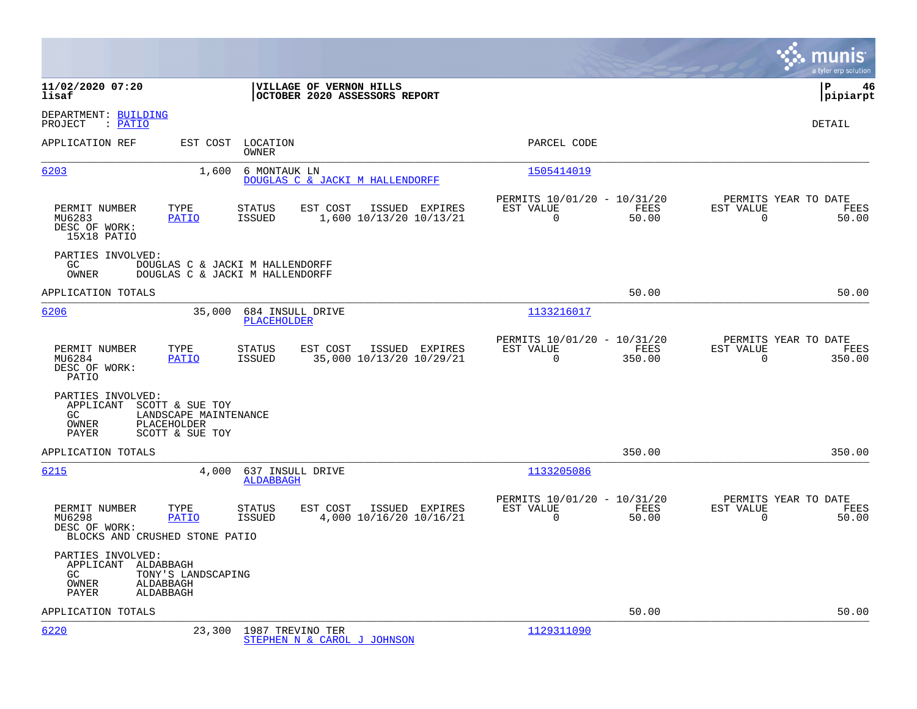|                                                                                                                                      |                                                          |                                                      |                |                                                     | munis<br>a tyler erp solution |
|--------------------------------------------------------------------------------------------------------------------------------------|----------------------------------------------------------|------------------------------------------------------|----------------|-----------------------------------------------------|-------------------------------|
| 11/02/2020 07:20<br>lisaf                                                                                                            | VILLAGE OF VERNON HILLS<br>OCTOBER 2020 ASSESSORS REPORT |                                                      |                |                                                     | l P<br>46<br> pipiarpt        |
| DEPARTMENT: BUILDING<br>: PATIO<br>PROJECT                                                                                           |                                                          |                                                      |                |                                                     | DETAIL                        |
| APPLICATION REF<br>EST COST<br>LOCATION<br>OWNER                                                                                     |                                                          | PARCEL CODE                                          |                |                                                     |                               |
| 6203<br>1,600<br>6 MONTAUK LN                                                                                                        | DOUGLAS C & JACKI M HALLENDORFF                          | 1505414019                                           |                |                                                     |                               |
| PERMIT NUMBER<br>TYPE<br><b>STATUS</b><br>MU6283<br>PATIO<br><b>ISSUED</b><br>DESC OF WORK:<br>15X18 PATIO                           | EST COST<br>ISSUED EXPIRES<br>1,600 10/13/20 10/13/21    | PERMITS 10/01/20 - 10/31/20<br>EST VALUE<br>$\Omega$ | FEES<br>50.00  | PERMITS YEAR TO DATE<br>EST VALUE<br>$\Omega$       | FEES<br>50.00                 |
| PARTIES INVOLVED:<br>GC<br>DOUGLAS C & JACKI M HALLENDORFF<br><b>OWNER</b><br>DOUGLAS C & JACKI M HALLENDORFF                        |                                                          |                                                      |                |                                                     |                               |
| APPLICATION TOTALS                                                                                                                   |                                                          |                                                      | 50.00          |                                                     | 50.00                         |
| 6206<br>35,000<br>684 INSULL DRIVE<br><b>PLACEHOLDER</b>                                                                             |                                                          | 1133216017                                           |                |                                                     |                               |
| PERMIT NUMBER<br>TYPE<br>STATUS<br>MU6284<br><b>PATIO</b><br>ISSUED<br>DESC OF WORK:<br>PATIO                                        | EST COST<br>ISSUED EXPIRES<br>35,000 10/13/20 10/29/21   | PERMITS 10/01/20 - 10/31/20<br>EST VALUE<br>$\Omega$ | FEES<br>350.00 | PERMITS YEAR TO DATE<br>EST VALUE<br>$\overline{0}$ | FEES<br>350.00                |
| PARTIES INVOLVED:<br>APPLICANT<br>SCOTT & SUE TOY<br>GC<br>LANDSCAPE MAINTENANCE<br>OWNER<br>PLACEHOLDER<br>PAYER<br>SCOTT & SUE TOY |                                                          |                                                      |                |                                                     |                               |
| APPLICATION TOTALS                                                                                                                   |                                                          |                                                      | 350.00         |                                                     | 350.00                        |
| 6215<br>637 INSULL DRIVE<br>4,000<br><b>ALDABBAGH</b>                                                                                |                                                          | 1133205086                                           |                |                                                     |                               |
| PERMIT NUMBER<br>TYPE<br>STATUS<br>MU6298<br><b>PATIO</b><br>ISSUED<br>DESC OF WORK:<br>BLOCKS AND CRUSHED STONE PATIO               | EST COST<br>ISSUED EXPIRES<br>4,000 10/16/20 10/16/21    | PERMITS 10/01/20 - 10/31/20<br>EST VALUE<br>$\Omega$ | FEES<br>50.00  | PERMITS YEAR TO DATE<br>EST VALUE<br>$\Omega$       | FEES<br>50.00                 |
| PARTIES INVOLVED:<br>APPLICANT ALDABBAGH<br>GC.<br>TONY'S LANDSCAPING<br>OWNER<br>ALDABBAGH<br>ALDABBAGH<br>PAYER                    |                                                          |                                                      |                |                                                     |                               |
| APPLICATION TOTALS                                                                                                                   |                                                          |                                                      | 50.00          |                                                     | 50.00                         |
| 6220<br>23,300 1987 TREVINO TER                                                                                                      | STEPHEN N & CAROL J JOHNSON                              | 1129311090                                           |                |                                                     |                               |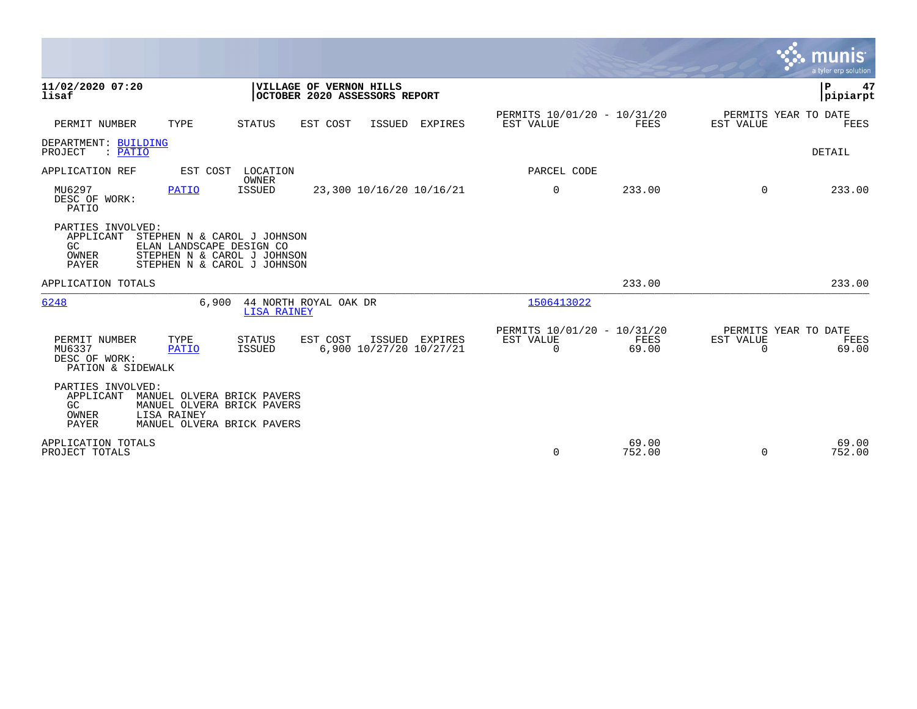|                                                                                                                                                                                 | <b>munis</b><br>a tyler erp solution                                                                                                          |
|---------------------------------------------------------------------------------------------------------------------------------------------------------------------------------|-----------------------------------------------------------------------------------------------------------------------------------------------|
| 11/02/2020 07:20<br><b>VILLAGE OF VERNON HILLS</b><br>lisaf<br>OCTOBER 2020 ASSESSORS REPORT                                                                                    | P<br>47<br> pipiarpt                                                                                                                          |
| PERMIT NUMBER<br>TYPE<br>EST COST<br>ISSUED EXPIRES<br>STATUS                                                                                                                   | PERMITS 10/01/20 - 10/31/20<br>PERMITS YEAR TO DATE<br>EST VALUE<br>EST VALUE<br>FEES<br>FEES                                                 |
| DEPARTMENT: BUILDING<br>PROJECT<br>: PATIO                                                                                                                                      | DETAIL                                                                                                                                        |
| APPLICATION REF<br>EST COST<br>LOCATION                                                                                                                                         | PARCEL CODE                                                                                                                                   |
| OWNER<br>MU6297<br><b>ISSUED</b><br><b>PATIO</b><br>23,300 10/16/20 10/16/21<br>DESC OF WORK:<br>PATIO                                                                          | 0<br>233.00<br>$\Omega$<br>233.00                                                                                                             |
| PARTIES INVOLVED:<br>APPLICANT<br>STEPHEN N & CAROL J JOHNSON<br>GC<br>ELAN LANDSCAPE DESIGN CO<br>OWNER<br>STEPHEN N & CAROL J JOHNSON<br>STEPHEN N & CAROL J JOHNSON<br>PAYER |                                                                                                                                               |
| APPLICATION TOTALS                                                                                                                                                              | 233.00<br>233.00                                                                                                                              |
| 6248<br>44 NORTH ROYAL OAK DR<br>6.900<br><b>LISA RAINEY</b>                                                                                                                    | 1506413022                                                                                                                                    |
| EST COST<br>PERMIT NUMBER<br>TYPE<br>STATUS<br>ISSUED EXPIRES<br>6,900 10/27/20 10/27/21<br>MU6337<br>ISSUED<br>PATIO<br>DESC OF WORK:<br>PATION & SIDEWALK                     | PERMITS 10/01/20 - 10/31/20<br>PERMITS YEAR TO DATE<br>EST VALUE<br>EST VALUE<br>FEES<br>FEES<br>$\overline{0}$<br>69.00<br>69.00<br>$\Omega$ |
| PARTIES INVOLVED:<br>APPLICANT<br>MANUEL OLVERA BRICK PAVERS<br>GC<br>MANUEL OLVERA BRICK PAVERS<br>LISA RAINEY<br>OWNER<br>PAYER<br>MANUEL OLVERA BRICK PAVERS                 |                                                                                                                                               |
| APPLICATION TOTALS<br>PROJECT TOTALS                                                                                                                                            | 69.00<br>69.00<br>$\Omega$<br>752.00<br>752.00<br>$\Omega$                                                                                    |

 $\bullet$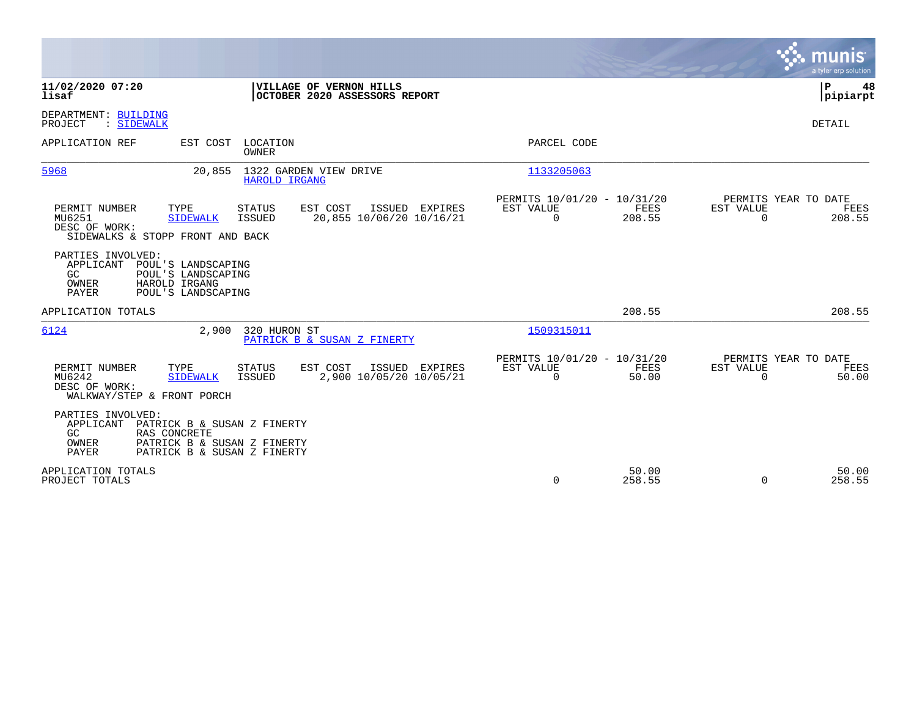|                                                                                                                                                                                                     |                                                                           | munis<br>a tyler erp solution                                   |
|-----------------------------------------------------------------------------------------------------------------------------------------------------------------------------------------------------|---------------------------------------------------------------------------|-----------------------------------------------------------------|
| 11/02/2020 07:20<br>VILLAGE OF VERNON HILLS<br>lisaf<br>OCTOBER 2020 ASSESSORS REPORT                                                                                                               |                                                                           | P<br>48<br> pipiarpt                                            |
| DEPARTMENT: BUILDING<br>PROJECT<br>: SIDEWALK                                                                                                                                                       |                                                                           | DETAIL                                                          |
| APPLICATION REF<br>EST COST<br>LOCATION<br><b>OWNER</b>                                                                                                                                             | PARCEL CODE                                                               |                                                                 |
| 1322 GARDEN VIEW DRIVE<br>5968<br>20,855<br>HAROLD IRGANG                                                                                                                                           | 1133205063                                                                |                                                                 |
| PERMIT NUMBER<br>TYPE<br><b>STATUS</b><br>EST COST<br>ISSUED EXPIRES<br>20,855 10/06/20 10/16/21<br>MU6251<br><b>SIDEWALK</b><br><b>ISSUED</b><br>DESC OF WORK:<br>SIDEWALKS & STOPP FRONT AND BACK | PERMITS 10/01/20 - 10/31/20<br>EST VALUE<br>FEES<br>$\mathbf 0$<br>208.55 | PERMITS YEAR TO DATE<br>EST VALUE<br>FEES<br>$\Omega$<br>208.55 |
| PARTIES INVOLVED:<br>APPLICANT<br>POUL'S LANDSCAPING<br>GC<br>POUL'S LANDSCAPING<br>OWNER<br>HAROLD IRGANG<br><b>PAYER</b><br>POUL'S LANDSCAPING                                                    |                                                                           |                                                                 |
| APPLICATION TOTALS                                                                                                                                                                                  | 208.55                                                                    | 208.55                                                          |
| 6124<br>2,900<br>320 HURON ST<br>PATRICK B & SUSAN Z FINERTY                                                                                                                                        | 1509315011                                                                |                                                                 |
| EST COST<br>PERMIT NUMBER<br>TYPE<br><b>STATUS</b><br>ISSUED EXPIRES<br>2,900 10/05/20 10/05/21<br>MU6242<br><b>SIDEWALK</b><br><b>ISSUED</b><br>DESC OF WORK:<br>WALKWAY/STEP & FRONT PORCH        | PERMITS 10/01/20 - 10/31/20<br>FEES<br>EST VALUE<br>0<br>50.00            | PERMITS YEAR TO DATE<br>EST VALUE<br>FEES<br>50.00<br>0         |
| PARTIES INVOLVED:<br>APPLICANT<br>PATRICK B & SUSAN Z FINERTY<br>GC<br>RAS CONCRETE<br>OWNER<br>PATRICK B & SUSAN Z FINERTY<br><b>PAYER</b><br>PATRICK B & SUSAN Z FINERTY                          |                                                                           |                                                                 |
| APPLICATION TOTALS<br>PROJECT TOTALS                                                                                                                                                                | 50.00<br>$\Omega$<br>258.55                                               | 50.00<br>258.55<br>$\Omega$                                     |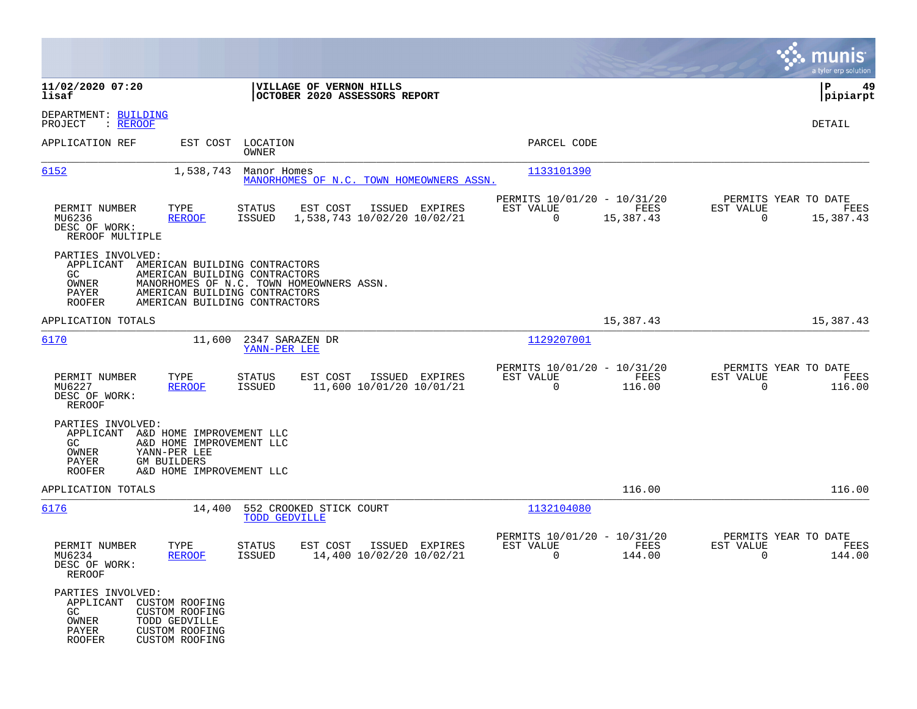|                                                                          |                                                                                                                                                                              |                                                 |                                                          |                                               |                                                         |                   |                                                     | munis<br>a tyler erp solution |
|--------------------------------------------------------------------------|------------------------------------------------------------------------------------------------------------------------------------------------------------------------------|-------------------------------------------------|----------------------------------------------------------|-----------------------------------------------|---------------------------------------------------------|-------------------|-----------------------------------------------------|-------------------------------|
| 11/02/2020 07:20<br>lisaf                                                |                                                                                                                                                                              |                                                 | VILLAGE OF VERNON HILLS<br>OCTOBER 2020 ASSESSORS REPORT |                                               |                                                         |                   |                                                     | P<br>49<br> pipiarpt          |
| DEPARTMENT: BUILDING<br>PROJECT<br>: <u>REROOF</u>                       |                                                                                                                                                                              |                                                 |                                                          |                                               |                                                         |                   |                                                     | DETAIL                        |
| APPLICATION REF                                                          |                                                                                                                                                                              | EST COST LOCATION<br>OWNER                      |                                                          |                                               | PARCEL CODE                                             |                   |                                                     |                               |
| 6152                                                                     | 1,538,743                                                                                                                                                                    | Manor Homes                                     |                                                          | MANORHOMES OF N.C. TOWN HOMEOWNERS ASSN.      | 1133101390                                              |                   |                                                     |                               |
| PERMIT NUMBER<br>MU6236<br>DESC OF WORK:<br>REROOF MULTIPLE              | TYPE<br><b>REROOF</b>                                                                                                                                                        | STATUS<br>ISSUED                                | EST COST                                                 | ISSUED EXPIRES<br>1,538,743 10/02/20 10/02/21 | PERMITS 10/01/20 - 10/31/20<br>EST VALUE<br>$\mathbf 0$ | FEES<br>15,387.43 | PERMITS YEAR TO DATE<br>EST VALUE<br>$\overline{0}$ | FEES<br>15,387.43             |
| PARTIES INVOLVED:<br>APPLICANT<br>GC.<br>OWNER<br>PAYER<br><b>ROOFER</b> | AMERICAN BUILDING CONTRACTORS<br>AMERICAN BUILDING CONTRACTORS<br>MANORHOMES OF N.C. TOWN HOMEOWNERS ASSN.<br>AMERICAN BUILDING CONTRACTORS<br>AMERICAN BUILDING CONTRACTORS |                                                 |                                                          |                                               |                                                         |                   |                                                     |                               |
| APPLICATION TOTALS                                                       |                                                                                                                                                                              |                                                 |                                                          |                                               |                                                         | 15,387.43         |                                                     | 15,387.43                     |
| 6170                                                                     | 11,600                                                                                                                                                                       | 2347 SARAZEN DR<br>YANN-PER LEE                 |                                                          |                                               | 1129207001                                              |                   |                                                     |                               |
| PERMIT NUMBER<br>MU6227<br>DESC OF WORK:<br><b>REROOF</b>                | TYPE<br><b>REROOF</b>                                                                                                                                                        | <b>STATUS</b><br>ISSUED                         | EST COST                                                 | ISSUED EXPIRES<br>11,600 10/01/20 10/01/21    | PERMITS 10/01/20 - 10/31/20<br>EST VALUE<br>$\mathbf 0$ | FEES<br>116.00    | PERMITS YEAR TO DATE<br>EST VALUE<br>$\mathbf 0$    | FEES<br>116.00                |
| PARTIES INVOLVED:<br>APPLICANT<br>GC.<br>OWNER<br>PAYER<br><b>ROOFER</b> | A&D HOME IMPROVEMENT LLC<br>A&D HOME IMPROVEMENT LLC<br>YANN-PER LEE<br><b>GM BUILDERS</b><br>A&D HOME IMPROVEMENT LLC                                                       |                                                 |                                                          |                                               |                                                         |                   |                                                     |                               |
| APPLICATION TOTALS                                                       |                                                                                                                                                                              |                                                 |                                                          |                                               |                                                         | 116.00            |                                                     | 116.00                        |
| 6176                                                                     | 14,400                                                                                                                                                                       | 552 CROOKED STICK COURT<br><b>TODD GEDVILLE</b> |                                                          |                                               | 1132104080                                              |                   |                                                     |                               |
| PERMIT NUMBER<br>MU6234<br>DESC OF WORK:<br>REROOF                       | TYPE<br><b>REROOF</b>                                                                                                                                                        | <b>STATUS</b><br>ISSUED                         | EST COST                                                 | ISSUED EXPIRES<br>14,400 10/02/20 10/02/21    | PERMITS 10/01/20 - 10/31/20<br>EST VALUE<br>0           | FEES<br>144.00    | PERMITS YEAR TO DATE<br>EST VALUE<br>0              | FEES<br>144.00                |
| PARTIES INVOLVED:<br>APPLICANT<br>GC<br>OWNER<br>PAYER<br><b>ROOFER</b>  | CUSTOM ROOFING<br><b>CUSTOM ROOFING</b><br>TODD GEDVILLE<br><b>CUSTOM ROOFING</b><br><b>CUSTOM ROOFING</b>                                                                   |                                                 |                                                          |                                               |                                                         |                   |                                                     |                               |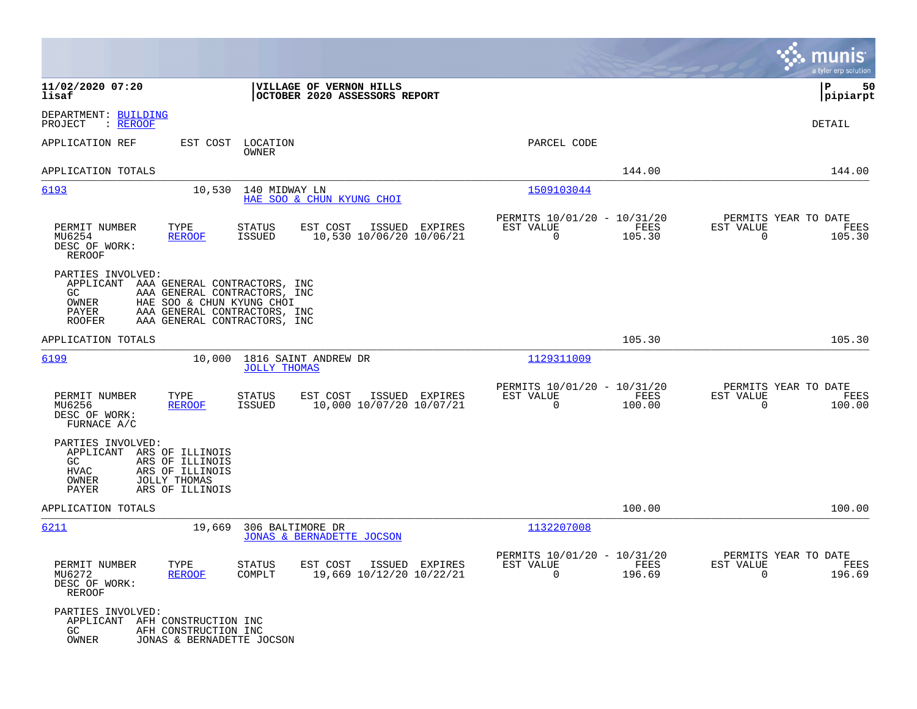|                                                                                                                                                                                                                                              |                                                                           | munis<br>a tyler erp solution                                      |
|----------------------------------------------------------------------------------------------------------------------------------------------------------------------------------------------------------------------------------------------|---------------------------------------------------------------------------|--------------------------------------------------------------------|
| 11/02/2020 07:20<br>VILLAGE OF VERNON HILLS<br>lisaf<br>OCTOBER 2020 ASSESSORS REPORT                                                                                                                                                        |                                                                           | 50<br>  P<br> pipiarpt                                             |
| DEPARTMENT: BUILDING<br>PROJECT<br>: <u>REROOF</u>                                                                                                                                                                                           |                                                                           | DETAIL                                                             |
| APPLICATION REF<br>LOCATION<br>EST COST<br>OWNER                                                                                                                                                                                             | PARCEL CODE                                                               |                                                                    |
| APPLICATION TOTALS                                                                                                                                                                                                                           | 144.00                                                                    | 144.00                                                             |
| 6193<br>10,530<br>140 MIDWAY LN<br>HAE SOO & CHUN KYUNG CHOI                                                                                                                                                                                 | 1509103044                                                                |                                                                    |
| PERMIT NUMBER<br>TYPE<br><b>STATUS</b><br>EST COST<br>ISSUED EXPIRES<br>10,530 10/06/20 10/06/21<br>MU6254<br><b>REROOF</b><br>ISSUED<br>DESC OF WORK:<br><b>REROOF</b>                                                                      | PERMITS 10/01/20 - 10/31/20<br>FEES<br>EST VALUE<br>105.30<br>$\mathbf 0$ | PERMITS YEAR TO DATE<br>EST VALUE<br>FEES<br>$\mathbf 0$<br>105.30 |
| PARTIES INVOLVED:<br>APPLICANT<br>AAA GENERAL CONTRACTORS, INC<br>AAA GENERAL CONTRACTORS, INC<br>GC.<br>HAE SOO & CHUN KYUNG CHOI<br>OWNER<br><b>PAYER</b><br>AAA GENERAL CONTRACTORS, INC<br>AAA GENERAL CONTRACTORS, INC<br><b>ROOFER</b> |                                                                           |                                                                    |
| APPLICATION TOTALS                                                                                                                                                                                                                           | 105.30                                                                    | 105.30                                                             |
| 6199<br>10,000<br>1816 SAINT ANDREW DR<br><b>JOLLY THOMAS</b>                                                                                                                                                                                | 1129311009                                                                |                                                                    |
| PERMIT NUMBER<br>TYPE<br>STATUS<br>EST COST<br>ISSUED EXPIRES<br>10,000 10/07/20 10/07/21<br>MU6256<br><b>REROOF</b><br>ISSUED<br>DESC OF WORK:<br>FURNACE A/C                                                                               | PERMITS 10/01/20 - 10/31/20<br>EST VALUE<br>FEES<br>$\mathbf 0$<br>100.00 | PERMITS YEAR TO DATE<br>EST VALUE<br>FEES<br>$\mathbf 0$<br>100.00 |
| PARTIES INVOLVED:<br>APPLICANT<br>ARS OF ILLINOIS<br>GC<br>ARS OF ILLINOIS<br><b>HVAC</b><br>ARS OF ILLINOIS<br>OWNER<br><b>JOLLY THOMAS</b><br>PAYER<br>ARS OF ILLINOIS                                                                     |                                                                           |                                                                    |
| APPLICATION TOTALS                                                                                                                                                                                                                           | 100.00                                                                    | 100.00                                                             |
| 6211<br>19,669<br>306 BALTIMORE DR<br>JONAS & BERNADETTE JOCSON                                                                                                                                                                              | 1132207008                                                                |                                                                    |
| PERMIT NUMBER<br>TYPE<br>STATUS<br>EST COST ISSUED EXPIRES<br>MU6272<br>COMPLT<br>19,669 10/12/20 10/22/21<br><b>REROOF</b><br>DESC OF WORK:<br>REROOF                                                                                       | PERMITS 10/01/20 - 10/31/20<br>EST VALUE<br>FEES<br>$\Omega$<br>196.69    | PERMITS YEAR TO DATE<br>EST VALUE<br>FEES<br>$\Omega$<br>196.69    |
| PARTIES INVOLVED:<br>APPLICANT AFH CONSTRUCTION INC<br>GC<br>AFH CONSTRUCTION INC<br>OWNER<br>JONAS & BERNADETTE JOCSON                                                                                                                      |                                                                           |                                                                    |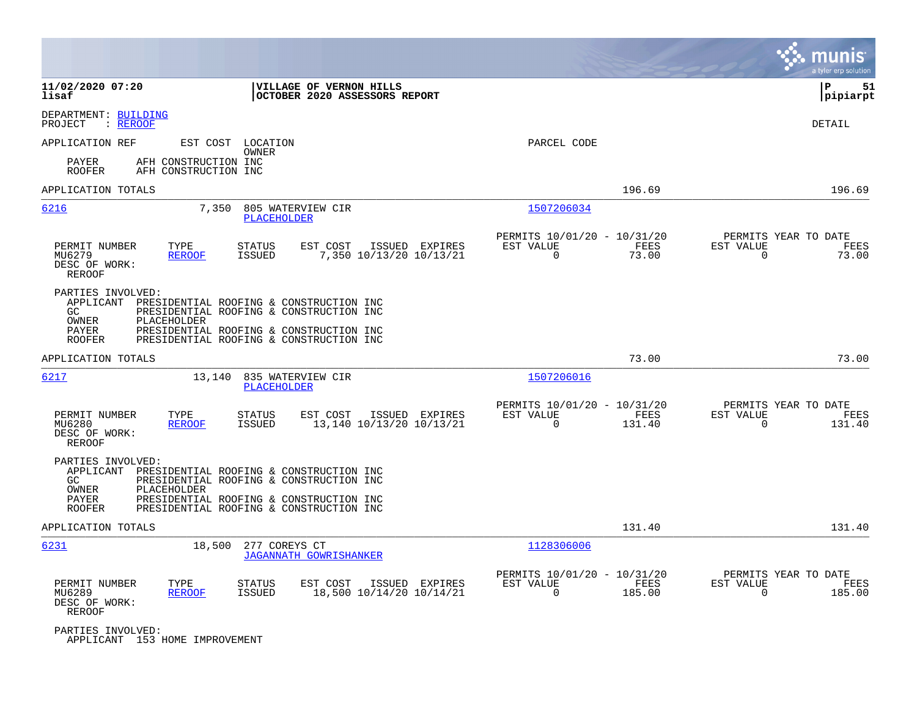|                                                                                                                                                                                                                                                                     |                                                                          | munis<br>a tyler erp solution                                     |
|---------------------------------------------------------------------------------------------------------------------------------------------------------------------------------------------------------------------------------------------------------------------|--------------------------------------------------------------------------|-------------------------------------------------------------------|
| 11/02/2020 07:20<br>VILLAGE OF VERNON HILLS<br>lisaf<br>OCTOBER 2020 ASSESSORS REPORT                                                                                                                                                                               |                                                                          | lР<br>51<br> pipiarpt                                             |
| DEPARTMENT: BUILDING<br>: REROOF<br>PROJECT                                                                                                                                                                                                                         |                                                                          | <b>DETAIL</b>                                                     |
| APPLICATION REF<br>EST COST LOCATION                                                                                                                                                                                                                                | PARCEL CODE                                                              |                                                                   |
| OWNER<br>AFH CONSTRUCTION INC<br>PAYER<br><b>ROOFER</b><br>AFH CONSTRUCTION INC                                                                                                                                                                                     |                                                                          |                                                                   |
| APPLICATION TOTALS                                                                                                                                                                                                                                                  | 196.69                                                                   | 196.69                                                            |
| 6216<br>7,350<br>805 WATERVIEW CIR<br><b>PLACEHOLDER</b>                                                                                                                                                                                                            | 1507206034                                                               |                                                                   |
| PERMIT NUMBER<br>TYPE<br>EST COST<br>ISSUED EXPIRES<br><b>STATUS</b><br>MU6279<br><b>ISSUED</b><br>7,350 10/13/20 10/13/21<br><b>REROOF</b><br>DESC OF WORK:<br><b>REROOF</b>                                                                                       | PERMITS 10/01/20 - 10/31/20<br>EST VALUE<br>FEES<br>$\mathbf 0$<br>73.00 | PERMITS YEAR TO DATE<br>EST VALUE<br>FEES<br>$\mathbf 0$<br>73.00 |
| PARTIES INVOLVED:<br>APPLICANT<br>PRESIDENTIAL ROOFING & CONSTRUCTION INC<br>PRESIDENTIAL ROOFING & CONSTRUCTION INC<br>GC.<br>OWNER<br>PLACEHOLDER<br>PAYER<br>PRESIDENTIAL ROOFING & CONSTRUCTION INC<br><b>ROOFER</b><br>PRESIDENTIAL ROOFING & CONSTRUCTION INC |                                                                          |                                                                   |
| APPLICATION TOTALS                                                                                                                                                                                                                                                  | 73.00                                                                    | 73.00                                                             |
| 6217<br>13,140<br>835 WATERVIEW CIR<br><b>PLACEHOLDER</b>                                                                                                                                                                                                           | 1507206016                                                               |                                                                   |
| PERMIT NUMBER<br>TYPE<br>EST COST<br>ISSUED EXPIRES<br><b>STATUS</b><br><b>ISSUED</b><br>13,140 10/13/20 10/13/21<br>MU6280<br><b>REROOF</b><br>DESC OF WORK:<br><b>REROOF</b>                                                                                      | PERMITS 10/01/20 - 10/31/20<br>EST VALUE<br>FEES<br>$\Omega$<br>131.40   | PERMITS YEAR TO DATE<br>EST VALUE<br>FEES<br>$\Omega$<br>131.40   |
| PARTIES INVOLVED:<br>APPLICANT<br>PRESIDENTIAL ROOFING & CONSTRUCTION INC<br>GC.<br>PRESIDENTIAL ROOFING & CONSTRUCTION INC<br>OWNER<br>PLACEHOLDER<br>PAYER<br>PRESIDENTIAL ROOFING & CONSTRUCTION INC<br><b>ROOFER</b><br>PRESIDENTIAL ROOFING & CONSTRUCTION INC |                                                                          |                                                                   |
| APPLICATION TOTALS                                                                                                                                                                                                                                                  | 131.40                                                                   | 131.40                                                            |
| 6231<br>18,500<br>277 COREYS CT<br><b>JAGANNATH GOWRISHANKER</b>                                                                                                                                                                                                    | 1128306006                                                               |                                                                   |
| PERMIT NUMBER<br>TYPE<br><b>STATUS</b><br>EST COST<br>ISSUED EXPIRES<br>MU6289<br><b>REROOF</b><br><b>ISSUED</b><br>18,500 10/14/20 10/14/21<br>DESC OF WORK:<br><b>REROOF</b>                                                                                      | PERMITS 10/01/20 - 10/31/20<br>EST VALUE<br>FEES<br>$\Omega$<br>185.00   | PERMITS YEAR TO DATE<br>EST VALUE<br>FEES<br>$\Omega$<br>185.00   |
| PARTIES INVOLVED:                                                                                                                                                                                                                                                   |                                                                          |                                                                   |

APPLICANT 153 HOME IMPROVEMENT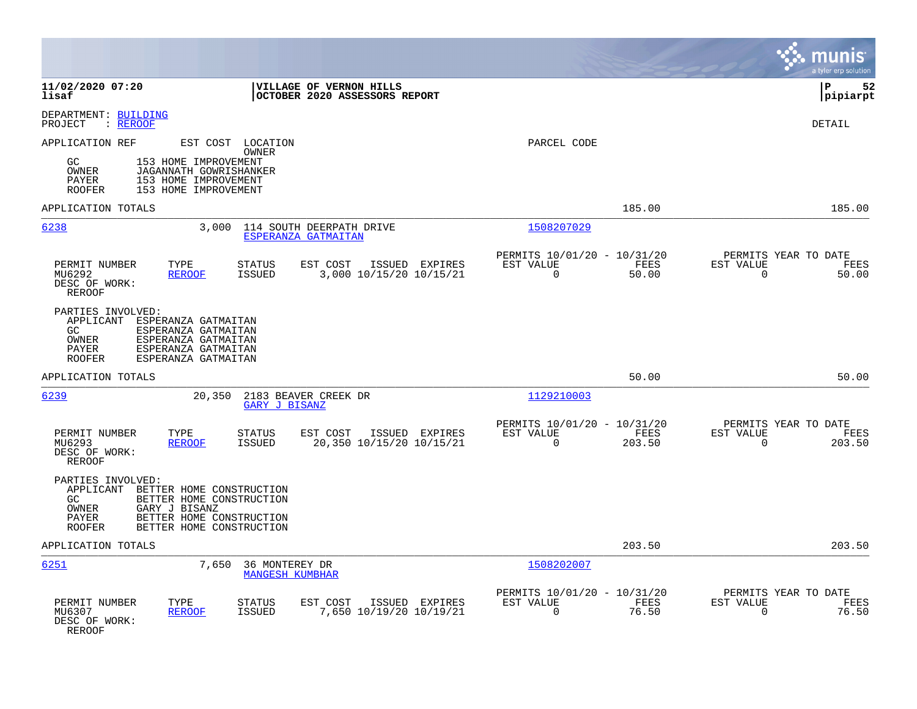|                                                                                                                                                                                                                      |                                                                        | munis<br>a tyler erp solution                                     |
|----------------------------------------------------------------------------------------------------------------------------------------------------------------------------------------------------------------------|------------------------------------------------------------------------|-------------------------------------------------------------------|
| 11/02/2020 07:20<br>VILLAGE OF VERNON HILLS<br>OCTOBER 2020 ASSESSORS REPORT<br>lisaf                                                                                                                                |                                                                        | lР<br>52<br> pipiarpt                                             |
| DEPARTMENT: BUILDING<br>: REROOF<br>PROJECT                                                                                                                                                                          |                                                                        | DETAIL                                                            |
| EST COST LOCATION<br>APPLICATION REF<br>OWNER<br>GC<br>153 HOME IMPROVEMENT<br>OWNER<br>JAGANNATH GOWRISHANKER<br>153 HOME IMPROVEMENT<br>PAYER<br>153 HOME IMPROVEMENT<br><b>ROOFER</b>                             | PARCEL CODE                                                            |                                                                   |
| APPLICATION TOTALS                                                                                                                                                                                                   | 185.00                                                                 | 185.00                                                            |
| 6238<br>3,000<br>114 SOUTH DEERPATH DRIVE<br>ESPERANZA GATMAITAN                                                                                                                                                     | 1508207029                                                             |                                                                   |
| PERMIT NUMBER<br>TYPE<br><b>STATUS</b><br>EST COST<br>ISSUED EXPIRES<br>3,000 10/15/20 10/15/21<br>MU6292<br><b>REROOF</b><br><b>ISSUED</b><br>DESC OF WORK:<br><b>REROOF</b>                                        | PERMITS 10/01/20 - 10/31/20<br>EST VALUE<br>FEES<br>$\Omega$<br>50.00  | PERMITS YEAR TO DATE<br>EST VALUE<br>FEES<br>$\mathbf 0$<br>50.00 |
| PARTIES INVOLVED:<br>APPLICANT<br>ESPERANZA GATMAITAN<br>ESPERANZA GATMAITAN<br>GC.<br>OWNER<br>ESPERANZA GATMAITAN<br>PAYER<br>ESPERANZA GATMAITAN<br>ESPERANZA GATMAITAN<br><b>ROOFER</b>                          |                                                                        |                                                                   |
| APPLICATION TOTALS                                                                                                                                                                                                   | 50.00                                                                  | 50.00                                                             |
| 6239<br>20,350<br>2183 BEAVER CREEK DR<br><b>GARY J BISANZ</b>                                                                                                                                                       | 1129210003                                                             |                                                                   |
| PERMIT NUMBER<br>TYPE<br>STATUS<br>EST COST<br>ISSUED EXPIRES<br><b>ISSUED</b><br>20,350 10/15/20 10/15/21<br>MU6293<br><b>REROOF</b><br>DESC OF WORK:<br>REROOF                                                     | PERMITS 10/01/20 - 10/31/20<br>EST VALUE<br>FEES<br>$\Omega$<br>203.50 | PERMITS YEAR TO DATE<br>EST VALUE<br>FEES<br>$\Omega$<br>203.50   |
| PARTIES INVOLVED:<br>APPLICANT BETTER HOME CONSTRUCTION<br>GC.<br>BETTER HOME CONSTRUCTION<br><b>OWNER</b><br>GARY J BISANZ<br><b>PAYER</b><br>BETTER HOME CONSTRUCTION<br><b>ROOFER</b><br>BETTER HOME CONSTRUCTION |                                                                        |                                                                   |
| APPLICATION TOTALS                                                                                                                                                                                                   | 203.50                                                                 | 203.50                                                            |
| 6251<br>7,650<br>36 MONTEREY DR<br><b>MANGESH KUMBHAR</b>                                                                                                                                                            | 1508202007                                                             |                                                                   |
| PERMIT NUMBER<br>TYPE<br>STATUS<br>EST COST<br>ISSUED EXPIRES<br>7,650 10/19/20 10/19/21<br>MU6307<br><b>REROOF</b><br><b>ISSUED</b><br>DESC OF WORK:<br>REROOF                                                      | PERMITS 10/01/20 - 10/31/20<br>EST VALUE<br>FEES<br>76.50<br>$\Omega$  | PERMITS YEAR TO DATE<br>EST VALUE<br>FEES<br>76.50<br>$\mathbf 0$ |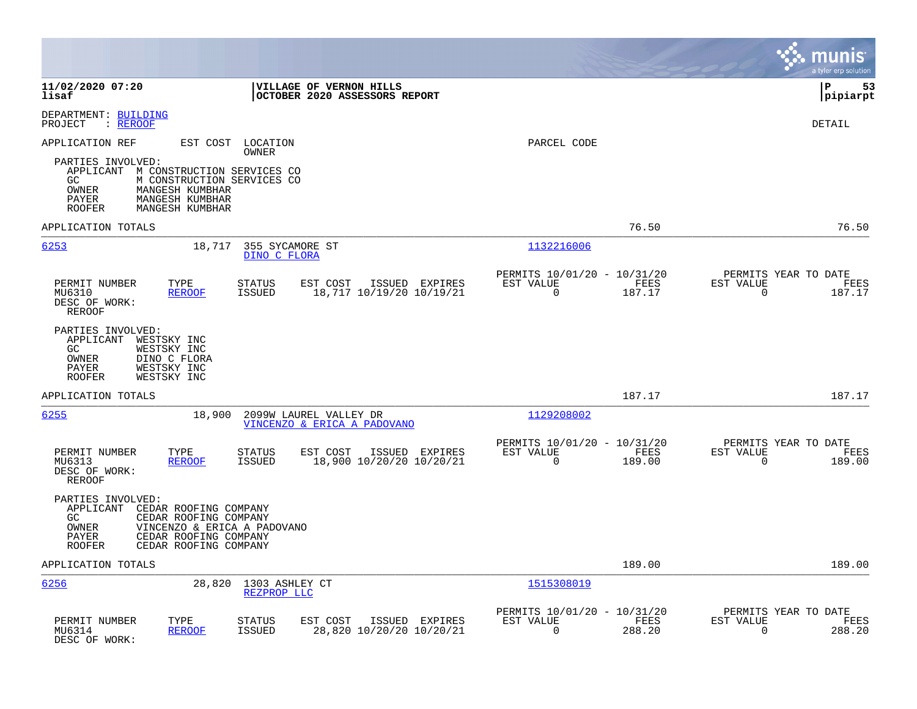|                                                                                                                                                                                                             |                                                                                          |                                                                                  | munis<br>a tyler erp solution                                      |
|-------------------------------------------------------------------------------------------------------------------------------------------------------------------------------------------------------------|------------------------------------------------------------------------------------------|----------------------------------------------------------------------------------|--------------------------------------------------------------------|
| 11/02/2020 07:20<br>lisaf                                                                                                                                                                                   | VILLAGE OF VERNON HILLS<br>OCTOBER 2020 ASSESSORS REPORT                                 |                                                                                  | l P<br>53<br> pipiarpt                                             |
| DEPARTMENT: BUILDING<br>: REROOF<br>PROJECT                                                                                                                                                                 |                                                                                          |                                                                                  | <b>DETAIL</b>                                                      |
| APPLICATION REF                                                                                                                                                                                             | EST COST LOCATION<br>OWNER                                                               | PARCEL CODE                                                                      |                                                                    |
| PARTIES INVOLVED:<br>APPLICANT M CONSTRUCTION SERVICES CO<br>GC<br>M CONSTRUCTION SERVICES CO<br>MANGESH KUMBHAR<br>OWNER<br>MANGESH KUMBHAR<br>PAYER<br>MANGESH KUMBHAR<br><b>ROOFER</b>                   |                                                                                          |                                                                                  |                                                                    |
| APPLICATION TOTALS                                                                                                                                                                                          |                                                                                          | 76.50                                                                            | 76.50                                                              |
| 6253<br>18,717                                                                                                                                                                                              | 355 SYCAMORE ST<br>DINO C FLORA                                                          | 1132216006                                                                       |                                                                    |
| PERMIT NUMBER<br>TYPE<br>MU6310<br><b>REROOF</b><br>DESC OF WORK:<br><b>REROOF</b>                                                                                                                          | ISSUED EXPIRES<br><b>STATUS</b><br>EST COST<br>ISSUED<br>18,717 10/19/20 10/19/21        | PERMITS 10/01/20 - 10/31/20<br>EST VALUE<br>FEES<br>$\Omega$<br>187.17           | PERMITS YEAR TO DATE<br>EST VALUE<br>FEES<br>187.17<br>0           |
| PARTIES INVOLVED:<br>APPLICANT<br>WESTSKY INC<br>GC<br>WESTSKY INC<br>OWNER<br>DINO C FLORA<br>WESTSKY INC<br>PAYER<br><b>ROOFER</b><br>WESTSKY INC                                                         |                                                                                          |                                                                                  |                                                                    |
| APPLICATION TOTALS                                                                                                                                                                                          |                                                                                          | 187.17                                                                           | 187.17                                                             |
| 6255<br>18,900                                                                                                                                                                                              | 2099W LAUREL VALLEY DR<br>VINCENZO & ERICA A PADOVANO                                    | 1129208002                                                                       |                                                                    |
| PERMIT NUMBER<br>TYPE<br>MU6313<br><b>REROOF</b><br>DESC OF WORK:<br><b>REROOF</b>                                                                                                                          | <b>STATUS</b><br>EST COST<br>ISSUED EXPIRES<br>18,900 10/20/20 10/20/21<br><b>ISSUED</b> | PERMITS 10/01/20 - 10/31/20<br>EST VALUE<br>FEES<br>$\mathbf 0$<br>189.00        | PERMITS YEAR TO DATE<br>EST VALUE<br>FEES<br>$\mathbf 0$<br>189.00 |
| PARTIES INVOLVED:<br>APPLICANT<br>CEDAR ROOFING COMPANY<br>GC.<br>CEDAR ROOFING COMPANY<br>OWNER<br>VINCENZO & ERICA A PADOVANO<br>CEDAR ROOFING COMPANY<br>PAYER<br><b>ROOFER</b><br>CEDAR ROOFING COMPANY |                                                                                          |                                                                                  |                                                                    |
| APPLICATION TOTALS                                                                                                                                                                                          |                                                                                          | 189.00                                                                           | 189.00                                                             |
| 6256<br>28,820                                                                                                                                                                                              | 1303 ASHLEY CT<br>REZPROP LLC                                                            | 1515308019                                                                       |                                                                    |
| TYPE<br>PERMIT NUMBER<br>MU6314<br><b>REROOF</b><br>DESC OF WORK:                                                                                                                                           | STATUS<br>EST COST<br>ISSUED EXPIRES<br>28,820 10/20/20 10/20/21<br><b>ISSUED</b>        | PERMITS 10/01/20 - 10/31/20<br>EST VALUE<br><b>FEES</b><br>$\mathbf 0$<br>288.20 | PERMITS YEAR TO DATE<br>EST VALUE<br>FEES<br>$\mathbf 0$<br>288.20 |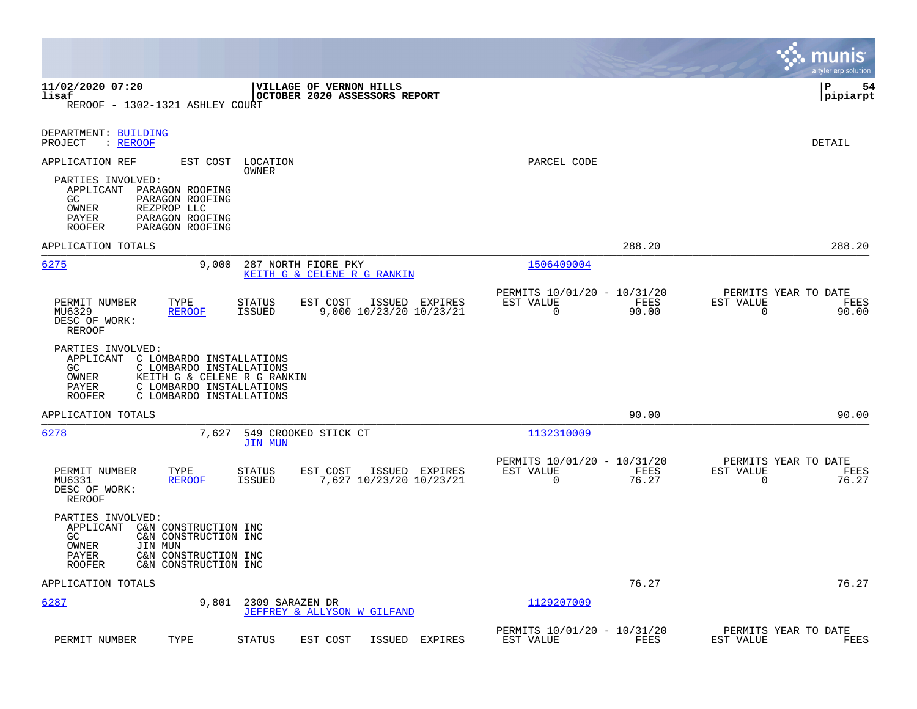|                                                                                                                                                                                                                      |                                                                             | munis<br>a tyler erp solution                                  |
|----------------------------------------------------------------------------------------------------------------------------------------------------------------------------------------------------------------------|-----------------------------------------------------------------------------|----------------------------------------------------------------|
| 11/02/2020 07:20<br>VILLAGE OF VERNON HILLS<br>lisaf<br>OCTOBER 2020 ASSESSORS REPORT<br>REROOF - 1302-1321 ASHLEY COURT                                                                                             |                                                                             | 54<br>l P<br> pipiarpt                                         |
| DEPARTMENT: BUILDING<br>PROJECT<br>$:$ REROOF                                                                                                                                                                        |                                                                             | DETAIL                                                         |
| APPLICATION REF<br>EST COST<br>LOCATION<br>OWNER<br>PARTIES INVOLVED:<br>APPLICANT PARAGON ROOFING<br>GC<br>PARAGON ROOFING<br>OWNER<br>REZPROP LLC<br>PAYER<br>PARAGON ROOFING<br>PARAGON ROOFING<br><b>ROOFER</b>  | PARCEL CODE                                                                 |                                                                |
| APPLICATION TOTALS                                                                                                                                                                                                   | 288.20                                                                      | 288.20                                                         |
| 6275<br>9,000<br>287 NORTH FIORE PKY<br>KEITH G & CELENE R G RANKIN                                                                                                                                                  | 1506409004                                                                  |                                                                |
| PERMIT NUMBER<br>TYPE<br><b>STATUS</b><br>EST COST<br>ISSUED EXPIRES<br>MU6329<br><b>REROOF</b><br><b>ISSUED</b><br>9,000 10/23/20 10/23/21<br>DESC OF WORK:<br><b>REROOF</b>                                        | PERMITS 10/01/20 - 10/31/20<br>EST VALUE<br>FEES<br>$\overline{0}$<br>90.00 | PERMITS YEAR TO DATE<br>EST VALUE<br>FEES<br>0<br>90.00        |
| PARTIES INVOLVED:<br>APPLICANT C LOMBARDO INSTALLATIONS<br>GC.<br>C LOMBARDO INSTALLATIONS<br>OWNER<br>KEITH G & CELENE R G RANKIN<br>C LOMBARDO INSTALLATIONS<br>PAYER<br>C LOMBARDO INSTALLATIONS<br><b>ROOFER</b> |                                                                             |                                                                |
| APPLICATION TOTALS                                                                                                                                                                                                   | 90.00                                                                       | 90.00                                                          |
| 6278<br>7,627<br>549 CROOKED STICK CT<br><b>JIN MUN</b>                                                                                                                                                              | 1132310009                                                                  |                                                                |
| <b>STATUS</b><br>EST COST<br>PERMIT NUMBER<br>TYPE<br>ISSUED EXPIRES<br><b>ISSUED</b><br>7,627 10/23/20 10/23/21<br>MU6331<br><b>REROOF</b><br>DESC OF WORK:<br>REROOF                                               | PERMITS 10/01/20 - 10/31/20<br>EST VALUE<br>FEES<br>$\Omega$<br>76.27       | PERMITS YEAR TO DATE<br>EST VALUE<br>FEES<br>$\Omega$<br>76.27 |
| PARTIES INVOLVED:<br>APPLICANT<br>C&N CONSTRUCTION INC<br>GC.<br>C&N CONSTRUCTION INC<br>OWNER<br>JIN MUN<br>C&N CONSTRUCTION INC<br>PAYER<br><b>ROOFER</b><br>C&N CONSTRUCTION INC                                  |                                                                             |                                                                |
| APPLICATION TOTALS                                                                                                                                                                                                   | 76.27                                                                       | 76.27                                                          |
| 6287<br>9,801<br>2309 SARAZEN DR<br>JEFFREY & ALLYSON W GILFAND                                                                                                                                                      | 1129207009                                                                  |                                                                |
| PERMIT NUMBER<br>TYPE<br><b>STATUS</b><br>EST COST<br>ISSUED<br>EXPIRES                                                                                                                                              | PERMITS 10/01/20 - 10/31/20<br>EST VALUE<br>FEES                            | PERMITS YEAR TO DATE<br>EST VALUE<br>FEES                      |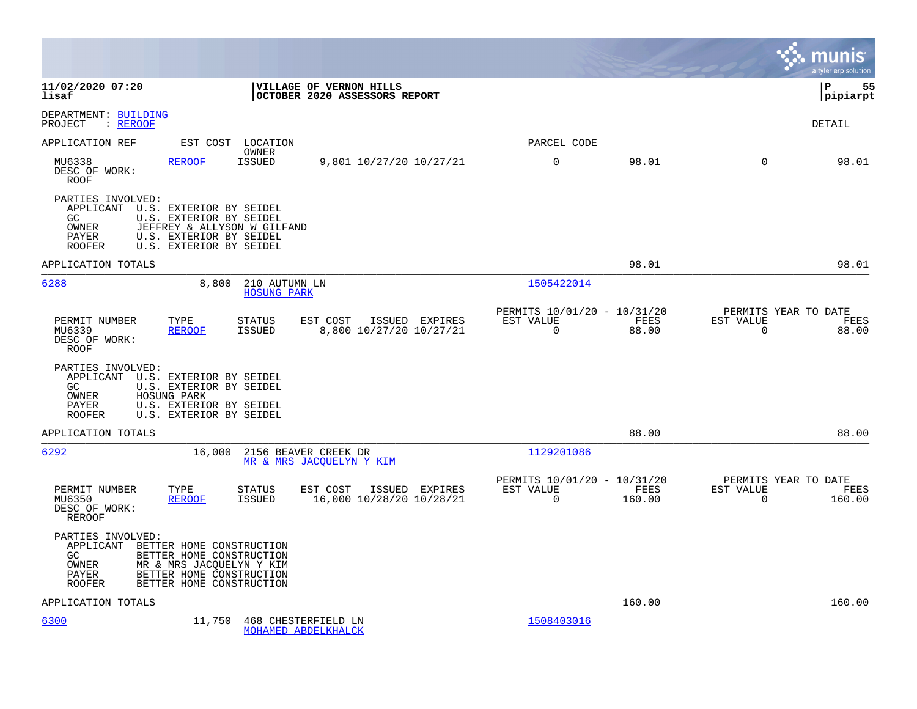|                                                                                                                       |                                                                                                                                          |                                                                        |                |                                               | mun<br>a tyler erp solution |
|-----------------------------------------------------------------------------------------------------------------------|------------------------------------------------------------------------------------------------------------------------------------------|------------------------------------------------------------------------|----------------|-----------------------------------------------|-----------------------------|
| 11/02/2020 07:20<br>lisaf                                                                                             | VILLAGE OF VERNON HILLS<br>OCTOBER 2020 ASSESSORS REPORT                                                                                 |                                                                        |                |                                               | 55<br>ΙP<br> pipiarpt       |
| DEPARTMENT: BUILDING<br>PROJECT<br>: REROOF                                                                           |                                                                                                                                          |                                                                        |                |                                               | <b>DETAIL</b>               |
| APPLICATION REF                                                                                                       | EST COST LOCATION<br><b>OWNER</b>                                                                                                        | PARCEL CODE                                                            |                |                                               |                             |
| MU6338<br><b>REROOF</b><br>DESC OF WORK:<br>ROOF                                                                      | <b>ISSUED</b><br>9,801 10/27/20 10/27/21                                                                                                 | 0                                                                      | 98.01          | $\mathbf 0$                                   | 98.01                       |
| PARTIES INVOLVED:<br>APPLICANT U.S. EXTERIOR BY SEIDEL<br>GC<br>OWNER<br>PAYER<br><b>ROOFER</b>                       | U.S. EXTERIOR BY SEIDEL<br>JEFFREY & ALLYSON W GILFAND<br>U.S. EXTERIOR BY SEIDEL<br>U.S. EXTERIOR BY SEIDEL                             |                                                                        |                |                                               |                             |
| APPLICATION TOTALS                                                                                                    |                                                                                                                                          |                                                                        | 98.01          |                                               | 98.01                       |
| 6288                                                                                                                  | 8,800<br>210 AUTUMN LN<br><b>HOSUNG PARK</b>                                                                                             | 1505422014                                                             |                |                                               |                             |
| PERMIT NUMBER<br>TYPE<br>MU6339<br><b>REROOF</b><br>DESC OF WORK:<br>ROOF                                             | <b>STATUS</b><br>EST COST<br><b>ISSUED</b><br>8,800 10/27/20 10/27/21                                                                    | PERMITS 10/01/20 - 10/31/20<br>ISSUED EXPIRES<br>EST VALUE<br>$\Omega$ | FEES<br>88.00  | PERMITS YEAR TO DATE<br>EST VALUE<br>$\Omega$ | FEES<br>88.00               |
| PARTIES INVOLVED:<br>APPLICANT U.S. EXTERIOR BY SEIDEL<br>GC<br>OWNER<br>HOSUNG PARK<br><b>PAYER</b><br><b>ROOFER</b> | U.S. EXTERIOR BY SEIDEL<br>U.S. EXTERIOR BY SEIDEL<br>U.S. EXTERIOR BY SEIDEL                                                            |                                                                        |                |                                               |                             |
| APPLICATION TOTALS                                                                                                    |                                                                                                                                          |                                                                        | 88.00          |                                               | 88.00                       |
| 6292                                                                                                                  | 16,000<br>2156 BEAVER CREEK DR<br>MR & MRS JACOUELYN Y KIM                                                                               | 1129201086                                                             |                |                                               |                             |
| PERMIT NUMBER<br>TYPE<br>MU6350<br>REROOF<br>DESC OF WORK:<br><b>REROOF</b>                                           | <b>STATUS</b><br>EST COST<br><b>ISSUED</b><br>16,000 10/28/20 10/28/21                                                                   | PERMITS 10/01/20 - 10/31/20<br>ISSUED EXPIRES<br>EST VALUE<br>$\Omega$ | FEES<br>160.00 | PERMITS YEAR TO DATE<br>EST VALUE<br>$\Omega$ | FEES<br>160.00              |
| PARTIES INVOLVED:<br>APPLICANT<br>GC.<br>OWNER<br>PAYER<br><b>ROOFER</b>                                              | BETTER HOME CONSTRUCTION<br>BETTER HOME CONSTRUCTION<br>MR & MRS JACQUELYN Y KIM<br>BETTER HOME CONSTRUCTION<br>BETTER HOME CONSTRUCTION |                                                                        |                |                                               |                             |
| APPLICATION TOTALS                                                                                                    |                                                                                                                                          |                                                                        | 160.00         |                                               | 160.00                      |
| 6300                                                                                                                  | 11,750<br>468 CHESTERFIELD LN<br>MOHAMED ABDELKHALCK                                                                                     | 1508403016                                                             |                |                                               |                             |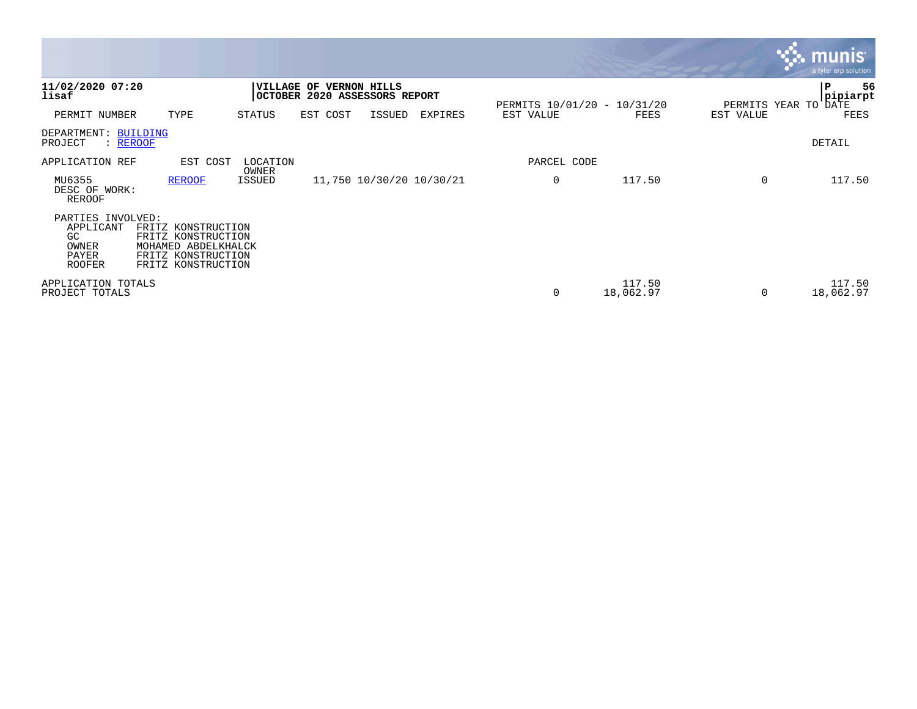|                                                                   |                                                                                                             |                   |                                                          |        |                          |             |                             |           | $\mathbf{\ddot{\cdot}}\mathbf{\ddot{\cdot}}$ munis<br>a tyler erp solution |
|-------------------------------------------------------------------|-------------------------------------------------------------------------------------------------------------|-------------------|----------------------------------------------------------|--------|--------------------------|-------------|-----------------------------|-----------|----------------------------------------------------------------------------|
| 11/02/2020 07:20<br>lisaf                                         |                                                                                                             |                   | VILLAGE OF VERNON HILLS<br>OCTOBER 2020 ASSESSORS REPORT |        |                          |             | PERMITS 10/01/20 - 10/31/20 |           | 56<br>l P<br>pipiarpt<br>PERMITS YEAR TO DATE                              |
| PERMIT NUMBER                                                     | TYPE                                                                                                        | STATUS            | EST COST                                                 | ISSUED | EXPIRES                  | EST VALUE   | FEES                        | EST VALUE | FEES                                                                       |
| DEPARTMENT: BUILDING<br>PROJECT<br>: REROOF                       |                                                                                                             |                   |                                                          |        |                          |             |                             |           | DETAIL                                                                     |
| APPLICATION REF                                                   | EST COST                                                                                                    | LOCATION<br>OWNER |                                                          |        |                          | PARCEL CODE |                             |           |                                                                            |
| MU6355<br>DESC OF WORK:<br>REROOF                                 | <b>REROOF</b>                                                                                               | ISSUED            |                                                          |        | 11,750 10/30/20 10/30/21 | 0           | 117.50                      | $\Omega$  | 117.50                                                                     |
| PARTIES INVOLVED:<br>APPLICANT<br>GC.<br>OWNER<br>PAYER<br>ROOFER | FRITZ KONSTRUCTION<br>FRITZ KONSTRUCTION<br>MOHAMED ABDELKHALCK<br>FRITZ KONSTRUCTION<br>FRITZ KONSTRUCTION |                   |                                                          |        |                          |             |                             |           |                                                                            |
| APPLICATION TOTALS<br>PROJECT TOTALS                              |                                                                                                             |                   |                                                          |        |                          | 0           | 117.50<br>18,062.97         | $\Omega$  | 117.50<br>18,062.97                                                        |

and the contract of the contract of the contract of the contract of the contract of the contract of the contract of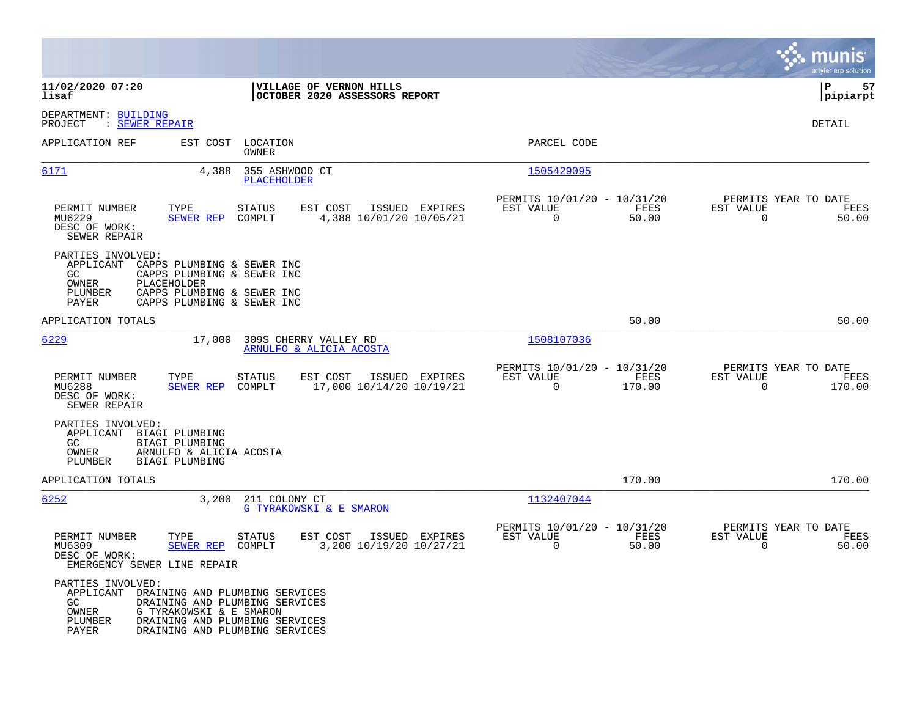|                                                                                                                                                                                                           |                                                                                                                                      |                                                                           | munis<br>a tyler erp solution                                      |
|-----------------------------------------------------------------------------------------------------------------------------------------------------------------------------------------------------------|--------------------------------------------------------------------------------------------------------------------------------------|---------------------------------------------------------------------------|--------------------------------------------------------------------|
| 11/02/2020 07:20<br>lisaf                                                                                                                                                                                 | VILLAGE OF VERNON HILLS<br>OCTOBER 2020 ASSESSORS REPORT                                                                             |                                                                           | l P<br>57<br> pipiarpt                                             |
| DEPARTMENT: BUILDING<br>: SEWER REPAIR<br>PROJECT                                                                                                                                                         |                                                                                                                                      |                                                                           | <b>DETAIL</b>                                                      |
| APPLICATION REF                                                                                                                                                                                           | EST COST LOCATION<br><b>OWNER</b>                                                                                                    | PARCEL CODE                                                               |                                                                    |
| 6171<br>4,388                                                                                                                                                                                             | 355 ASHWOOD CT<br><b>PLACEHOLDER</b>                                                                                                 | 1505429095                                                                |                                                                    |
| PERMIT NUMBER<br>TYPE<br>MU6229<br><b>SEWER REP</b><br>DESC OF WORK:<br>SEWER REPAIR                                                                                                                      | <b>STATUS</b><br>EST COST<br>ISSUED EXPIRES<br>4,388 10/01/20 10/05/21<br>COMPLT                                                     | PERMITS 10/01/20 - 10/31/20<br>EST VALUE<br>FEES<br>0<br>50.00            | PERMITS YEAR TO DATE<br>EST VALUE<br>FEES<br>50.00<br>0            |
| PARTIES INVOLVED:<br>APPLICANT<br>CAPPS PLUMBING & SEWER INC<br>GC.<br>CAPPS PLUMBING & SEWER INC<br>OWNER<br>PLACEHOLDER<br>PLUMBER<br>CAPPS PLUMBING & SEWER INC<br>PAYER<br>CAPPS PLUMBING & SEWER INC |                                                                                                                                      |                                                                           |                                                                    |
| APPLICATION TOTALS                                                                                                                                                                                        |                                                                                                                                      | 50.00                                                                     | 50.00                                                              |
| 6229<br>17,000                                                                                                                                                                                            | 309S CHERRY VALLEY RD<br>ARNULFO & ALICIA ACOSTA                                                                                     | 1508107036                                                                |                                                                    |
| PERMIT NUMBER<br>TYPE<br>MU6288<br><b>SEWER REP</b><br>DESC OF WORK:<br>SEWER REPAIR                                                                                                                      | <b>STATUS</b><br>EST COST<br>ISSUED EXPIRES<br>17,000 10/14/20 10/19/21<br>COMPLT                                                    | PERMITS 10/01/20 - 10/31/20<br>EST VALUE<br>FEES<br>$\mathbf 0$<br>170.00 | PERMITS YEAR TO DATE<br>EST VALUE<br>FEES<br>$\mathbf 0$<br>170.00 |
| PARTIES INVOLVED:<br>APPLICANT<br>BIAGI PLUMBING<br>GC.<br>BIAGI PLUMBING<br>OWNER<br>ARNULFO & ALICIA ACOSTA<br>PLUMBER<br>BIAGI PLUMBING                                                                |                                                                                                                                      |                                                                           |                                                                    |
| APPLICATION TOTALS                                                                                                                                                                                        |                                                                                                                                      | 170.00                                                                    | 170.00                                                             |
| 6252<br>3,200                                                                                                                                                                                             | 211 COLONY CT<br>G TYRAKOWSKI & E SMARON                                                                                             | 1132407044                                                                |                                                                    |
| PERMIT NUMBER<br>TYPE<br>MU6309<br>SEWER REP<br>DESC OF WORK:<br>EMERGENCY SEWER LINE REPAIR                                                                                                              | <b>STATUS</b><br>EST COST<br>ISSUED EXPIRES<br>COMPLT<br>3,200 10/19/20 10/27/21                                                     | PERMITS 10/01/20 - 10/31/20<br>EST VALUE<br>FEES<br>$\mathbf 0$<br>50.00  | PERMITS YEAR TO DATE<br>EST VALUE<br>FEES<br>50.00<br>$\mathbf 0$  |
| PARTIES INVOLVED:<br>APPLICANT<br>GC<br>OWNER<br>G TYRAKOWSKI & E SMARON<br>PLUMBER<br>PAYER                                                                                                              | DRAINING AND PLUMBING SERVICES<br>DRAINING AND PLUMBING SERVICES<br>DRAINING AND PLUMBING SERVICES<br>DRAINING AND PLUMBING SERVICES |                                                                           |                                                                    |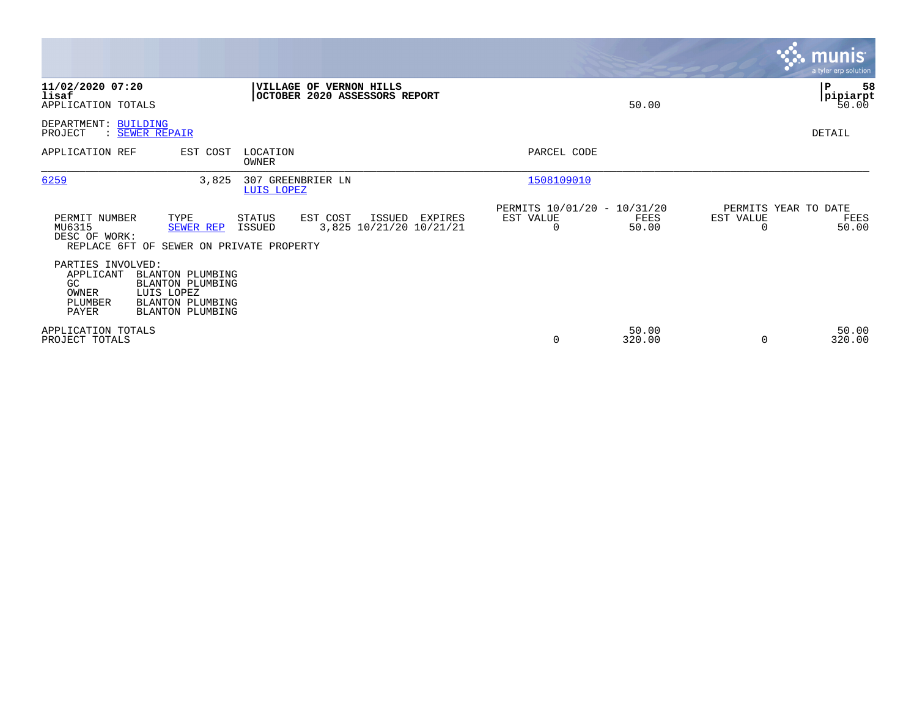|                                                                    |                                                                                                                        |                         |                                                                 |                                                      |                 |                                   | <b>munis</b><br>a tyler erp solution   |
|--------------------------------------------------------------------|------------------------------------------------------------------------------------------------------------------------|-------------------------|-----------------------------------------------------------------|------------------------------------------------------|-----------------|-----------------------------------|----------------------------------------|
| 11/02/2020 07:20<br>lisaf<br>APPLICATION TOTALS                    |                                                                                                                        |                         | <b>VILLAGE OF VERNON HILLS</b><br>OCTOBER 2020 ASSESSORS REPORT |                                                      | 50.00           |                                   | 58<br>$\mathbf P$<br>pipiarpt<br>50.00 |
| DEPARTMENT:<br>PROJECT                                             | BUILDING<br>: SEWER REPAIR                                                                                             |                         |                                                                 |                                                      |                 |                                   | <b>DETAIL</b>                          |
| APPLICATION REF                                                    | EST COST                                                                                                               | LOCATION<br>OWNER       |                                                                 | PARCEL CODE                                          |                 |                                   |                                        |
| 6259                                                               | 3,825                                                                                                                  | LUIS LOPEZ              | 307 GREENBRIER LN                                               | 1508109010                                           |                 |                                   |                                        |
| PERMIT NUMBER<br>MU6315<br>DESC OF WORK:<br>REPLACE 6FT OF         | TYPE<br><b>SEWER REP</b><br>SEWER ON PRIVATE PROPERTY                                                                  | <b>STATUS</b><br>ISSUED | EST COST<br>ISSUED<br>EXPIRES<br>3,825 10/21/20 10/21/21        | PERMITS 10/01/20 - 10/31/20<br>EST VALUE<br>$\Omega$ | FEES<br>50.00   | PERMITS YEAR TO DATE<br>EST VALUE | FEES<br>50.00                          |
| PARTIES INVOLVED:<br>APPLICANT<br>GC.<br>OWNER<br>PLUMBER<br>PAYER | <b>BLANTON PLUMBING</b><br><b>BLANTON PLUMBING</b><br>LUIS LOPEZ<br><b>BLANTON PLUMBING</b><br><b>BLANTON PLUMBING</b> |                         |                                                                 |                                                      |                 |                                   |                                        |
| APPLICATION TOTALS<br>PROJECT TOTALS                               |                                                                                                                        |                         |                                                                 | 0                                                    | 50.00<br>320.00 | $\Omega$                          | 50.00<br>320.00                        |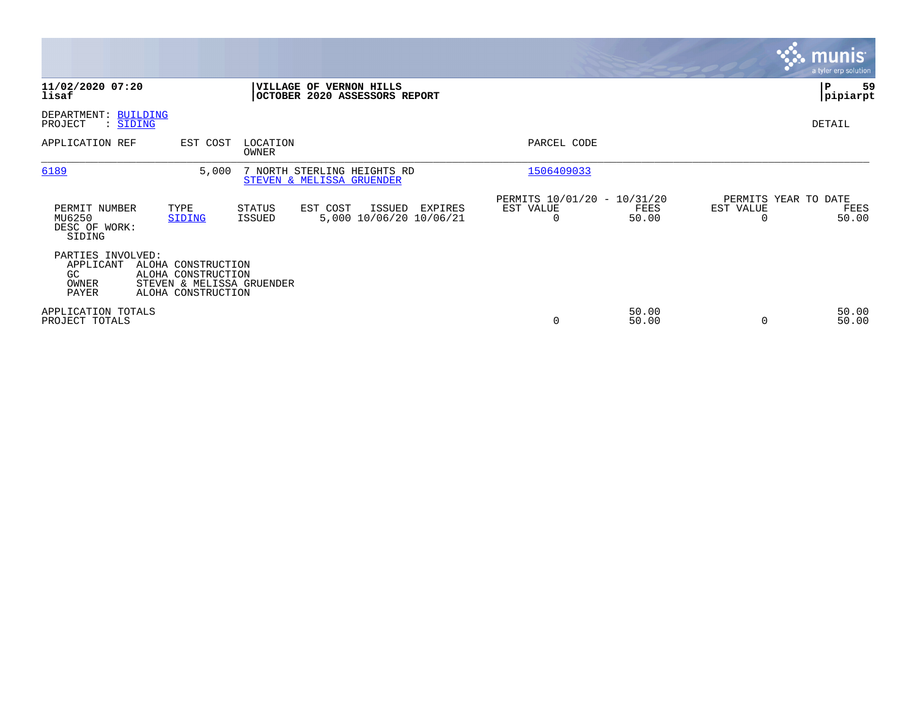|                                                                                                                                                        |                                                                | <b>munis</b><br>a tyler erp solution                    |
|--------------------------------------------------------------------------------------------------------------------------------------------------------|----------------------------------------------------------------|---------------------------------------------------------|
| 11/02/2020 07:20<br>VILLAGE OF VERNON HILLS<br>OCTOBER 2020 ASSESSORS REPORT<br>lisaf                                                                  |                                                                | 59<br>IΡ<br> pipiarpt                                   |
| DEPARTMENT: BUILDING<br>: SIDING<br>PROJECT                                                                                                            |                                                                | DETAIL                                                  |
| APPLICATION REF<br>EST COST<br>LOCATION<br>OWNER                                                                                                       | PARCEL CODE                                                    |                                                         |
| 6189<br>7 NORTH STERLING HEIGHTS RD<br>5,000<br>STEVEN & MELISSA GRUENDER                                                                              | 1506409033                                                     |                                                         |
| STATUS<br>EST COST<br>PERMIT NUMBER<br>TYPE<br>ISSUED<br>EXPIRES<br>5,000 10/06/20 10/06/21<br>MU6250<br>ISSUED<br>SIDING<br>DESC OF WORK:<br>SIDING   | PERMITS 10/01/20 - 10/31/20<br>EST VALUE<br>FEES<br>50.00<br>0 | PERMITS YEAR TO DATE<br>EST VALUE<br>FEES<br>50.00<br>O |
| PARTIES INVOLVED:<br>APPLICANT<br>ALOHA CONSTRUCTION<br>GC.<br>ALOHA CONSTRUCTION<br>STEVEN & MELISSA GRUENDER<br>OWNER<br>PAYER<br>ALOHA CONSTRUCTION |                                                                |                                                         |
| APPLICATION TOTALS<br>PROJECT TOTALS                                                                                                                   | 50.00<br>0<br>50.00                                            | 50.00<br>50.00<br>$\Omega$                              |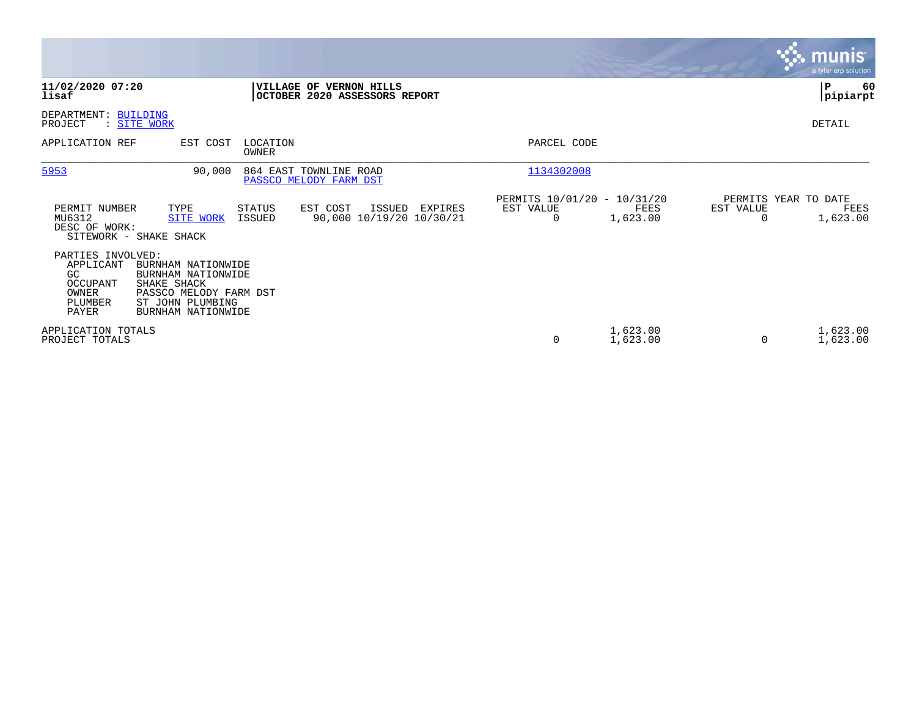|                                                                               |                                                                                                                             |                   |                                                          |         |                                               |                      |                                   | <b>munis</b><br>a tyler erp solution |
|-------------------------------------------------------------------------------|-----------------------------------------------------------------------------------------------------------------------------|-------------------|----------------------------------------------------------|---------|-----------------------------------------------|----------------------|-----------------------------------|--------------------------------------|
| 11/02/2020 07:20<br>lisaf                                                     |                                                                                                                             |                   | VILLAGE OF VERNON HILLS<br>OCTOBER 2020 ASSESSORS REPORT |         |                                               |                      |                                   | ∣P<br>60<br> pipiarpt                |
| DEPARTMENT: BUILDING<br>PROJECT                                               | : SITE WORK                                                                                                                 |                   |                                                          |         |                                               |                      |                                   | DETAIL                               |
| APPLICATION REF                                                               | EST COST                                                                                                                    | LOCATION<br>OWNER |                                                          |         | PARCEL CODE                                   |                      |                                   |                                      |
| 5953                                                                          | 90,000                                                                                                                      |                   | 864 EAST TOWNLINE ROAD<br>PASSCO MELODY FARM DST         |         | 1134302008                                    |                      |                                   |                                      |
| PERMIT NUMBER<br>MU6312<br>DESC OF WORK:                                      | TYPE<br><b>SITE WORK</b><br>SITEWORK - SHAKE SHACK                                                                          | STATUS<br>ISSUED  | EST COST<br>ISSUED<br>90,000 10/19/20 10/30/21           | EXPIRES | PERMITS 10/01/20 - 10/31/20<br>EST VALUE<br>0 | FEES<br>1,623.00     | PERMITS YEAR TO DATE<br>EST VALUE | FEES<br>1,623.00                     |
| PARTIES INVOLVED:<br>APPLICANT<br>GC<br>OCCUPANT<br>OWNER<br>PLUMBER<br>PAYER | BURNHAM NATIONWIDE<br>BURNHAM NATIONWIDE<br>SHAKE SHACK<br>PASSCO MELODY FARM DST<br>ST JOHN PLUMBING<br>BURNHAM NATIONWIDE |                   |                                                          |         |                                               |                      |                                   |                                      |
| APPLICATION TOTALS<br>PROJECT TOTALS                                          |                                                                                                                             |                   |                                                          |         | 0                                             | 1,623.00<br>1,623.00 |                                   | 1,623.00<br>1,623.00                 |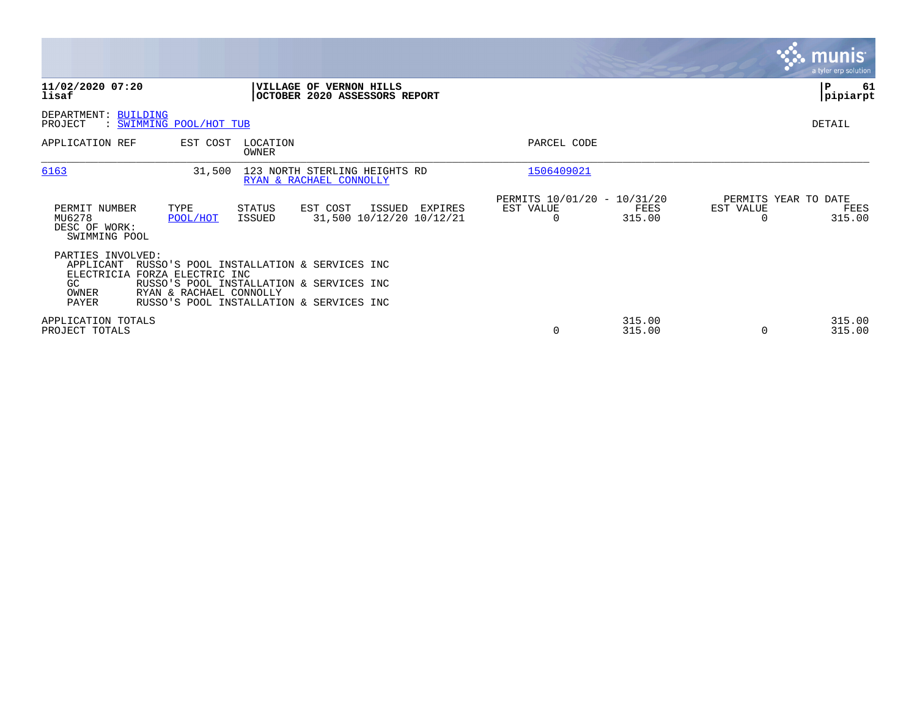|                                                                                                |                         |                         |                                                                                                                                  |         |                                                      |                  |           | munis<br>a tyler erp solution          |
|------------------------------------------------------------------------------------------------|-------------------------|-------------------------|----------------------------------------------------------------------------------------------------------------------------------|---------|------------------------------------------------------|------------------|-----------|----------------------------------------|
| 11/02/2020 07:20<br>lisaf                                                                      |                         |                         | VILLAGE OF VERNON HILLS<br>OCTOBER 2020 ASSESSORS REPORT                                                                         |         |                                                      |                  |           | IΡ<br>61<br> pipiarpt                  |
| DEPARTMENT: BUILDING<br>PROJECT                                                                | : SWIMMING POOL/HOT TUB |                         |                                                                                                                                  |         |                                                      |                  |           | DETAIL                                 |
| APPLICATION REF                                                                                | EST COST                | LOCATION<br>OWNER       |                                                                                                                                  |         | PARCEL CODE                                          |                  |           |                                        |
| 6163                                                                                           | 31,500                  |                         | 123 NORTH STERLING HEIGHTS RD<br>RYAN & RACHAEL CONNOLLY                                                                         |         | 1506409021                                           |                  |           |                                        |
| PERMIT NUMBER<br>MU6278<br>DESC OF WORK:<br>SWIMMING POOL                                      | TYPE<br>POOL/HOT        | STATUS<br><b>ISSUED</b> | EST COST<br>ISSUED<br>31,500 10/12/20 10/12/21                                                                                   | EXPIRES | PERMITS 10/01/20 - 10/31/20<br>EST VALUE<br>$\Omega$ | FEES<br>315.00   | EST VALUE | PERMITS YEAR TO DATE<br>FEES<br>315.00 |
| PARTIES INVOLVED:<br>APPLICANT<br>ELECTRICIA FORZA ELECTRIC INC<br>GC<br>OWNER<br><b>PAYER</b> | RYAN & RACHAEL CONNOLLY |                         | RUSSO'S POOL INSTALLATION & SERVICES INC<br>RUSSO'S POOL INSTALLATION & SERVICES INC<br>RUSSO'S POOL INSTALLATION & SERVICES INC |         |                                                      |                  |           |                                        |
| APPLICATION TOTALS<br>PROJECT TOTALS                                                           |                         |                         |                                                                                                                                  |         | 0                                                    | 315.00<br>315.00 | $\Omega$  | 315.00<br>315.00                       |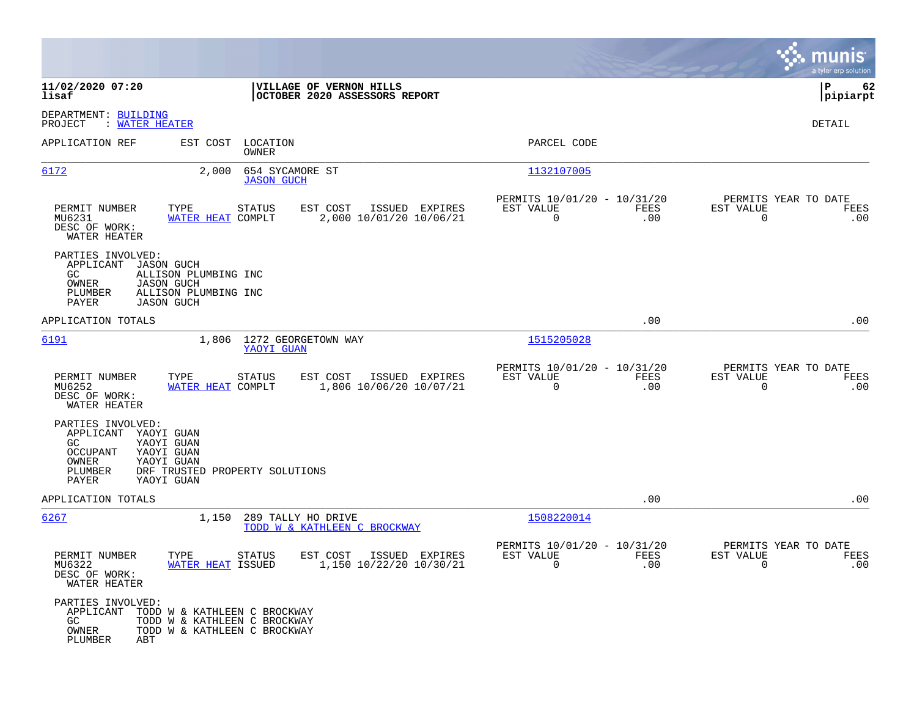|                                                                                           |                                                                                                      |                                                          |                                                         |             |                                                               | munis<br>a tyler erp solution |
|-------------------------------------------------------------------------------------------|------------------------------------------------------------------------------------------------------|----------------------------------------------------------|---------------------------------------------------------|-------------|---------------------------------------------------------------|-------------------------------|
| 11/02/2020 07:20<br>lisaf                                                                 |                                                                                                      | VILLAGE OF VERNON HILLS<br>OCTOBER 2020 ASSESSORS REPORT |                                                         |             |                                                               | l P<br>62<br> pipiarpt        |
| DEPARTMENT: BUILDING<br>: WATER HEATER<br>PROJECT                                         |                                                                                                      |                                                          |                                                         |             |                                                               | DETAIL                        |
| APPLICATION REF                                                                           | EST COST LOCATION<br>OWNER                                                                           |                                                          | PARCEL CODE                                             |             |                                                               |                               |
| 6172                                                                                      | 654 SYCAMORE ST<br>2,000<br><b>JASON GUCH</b>                                                        |                                                          | 1132107005                                              |             |                                                               |                               |
| PERMIT NUMBER<br>MU6231<br>DESC OF WORK:<br>WATER HEATER                                  | TYPE<br><b>STATUS</b><br>WATER HEAT COMPLT                                                           | EST COST<br>ISSUED EXPIRES<br>2,000 10/01/20 10/06/21    | PERMITS 10/01/20 - 10/31/20<br>EST VALUE<br>$\mathbf 0$ | FEES<br>.00 | PERMITS YEAR TO DATE<br>EST VALUE<br>0                        | FEES<br>.00                   |
| PARTIES INVOLVED:<br>APPLICANT<br>GC.<br>OWNER<br>PLUMBER<br>PAYER                        | JASON GUCH<br>ALLISON PLUMBING INC<br><b>JASON GUCH</b><br>ALLISON PLUMBING INC<br><b>JASON GUCH</b> |                                                          |                                                         |             |                                                               |                               |
| APPLICATION TOTALS                                                                        |                                                                                                      |                                                          |                                                         | .00         |                                                               | .00                           |
| <u>6191</u>                                                                               | 1,806<br>YAOYI GUAN                                                                                  | 1272 GEORGETOWN WAY                                      | 1515205028                                              |             |                                                               |                               |
| PERMIT NUMBER<br>MU6252<br>DESC OF WORK:<br>WATER HEATER                                  | TYPE<br>STATUS<br>WATER HEAT COMPLT                                                                  | EST COST<br>ISSUED EXPIRES<br>1,806 10/06/20 10/07/21    | PERMITS 10/01/20 - 10/31/20<br>EST VALUE<br>0           | FEES<br>.00 | PERMITS YEAR TO DATE<br>EST VALUE<br>$\mathbf 0$              | FEES<br>.00                   |
| PARTIES INVOLVED:<br>APPLICANT YAOYI GUAN<br>GC.<br>OCCUPANT<br>OWNER<br>PLUMBER<br>PAYER | YAOYI GUAN<br>YAOYI GUAN<br>YAOYI GUAN<br>DRF TRUSTED PROPERTY SOLUTIONS<br>YAOYI GUAN               |                                                          |                                                         |             |                                                               |                               |
| APPLICATION TOTALS                                                                        |                                                                                                      |                                                          |                                                         | .00         |                                                               | .00                           |
| 6267                                                                                      | 1,150                                                                                                | 289 TALLY HO DRIVE<br>TODD W & KATHLEEN C BROCKWAY       | 1508220014                                              |             |                                                               |                               |
| PERMIT NUMBER<br>MU6322<br>DESC OF WORK:<br>WATER HEATER                                  | TYPE<br><b>STATUS</b><br>WATER HEAT ISSUED                                                           | ISSUED EXPIRES<br>EST COST<br>1,150 10/22/20 10/30/21    | PERMITS 10/01/20 - 10/31/20<br>EST VALUE<br>$\sim$ 0    | FEES<br>.00 | PERMITS YEAR TO DATE<br>EST VALUE<br>$\overline{\phantom{0}}$ | FEES<br>.00                   |
| PARTIES INVOLVED:<br>APPLICANT<br>GC<br>OWNER<br>PLUMBER<br>ABT                           | TODD W & KATHLEEN C BROCKWAY<br>TODD W & KATHLEEN C BROCKWAY<br>TODD W & KATHLEEN C BROCKWAY         |                                                          |                                                         |             |                                                               |                               |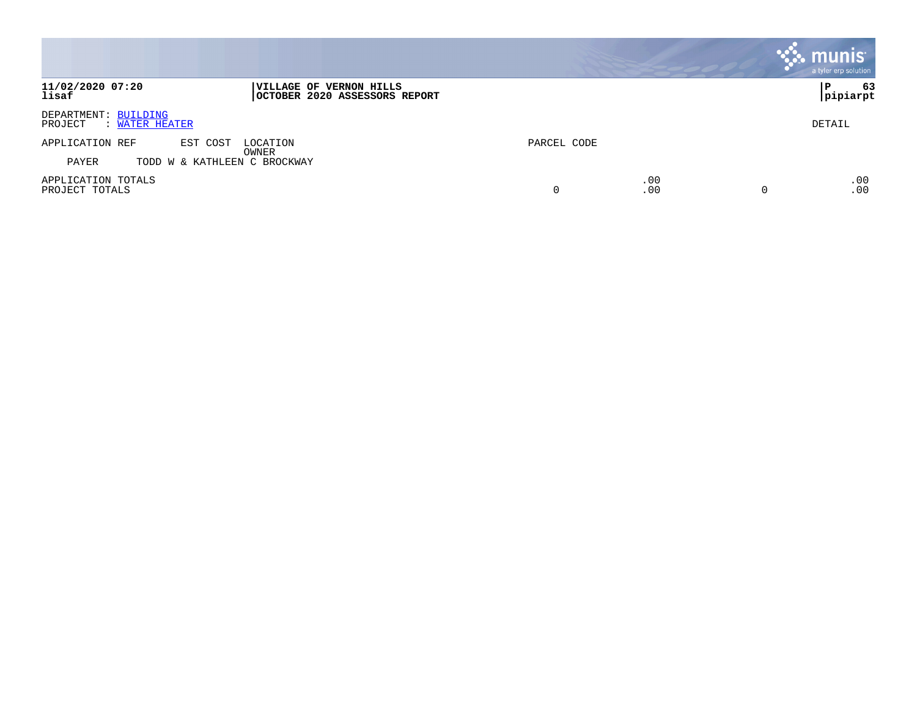|                                                   |                                                          |             |            | munis <sup>®</sup><br>a tyler erp solution |
|---------------------------------------------------|----------------------------------------------------------|-------------|------------|--------------------------------------------|
| 11/02/2020 07:20<br>lisaf                         | VILLAGE OF VERNON HILLS<br>OCTOBER 2020 ASSESSORS REPORT |             |            | 63<br>Р<br> pipiarpt                       |
| DEPARTMENT: BUILDING<br>PROJECT<br>: WATER HEATER |                                                          |             |            | DETAIL                                     |
| APPLICATION REF<br>EST COST                       | LOCATION<br>OWNER                                        | PARCEL CODE |            |                                            |
| PAYER<br>TODD W & KATHLEEN C BROCKWAY             |                                                          |             |            |                                            |
| APPLICATION TOTALS<br>PROJECT TOTALS              |                                                          | 0           | .00<br>.00 | .00<br>.00<br>0                            |